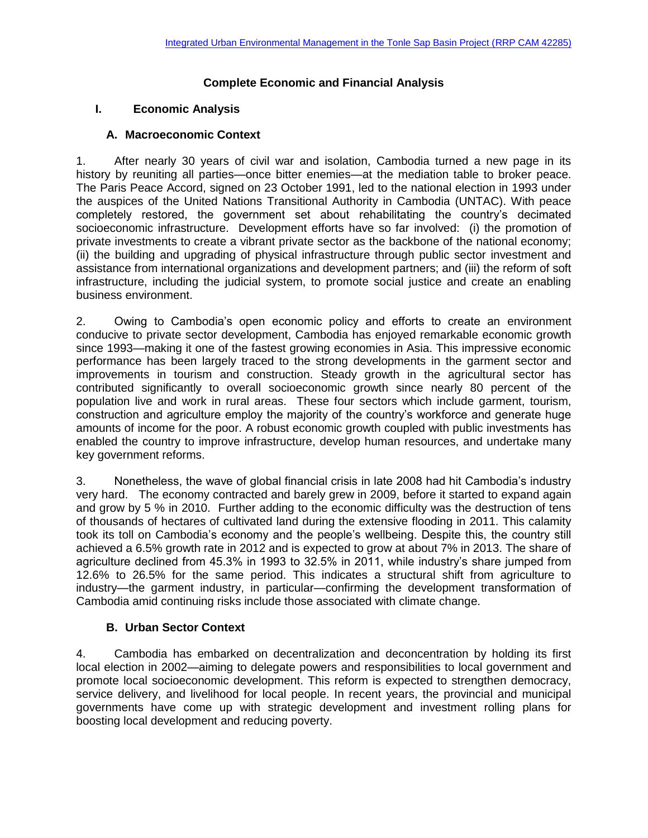# **Complete Economic and Financial Analysis**

# **I. Economic Analysis**

# **A. Macroeconomic Context**

1. After nearly 30 years of civil war and isolation, Cambodia turned a new page in its history by reuniting all parties—once bitter enemies—at the mediation table to broker peace. The Paris Peace Accord, signed on 23 October 1991, led to the national election in 1993 under the auspices of the United Nations Transitional Authority in Cambodia (UNTAC). With peace completely restored, the government set about rehabilitating the country's decimated socioeconomic infrastructure. Development efforts have so far involved: (i) the promotion of private investments to create a vibrant private sector as the backbone of the national economy; (ii) the building and upgrading of physical infrastructure through public sector investment and assistance from international organizations and development partners; and (iii) the reform of soft infrastructure, including the judicial system, to promote social justice and create an enabling business environment.

2. Owing to Cambodia's open economic policy and efforts to create an environment conducive to private sector development, Cambodia has enjoyed remarkable economic growth since 1993—making it one of the fastest growing economies in Asia. This impressive economic performance has been largely traced to the strong developments in the garment sector and improvements in tourism and construction. Steady growth in the agricultural sector has contributed significantly to overall socioeconomic growth since nearly 80 percent of the population live and work in rural areas. These four sectors which include garment, tourism, construction and agriculture employ the majority of the country's workforce and generate huge amounts of income for the poor. A robust economic growth coupled with public investments has enabled the country to improve infrastructure, develop human resources, and undertake many key government reforms.

3. Nonetheless, the wave of global financial crisis in late 2008 had hit Cambodia's industry very hard. The economy contracted and barely grew in 2009, before it started to expand again and grow by 5 % in 2010. Further adding to the economic difficulty was the destruction of tens of thousands of hectares of cultivated land during the extensive flooding in 2011. This calamity took its toll on Cambodia's economy and the people's wellbeing. Despite this, the country still achieved a 6.5% growth rate in 2012 and is expected to grow at about 7% in 2013. The share of agriculture declined from 45.3% in 1993 to 32.5% in 2011, while industry's share jumped from 12.6% to 26.5% for the same period. This indicates a structural shift from agriculture to industry—the garment industry, in particular—confirming the development transformation of Cambodia amid continuing risks include those associated with climate change.

# **B. Urban Sector Context**

4. Cambodia has embarked on decentralization and deconcentration by holding its first local election in 2002—aiming to delegate powers and responsibilities to local government and promote local socioeconomic development. This reform is expected to strengthen democracy, service delivery, and livelihood for local people. In recent years, the provincial and municipal governments have come up with strategic development and investment rolling plans for boosting local development and reducing poverty.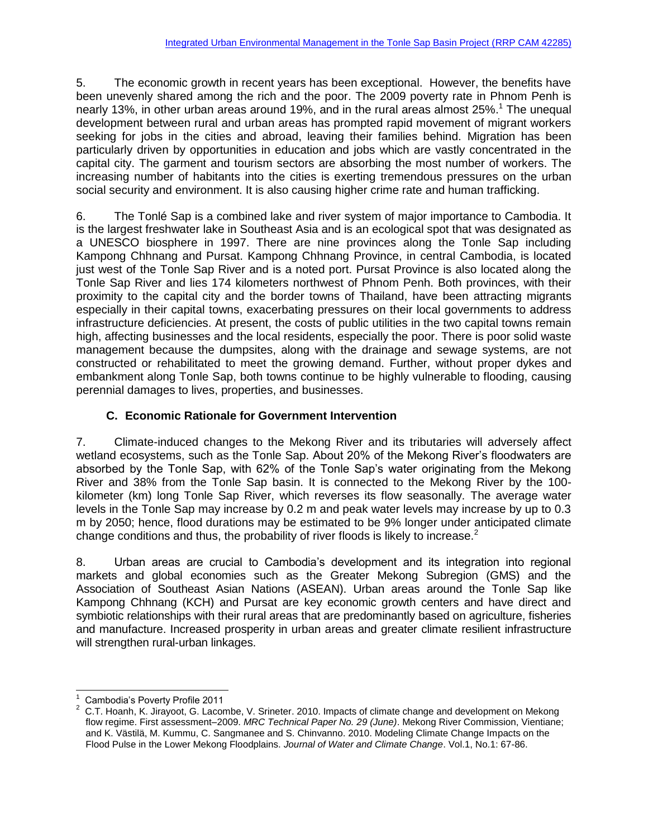5. The economic growth in recent years has been exceptional. However, the benefits have been unevenly shared among the rich and the poor. The 2009 poverty rate in Phnom Penh is nearly 13%, in other urban areas around 19%, and in the rural areas almost 25%.<sup>1</sup> The unequal development between rural and urban areas has prompted rapid movement of migrant workers seeking for jobs in the cities and abroad, leaving their families behind. Migration has been particularly driven by opportunities in education and jobs which are vastly concentrated in the capital city. The garment and tourism sectors are absorbing the most number of workers. The increasing number of habitants into the cities is exerting tremendous pressures on the urban social security and environment. It is also causing higher crime rate and human trafficking.

6. The Tonlé Sap is a combined lake and river system of major importance to Cambodia. It is the largest freshwater lake in Southeast Asia and is an ecological spot that was designated as a UNESCO biosphere in 1997. There are nine provinces along the Tonle Sap including Kampong Chhnang and Pursat. Kampong Chhnang Province, in central Cambodia, is located just west of the Tonle Sap River and is a noted port. Pursat Province is also located along the Tonle Sap River and lies 174 kilometers northwest of Phnom Penh. Both provinces, with their proximity to the capital city and the border towns of Thailand, have been attracting migrants especially in their capital towns, exacerbating pressures on their local governments to address infrastructure deficiencies. At present, the costs of public utilities in the two capital towns remain high, affecting businesses and the local residents, especially the poor. There is poor solid waste management because the dumpsites, along with the drainage and sewage systems, are not constructed or rehabilitated to meet the growing demand. Further, without proper dykes and embankment along Tonle Sap, both towns continue to be highly vulnerable to flooding, causing perennial damages to lives, properties, and businesses.

# **C. Economic Rationale for Government Intervention**

7. Climate-induced changes to the Mekong River and its tributaries will adversely affect wetland ecosystems, such as the Tonle Sap. About 20% of the Mekong River's floodwaters are absorbed by the Tonle Sap, with 62% of the Tonle Sap's water originating from the Mekong River and 38% from the Tonle Sap basin. It is connected to the Mekong River by the 100 kilometer (km) long Tonle Sap River, which reverses its flow seasonally. The average water levels in the Tonle Sap may increase by 0.2 m and peak water levels may increase by up to 0.3 m by 2050; hence, flood durations may be estimated to be 9% longer under anticipated climate change conditions and thus, the probability of river floods is likely to increase.<sup>2</sup>

8. Urban areas are crucial to Cambodia's development and its integration into regional markets and global economies such as the Greater Mekong Subregion (GMS) and the Association of Southeast Asian Nations (ASEAN). Urban areas around the Tonle Sap like Kampong Chhnang (KCH) and Pursat are key economic growth centers and have direct and symbiotic relationships with their rural areas that are predominantly based on agriculture, fisheries and manufacture. Increased prosperity in urban areas and greater climate resilient infrastructure will strengthen rural-urban linkages.

l 1 Cambodia's Poverty Profile 2011

<sup>&</sup>lt;sup>2</sup> C.T. Hoanh, K. Jirayoot, G. Lacombe, V. Srineter. 2010. Impacts of climate change and development on Mekong flow regime. First assessment–2009. *MRC Technical Paper No. 29 (June)*. Mekong River Commission, Vientiane; and K. Västilä, M. Kummu, C. Sangmanee and S. Chinvanno. 2010. Modeling Climate Change Impacts on the Flood Pulse in the Lower Mekong Floodplains. *Journal of Water and Climate Change*. Vol.1, No.1: 67-86.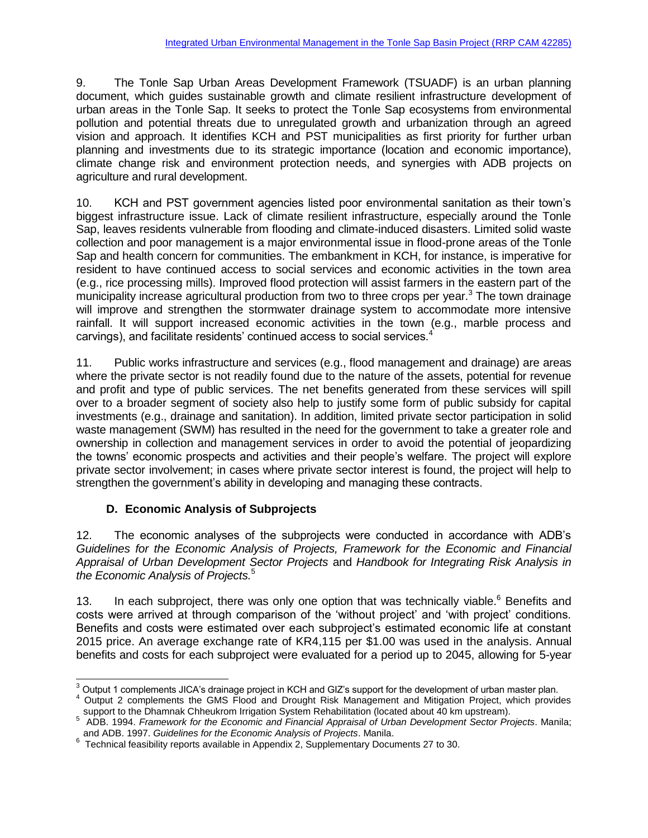9. The Tonle Sap Urban Areas Development Framework (TSUADF) is an urban planning document, which guides sustainable growth and climate resilient infrastructure development of urban areas in the Tonle Sap. It seeks to protect the Tonle Sap ecosystems from environmental pollution and potential threats due to unregulated growth and urbanization through an agreed vision and approach. It identifies KCH and PST municipalities as first priority for further urban planning and investments due to its strategic importance (location and economic importance), climate change risk and environment protection needs, and synergies with ADB projects on agriculture and rural development.

10. KCH and PST government agencies listed poor environmental sanitation as their town's biggest infrastructure issue. Lack of climate resilient infrastructure, especially around the Tonle Sap, leaves residents vulnerable from flooding and climate-induced disasters. Limited solid waste collection and poor management is a major environmental issue in flood-prone areas of the Tonle Sap and health concern for communities. The embankment in KCH, for instance, is imperative for resident to have continued access to social services and economic activities in the town area (e.g., rice processing mills). Improved flood protection will assist farmers in the eastern part of the municipality increase agricultural production from two to three crops per year.<sup>3</sup> The town drainage will improve and strengthen the stormwater drainage system to accommodate more intensive rainfall. It will support increased economic activities in the town (e.g., marble process and carvings), and facilitate residents' continued access to social services.<sup>4</sup>

11. Public works infrastructure and services (e.g., flood management and drainage) are areas where the private sector is not readily found due to the nature of the assets, potential for revenue and profit and type of public services. The net benefits generated from these services will spill over to a broader segment of society also help to justify some form of public subsidy for capital investments (e.g., drainage and sanitation). In addition, limited private sector participation in solid waste management (SWM) has resulted in the need for the government to take a greater role and ownership in collection and management services in order to avoid the potential of jeopardizing the towns' economic prospects and activities and their people's welfare. The project will explore private sector involvement; in cases where private sector interest is found, the project will help to strengthen the government's ability in developing and managing these contracts.

# **D. Economic Analysis of Subprojects**

12. The economic analyses of the subprojects were conducted in accordance with ADB's *Guidelines for the Economic Analysis of Projects, Framework for the Economic and Financial Appraisal of Urban Development Sector Projects* and *Handbook for Integrating Risk Analysis in the Economic Analysis of Projects.*<sup>5</sup>

13. In each subproject, there was only one option that was technically viable.<sup>6</sup> Benefits and costs were arrived at through comparison of the 'without project' and 'with project' conditions. Benefits and costs were estimated over each subproject's estimated economic life at constant 2015 price. An average exchange rate of KR4,115 per \$1.00 was used in the analysis. Annual benefits and costs for each subproject were evaluated for a period up to 2045, allowing for 5-year

 $\overline{a}$  $3$  Output 1 complements JICA's drainage project in KCH and GIZ's support for the development of urban master plan.

<sup>4</sup> Output 2 complements the GMS Flood and Drought Risk Management and Mitigation Project, which provides

support to the Dhamnak Chheukrom Irrigation System Rehabilitation (located about 40 km upstream). 5 ADB. 1994. *Framework for the Economic and Financial Appraisal of Urban Development Sector Projects*. Manila; and ADB. 1997. *Guidelines for the Economic Analysis of Projects*. Manila.

 $6$  Technical feasibility reports available in Appendix 2, Supplementary Documents 27 to 30.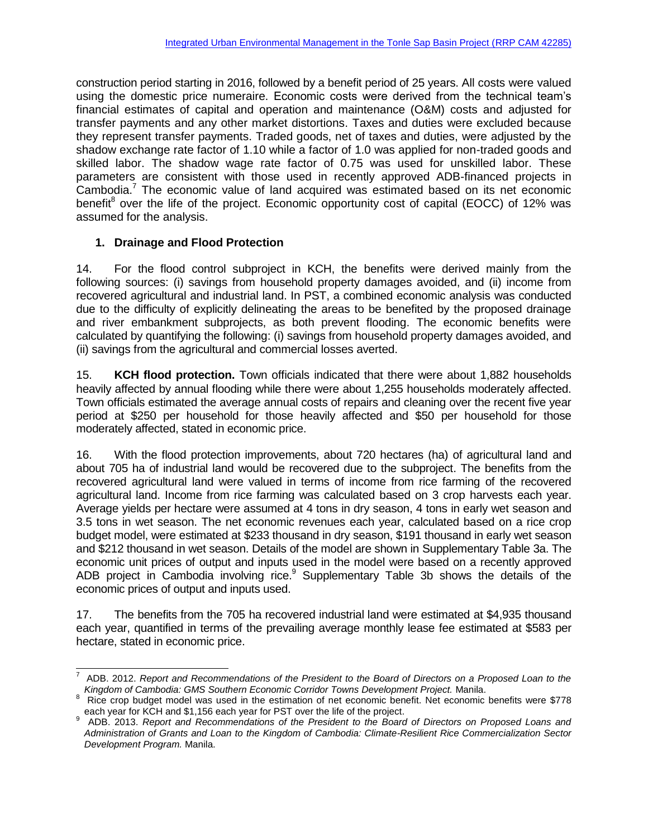construction period starting in 2016, followed by a benefit period of 25 years. All costs were valued using the domestic price numeraire. Economic costs were derived from the technical team's financial estimates of capital and operation and maintenance (O&M) costs and adjusted for transfer payments and any other market distortions. Taxes and duties were excluded because they represent transfer payments. Traded goods, net of taxes and duties, were adjusted by the shadow exchange rate factor of 1.10 while a factor of 1.0 was applied for non-traded goods and skilled labor. The shadow wage rate factor of 0.75 was used for unskilled labor. These parameters are consistent with those used in recently approved ADB-financed projects in Cambodia.<sup>7</sup> The economic value of land acquired was estimated based on its net economic benefit<sup>8</sup> over the life of the project. Economic opportunity cost of capital (EOCC) of 12% was assumed for the analysis.

# **1. Drainage and Flood Protection**

14. For the flood control subproject in KCH, the benefits were derived mainly from the following sources: (i) savings from household property damages avoided, and (ii) income from recovered agricultural and industrial land. In PST, a combined economic analysis was conducted due to the difficulty of explicitly delineating the areas to be benefited by the proposed drainage and river embankment subprojects, as both prevent flooding. The economic benefits were calculated by quantifying the following: (i) savings from household property damages avoided, and (ii) savings from the agricultural and commercial losses averted.

15. **KCH flood protection.** Town officials indicated that there were about 1,882 households heavily affected by annual flooding while there were about 1,255 households moderately affected. Town officials estimated the average annual costs of repairs and cleaning over the recent five year period at \$250 per household for those heavily affected and \$50 per household for those moderately affected, stated in economic price.

16. With the flood protection improvements, about 720 hectares (ha) of agricultural land and about 705 ha of industrial land would be recovered due to the subproject. The benefits from the recovered agricultural land were valued in terms of income from rice farming of the recovered agricultural land. Income from rice farming was calculated based on 3 crop harvests each year. Average yields per hectare were assumed at 4 tons in dry season, 4 tons in early wet season and 3.5 tons in wet season. The net economic revenues each year, calculated based on a rice crop budget model, were estimated at \$233 thousand in dry season, \$191 thousand in early wet season and \$212 thousand in wet season. Details of the model are shown in Supplementary Table 3a. The economic unit prices of output and inputs used in the model were based on a recently approved ADB project in Cambodia involving rice.<sup>9</sup> Supplementary Table 3b shows the details of the economic prices of output and inputs used.

17. The benefits from the 705 ha recovered industrial land were estimated at \$4,935 thousand each year, quantified in terms of the prevailing average monthly lease fee estimated at \$583 per hectare, stated in economic price.

 $\overline{a}$ 7 ADB. 2012. *Report and Recommendations of the President to the Board of Directors on a Proposed Loan to the Kingdom of Cambodia: GMS Southern Economic Corridor Towns Development Project.* Manila.

<sup>8</sup> Rice crop budget model was used in the estimation of net economic benefit. Net economic benefits were \$778 each year for KCH and \$1,156 each year for PST over the life of the project.<br><sup>9</sup> ADB 2013, Benert and Recommendations of the Prosident to the Recry

ADB. 2013. *Report and Recommendations of the President to the Board of Directors on Proposed Loans and Administration of Grants and Loan to the Kingdom of Cambodia: Climate-Resilient Rice Commercialization Sector Development Program.* Manila.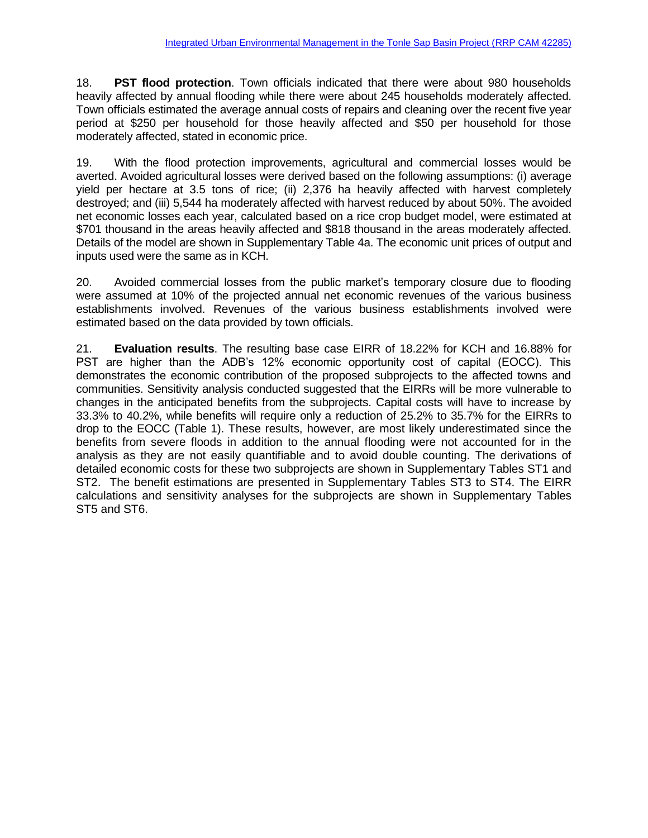18. **PST flood protection**. Town officials indicated that there were about 980 households heavily affected by annual flooding while there were about 245 households moderately affected. Town officials estimated the average annual costs of repairs and cleaning over the recent five year period at \$250 per household for those heavily affected and \$50 per household for those moderately affected, stated in economic price.

19. With the flood protection improvements, agricultural and commercial losses would be averted. Avoided agricultural losses were derived based on the following assumptions: (i) average yield per hectare at 3.5 tons of rice; (ii) 2,376 ha heavily affected with harvest completely destroyed; and (iii) 5,544 ha moderately affected with harvest reduced by about 50%. The avoided net economic losses each year, calculated based on a rice crop budget model, were estimated at \$701 thousand in the areas heavily affected and \$818 thousand in the areas moderately affected. Details of the model are shown in Supplementary Table 4a. The economic unit prices of output and inputs used were the same as in KCH.

20. Avoided commercial losses from the public market's temporary closure due to flooding were assumed at 10% of the projected annual net economic revenues of the various business establishments involved. Revenues of the various business establishments involved were estimated based on the data provided by town officials.

21. **Evaluation results**. The resulting base case EIRR of 18.22% for KCH and 16.88% for PST are higher than the ADB's 12% economic opportunity cost of capital (EOCC). This demonstrates the economic contribution of the proposed subprojects to the affected towns and communities. Sensitivity analysis conducted suggested that the EIRRs will be more vulnerable to changes in the anticipated benefits from the subprojects. Capital costs will have to increase by 33.3% to 40.2%, while benefits will require only a reduction of 25.2% to 35.7% for the EIRRs to drop to the EOCC (Table 1). These results, however, are most likely underestimated since the benefits from severe floods in addition to the annual flooding were not accounted for in the analysis as they are not easily quantifiable and to avoid double counting. The derivations of detailed economic costs for these two subprojects are shown in Supplementary Tables ST1 and ST2. The benefit estimations are presented in Supplementary Tables ST3 to ST4. The EIRR calculations and sensitivity analyses for the subprojects are shown in Supplementary Tables ST5 and ST6.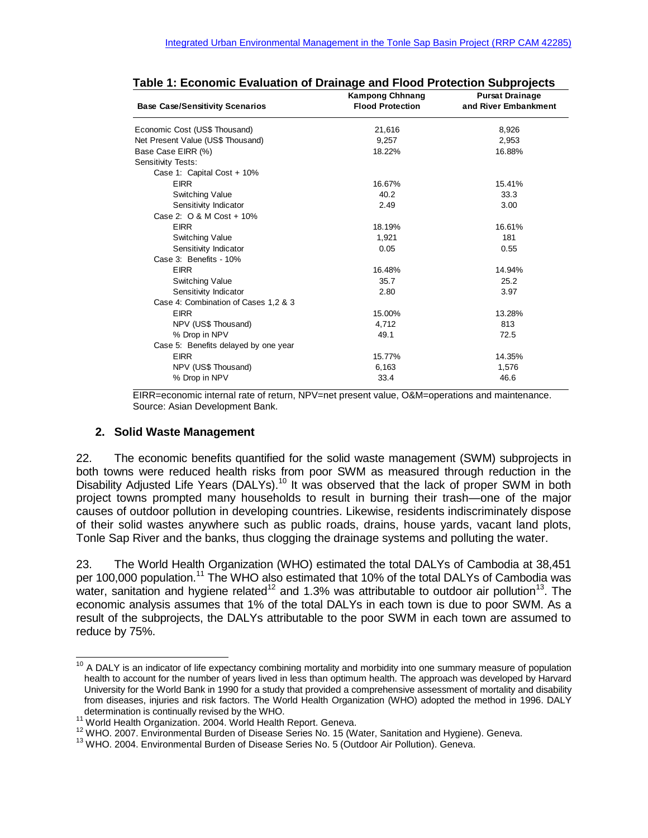| <b>Base Case/Sensitivity Scenarios</b> | <b>Kampong Chhnang</b><br><b>Flood Protection</b> | <b>Pursat Drainage</b><br>and River Embankment |
|----------------------------------------|---------------------------------------------------|------------------------------------------------|
| Economic Cost (US\$ Thousand)          | 21,616                                            | 8,926                                          |
| Net Present Value (US\$ Thousand)      | 9,257                                             | 2,953                                          |
| Base Case EIRR (%)                     | 18.22%                                            | 16.88%                                         |
| Sensitivity Tests:                     |                                                   |                                                |
| Case 1: Capital Cost + 10%             |                                                   |                                                |
| <b>EIRR</b>                            | 16.67%                                            | 15.41%                                         |
| <b>Switching Value</b>                 | 40.2                                              | 33.3                                           |
| Sensitivity Indicator                  | 2.49                                              | 3.00                                           |
| Case 2: O & M Cost + 10%               |                                                   |                                                |
| <b>EIRR</b>                            | 18.19%                                            | 16.61%                                         |
| <b>Switching Value</b>                 | 1,921                                             | 181                                            |
| Sensitivity Indicator                  | 0.05                                              | 0.55                                           |
| Case 3: Benefits - 10%                 |                                                   |                                                |
| <b>EIRR</b>                            | 16.48%                                            | 14.94%                                         |
| <b>Switching Value</b>                 | 35.7                                              | 25.2                                           |
| Sensitivity Indicator                  | 2.80                                              | 3.97                                           |
| Case 4: Combination of Cases 1,2 & 3   |                                                   |                                                |
| <b>EIRR</b>                            | 15.00%                                            | 13.28%                                         |
| NPV (US\$ Thousand)                    | 4,712                                             | 813                                            |
| % Drop in NPV                          | 49.1                                              | 72.5                                           |
| Case 5: Benefits delayed by one year   |                                                   |                                                |
| <b>EIRR</b>                            | 15.77%                                            | 14.35%                                         |
| NPV (US\$ Thousand)                    | 6,163                                             | 1,576                                          |
| % Drop in NPV                          | 33.4                                              | 46.6                                           |

EIRR=economic internal rate of return, NPV=net present value, O&M=operations and maintenance. Source: Asian Development Bank.

### **2. Solid Waste Management**

22. The economic benefits quantified for the solid waste management (SWM) subprojects in both towns were reduced health risks from poor SWM as measured through reduction in the Disability Adjusted Life Years (DALYs).<sup>10</sup> It was observed that the lack of proper SWM in both project towns prompted many households to result in burning their trash—one of the major causes of outdoor pollution in developing countries. Likewise, residents indiscriminately dispose of their solid wastes anywhere such as public roads, drains, house yards, vacant land plots, Tonle Sap River and the banks, thus clogging the drainage systems and polluting the water.

23. The World Health Organization (WHO) estimated the total DALYs of Cambodia at 38,451 per 100,000 population.<sup>11</sup> The WHO also estimated that 10% of the total DALYs of Cambodia was water, sanitation and hygiene related<sup>12</sup> and 1.3% was attributable to outdoor air pollution<sup>13</sup>. The economic analysis assumes that 1% of the total DALYs in each town is due to poor SWM. As a result of the subprojects, the DALYs attributable to the poor SWM in each town are assumed to reduce by 75%.

l <sup>10</sup> A DALY is an indicator of life expectancy combining mortality and morbidity into one summary measure of population health to account for the number of years lived in less than optimum health. The approach was developed by Harvard University for the World Bank in 1990 for a study that provided a comprehensive assessment of mortality and disability from diseases, injuries and risk factors. The World Health Organization (WHO) adopted the method in 1996. DALY determination is continually revised by the WHO.

<sup>&</sup>lt;sup>11</sup> World Health Organization. 2004. World Health Report. Geneva.

<sup>12</sup> WHO. 2007. Environmental Burden of Disease Series No. 15 (Water, Sanitation and Hygiene). Geneva.

<sup>&</sup>lt;sup>13</sup> WHO. 2004. Environmental Burden of Disease Series No. 5 (Outdoor Air Pollution). Geneva.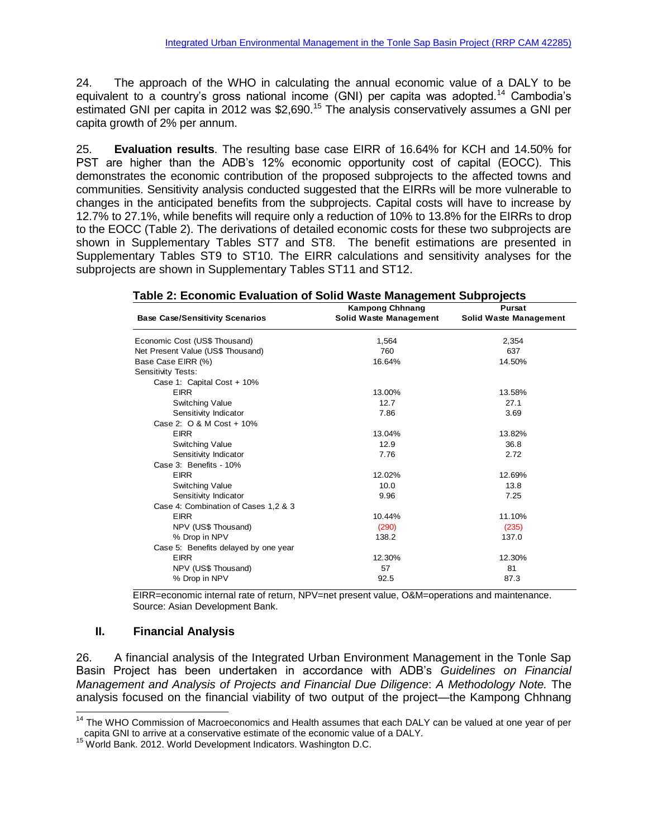24. The approach of the WHO in calculating the annual economic value of a DALY to be equivalent to a country's gross national income (GNI) per capita was adopted.<sup>14</sup> Cambodia's estimated GNI per capita in 2012 was \$2,690.<sup>15</sup> The analysis conservatively assumes a GNI per capita growth of 2% per annum.

25. **Evaluation results**. The resulting base case EIRR of 16.64% for KCH and 14.50% for PST are higher than the ADB's 12% economic opportunity cost of capital (EOCC). This demonstrates the economic contribution of the proposed subprojects to the affected towns and communities. Sensitivity analysis conducted suggested that the EIRRs will be more vulnerable to changes in the anticipated benefits from the subprojects. Capital costs will have to increase by 12.7% to 27.1%, while benefits will require only a reduction of 10% to 13.8% for the EIRRs to drop to the EOCC (Table 2). The derivations of detailed economic costs for these two subprojects are shown in Supplementary Tables ST7 and ST8. The benefit estimations are presented in Supplementary Tables ST9 to ST10. The EIRR calculations and sensitivity analyses for the subprojects are shown in Supplementary Tables ST11 and ST12.

|--|

| <b>Base Case/Sensitivity Scenarios</b> | <b>Kampong Chhnang</b><br><b>Solid Waste Management</b> | <b>Pursat</b><br>Solid Waste Management |
|----------------------------------------|---------------------------------------------------------|-----------------------------------------|
| Economic Cost (US\$ Thousand)          | 1,564                                                   | 2,354                                   |
| Net Present Value (US\$ Thousand)      | 760                                                     | 637                                     |
| Base Case EIRR (%)                     | 16.64%                                                  | 14.50%                                  |
| Sensitivity Tests:                     |                                                         |                                         |
| Case 1: Capital Cost + 10%             |                                                         |                                         |
| <b>EIRR</b>                            | 13.00%                                                  | 13.58%                                  |
| <b>Switching Value</b>                 | 12.7                                                    | 27.1                                    |
| Sensitivity Indicator                  | 7.86                                                    | 3.69                                    |
| Case 2: 0 & M Cost + 10%               |                                                         |                                         |
| <b>EIRR</b>                            | 13.04%                                                  | 13.82%                                  |
| Switching Value                        | 12.9                                                    | 36.8                                    |
| Sensitivity Indicator                  | 7.76                                                    | 2.72                                    |
| Case 3: Benefits - 10%                 |                                                         |                                         |
| <b>EIRR</b>                            | 12.02%                                                  | 12.69%                                  |
| Switching Value                        | 10.0                                                    | 13.8                                    |
| Sensitivity Indicator                  | 9.96                                                    | 7.25                                    |
| Case 4: Combination of Cases 1,2 & 3   |                                                         |                                         |
| <b>EIRR</b>                            | 10.44%                                                  | 11.10%                                  |
| NPV (US\$ Thousand)                    | (290)                                                   | (235)                                   |
| % Drop in NPV                          | 138.2                                                   | 137.0                                   |
| Case 5: Benefits delayed by one year   |                                                         |                                         |
| <b>EIRR</b>                            | 12.30%                                                  | 12.30%                                  |
| NPV (US\$ Thousand)                    | 57                                                      | 81                                      |
| % Drop in NPV                          | 92.5                                                    | 87.3                                    |

EIRR=economic internal rate of return, NPV=net present value, O&M=operations and maintenance. Source: Asian Development Bank.

### **II. Financial Analysis**

l

26. A financial analysis of the Integrated Urban Environment Management in the Tonle Sap Basin Project has been undertaken in accordance with ADB's *Guidelines on Financial Management and Analysis of Projects and Financial Due Diligence*: *A Methodology Note.* The analysis focused on the financial viability of two output of the project—the Kampong Chhnang

<sup>15</sup> World Bank. 2012. World Development Indicators. Washington D.C.

<sup>&</sup>lt;sup>14</sup> The WHO Commission of Macroeconomics and Health assumes that each DALY can be valued at one year of per capita GNI to arrive at a conservative estimate of the economic value of a DALY.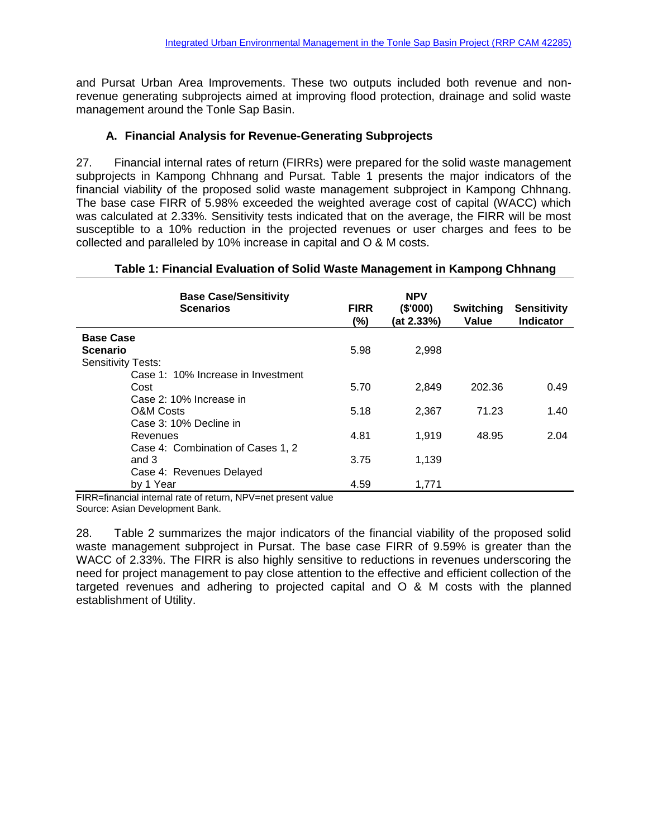and Pursat Urban Area Improvements. These two outputs included both revenue and nonrevenue generating subprojects aimed at improving flood protection, drainage and solid waste management around the Tonle Sap Basin.

# **A. Financial Analysis for Revenue-Generating Subprojects**

27. Financial internal rates of return (FIRRs) were prepared for the solid waste management subprojects in Kampong Chhnang and Pursat. Table 1 presents the major indicators of the financial viability of the proposed solid waste management subproject in Kampong Chhnang. The base case FIRR of 5.98% exceeded the weighted average cost of capital (WACC) which was calculated at 2.33%. Sensitivity tests indicated that on the average, the FIRR will be most susceptible to a 10% reduction in the projected revenues or user charges and fees to be collected and paralleled by 10% increase in capital and O & M costs.

### **Table 1: Financial Evaluation of Solid Waste Management in Kampong Chhnang**

| <b>Base Case/Sensitivity</b><br><b>Scenarios</b>                      | <b>FIRR</b><br>(%) | <b>NPV</b><br>(\$'000)<br>(at 2.33%) | Switching<br>Value | <b>Sensitivity</b><br><b>Indicator</b> |
|-----------------------------------------------------------------------|--------------------|--------------------------------------|--------------------|----------------------------------------|
| <b>Base Case</b><br><b>Scenario</b><br><b>Sensitivity Tests:</b>      | 5.98               | 2,998                                |                    |                                        |
| Case 1: 10% Increase in Investment<br>Cost<br>Case 2: 10% Increase in | 5.70               | 2.849                                | 202.36             | 0.49                                   |
| <b>O&amp;M Costs</b><br>Case 3: 10% Decline in                        | 5.18               | 2,367                                | 71.23              | 1.40                                   |
| Revenues<br>Case 4: Combination of Cases 1, 2                         | 4.81               | 1,919                                | 48.95              | 2.04                                   |
| and 3<br>Case 4: Revenues Delayed                                     | 3.75               | 1.139                                |                    |                                        |
| by 1 Year                                                             | 4.59               | 1,771                                |                    |                                        |

FIRR=financial internal rate of return, NPV=net present value Source: Asian Development Bank.

28. Table 2 summarizes the major indicators of the financial viability of the proposed solid waste management subproject in Pursat. The base case FIRR of 9.59% is greater than the WACC of 2.33%. The FIRR is also highly sensitive to reductions in revenues underscoring the need for project management to pay close attention to the effective and efficient collection of the targeted revenues and adhering to projected capital and O & M costs with the planned establishment of Utility.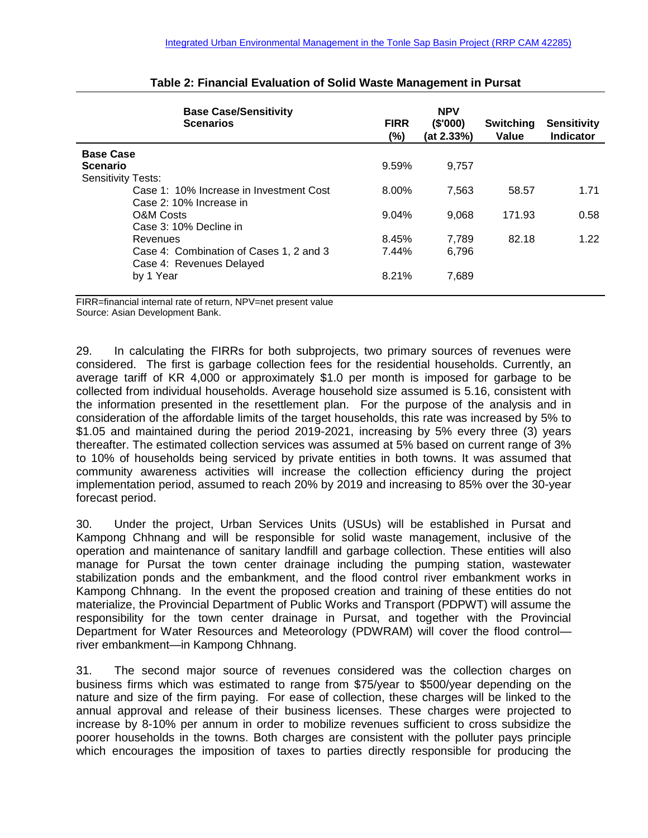| <b>Base Case/Sensitivity</b><br><b>Scenarios</b> | <b>FIRR</b><br>(%) | <b>NPV</b><br>(\$'000)<br>(at 2.33%) | Switching<br>Value | <b>Sensitivity</b><br><b>Indicator</b> |
|--------------------------------------------------|--------------------|--------------------------------------|--------------------|----------------------------------------|
| <b>Base Case</b>                                 |                    |                                      |                    |                                        |
| <b>Scenario</b>                                  | 9.59%              | 9.757                                |                    |                                        |
| <b>Sensitivity Tests:</b>                        |                    |                                      |                    |                                        |
| Case 1: 10% Increase in Investment Cost          | 8.00%              | 7.563                                | 58.57              | 1.71                                   |
| Case 2: 10% Increase in                          |                    |                                      |                    |                                        |
| O&M Costs                                        | 9.04%              | 9.068                                | 171.93             | 0.58                                   |
| Case 3: 10% Decline in                           |                    |                                      |                    |                                        |
| Revenues                                         | 8.45%              | 7.789                                | 82.18              | 1.22                                   |
| Case 4: Combination of Cases 1, 2 and 3          | 7.44%              | 6.796                                |                    |                                        |
| Case 4: Revenues Delayed                         |                    |                                      |                    |                                        |
| by 1 Year                                        | 8.21%              | 7,689                                |                    |                                        |

### **Table 2: Financial Evaluation of Solid Waste Management in Pursat**

FIRR=financial internal rate of return, NPV=net present value Source: Asian Development Bank.

29. In calculating the FIRRs for both subprojects, two primary sources of revenues were considered. The first is garbage collection fees for the residential households. Currently, an average tariff of KR 4,000 or approximately \$1.0 per month is imposed for garbage to be collected from individual households. Average household size assumed is 5.16, consistent with the information presented in the resettlement plan. For the purpose of the analysis and in consideration of the affordable limits of the target households, this rate was increased by 5% to \$1.05 and maintained during the period 2019-2021, increasing by 5% every three (3) years thereafter. The estimated collection services was assumed at 5% based on current range of 3% to 10% of households being serviced by private entities in both towns. It was assumed that community awareness activities will increase the collection efficiency during the project implementation period, assumed to reach 20% by 2019 and increasing to 85% over the 30-year forecast period.

30. Under the project, Urban Services Units (USUs) will be established in Pursat and Kampong Chhnang and will be responsible for solid waste management, inclusive of the operation and maintenance of sanitary landfill and garbage collection. These entities will also manage for Pursat the town center drainage including the pumping station, wastewater stabilization ponds and the embankment, and the flood control river embankment works in Kampong Chhnang. In the event the proposed creation and training of these entities do not materialize, the Provincial Department of Public Works and Transport (PDPWT) will assume the responsibility for the town center drainage in Pursat, and together with the Provincial Department for Water Resources and Meteorology (PDWRAM) will cover the flood control river embankment—in Kampong Chhnang.

31. The second major source of revenues considered was the collection charges on business firms which was estimated to range from \$75/year to \$500/year depending on the nature and size of the firm paying. For ease of collection, these charges will be linked to the annual approval and release of their business licenses. These charges were projected to increase by 8-10% per annum in order to mobilize revenues sufficient to cross subsidize the poorer households in the towns. Both charges are consistent with the polluter pays principle which encourages the imposition of taxes to parties directly responsible for producing the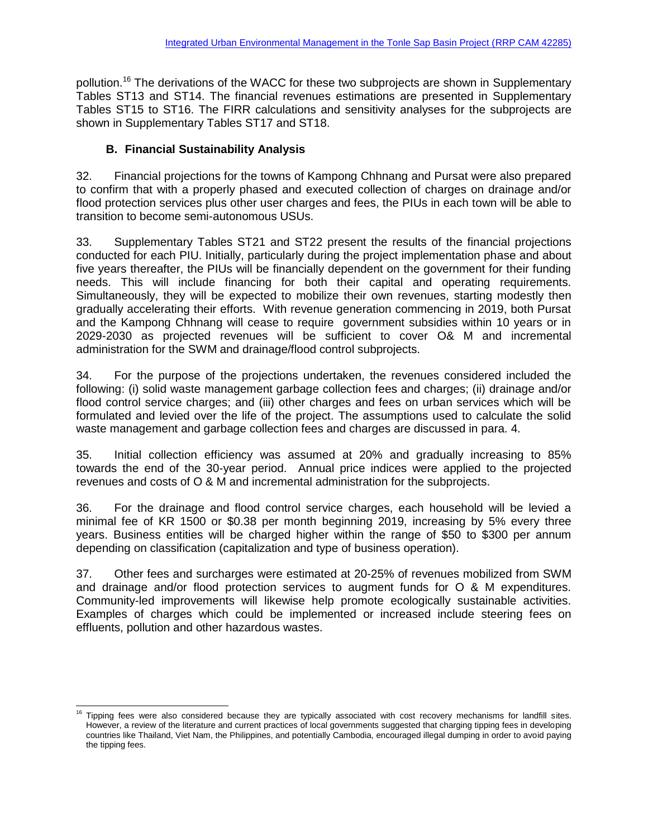pollution.<sup>16</sup> The derivations of the WACC for these two subprojects are shown in Supplementary Tables ST13 and ST14. The financial revenues estimations are presented in Supplementary Tables ST15 to ST16. The FIRR calculations and sensitivity analyses for the subprojects are shown in Supplementary Tables ST17 and ST18.

# **B. Financial Sustainability Analysis**

32. Financial projections for the towns of Kampong Chhnang and Pursat were also prepared to confirm that with a properly phased and executed collection of charges on drainage and/or flood protection services plus other user charges and fees, the PIUs in each town will be able to transition to become semi-autonomous USUs.

33. Supplementary Tables ST21 and ST22 present the results of the financial projections conducted for each PIU. Initially, particularly during the project implementation phase and about five years thereafter, the PIUs will be financially dependent on the government for their funding needs. This will include financing for both their capital and operating requirements. Simultaneously, they will be expected to mobilize their own revenues, starting modestly then gradually accelerating their efforts. With revenue generation commencing in 2019, both Pursat and the Kampong Chhnang will cease to require government subsidies within 10 years or in 2029-2030 as projected revenues will be sufficient to cover O& M and incremental administration for the SWM and drainage/flood control subprojects.

34. For the purpose of the projections undertaken, the revenues considered included the following: (i) solid waste management garbage collection fees and charges; (ii) drainage and/or flood control service charges; and (iii) other charges and fees on urban services which will be formulated and levied over the life of the project. The assumptions used to calculate the solid waste management and garbage collection fees and charges are discussed in para. 4.

35. Initial collection efficiency was assumed at 20% and gradually increasing to 85% towards the end of the 30-year period. Annual price indices were applied to the projected revenues and costs of O & M and incremental administration for the subprojects.

36. For the drainage and flood control service charges, each household will be levied a minimal fee of KR 1500 or \$0.38 per month beginning 2019, increasing by 5% every three years. Business entities will be charged higher within the range of \$50 to \$300 per annum depending on classification (capitalization and type of business operation).

37. Other fees and surcharges were estimated at 20-25% of revenues mobilized from SWM and drainage and/or flood protection services to augment funds for O & M expenditures. Community-led improvements will likewise help promote ecologically sustainable activities. Examples of charges which could be implemented or increased include steering fees on effluents, pollution and other hazardous wastes.

l Tipping fees were also considered because they are typically associated with cost recovery mechanisms for landfill sites. However, a review of the literature and current practices of local governments suggested that charging tipping fees in developing countries like Thailand, Viet Nam, the Philippines, and potentially Cambodia, encouraged illegal dumping in order to avoid paying the tipping fees.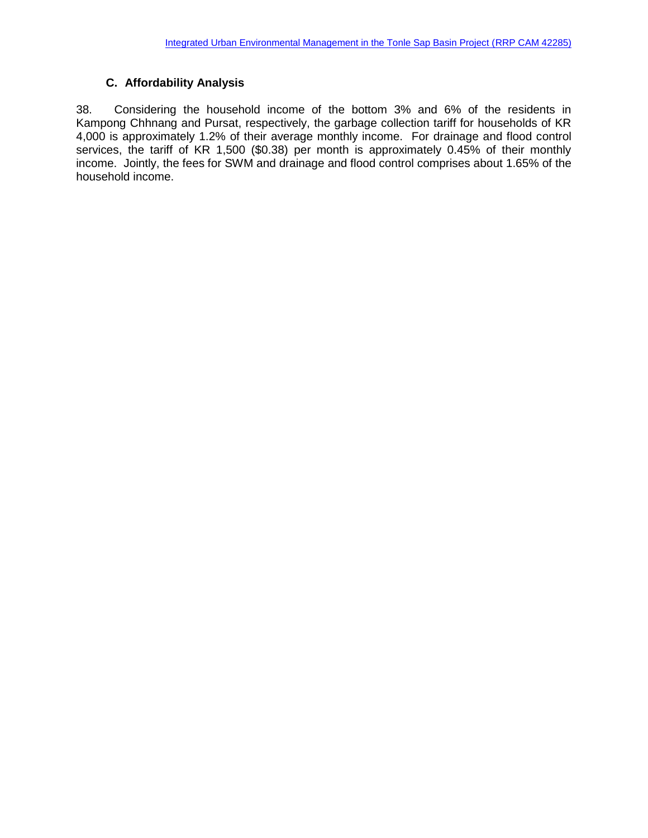# **C. Affordability Analysis**

38. Considering the household income of the bottom 3% and 6% of the residents in Kampong Chhnang and Pursat, respectively, the garbage collection tariff for households of KR 4,000 is approximately 1.2% of their average monthly income. For drainage and flood control services, the tariff of KR 1,500 (\$0.38) per month is approximately 0.45% of their monthly income. Jointly, the fees for SWM and drainage and flood control comprises about 1.65% of the household income.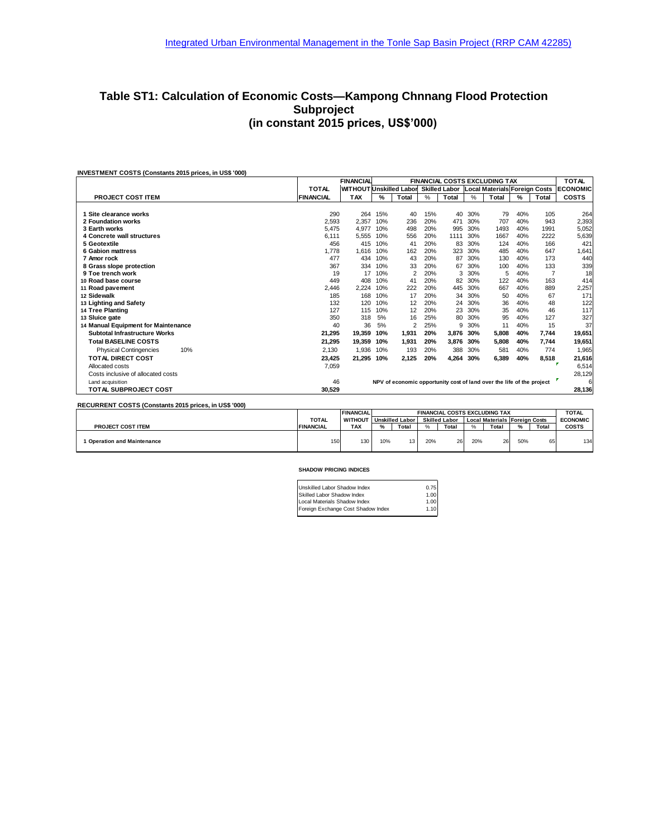### **Table ST1: Calculation of Economic Costs—Kampong Chnnang Flood Protection Subproject (in constant 2015 prices, US\$'000)**

| <b>INVESTMENT COSTS (Constants 2015 prices, in US\$ '000)</b> |                  |                         |                                      |       |  |       |   |       |   |       |                                                               |
|---------------------------------------------------------------|------------------|-------------------------|--------------------------------------|-------|--|-------|---|-------|---|-------|---------------------------------------------------------------|
|                                                               |                  | <b>FINANCIAL</b>        | <b>FINANCIAL COSTS EXCLUDING TAX</b> |       |  |       |   |       |   |       |                                                               |
|                                                               | <b>TOTAL</b>     | WITHOUT Unskilled Labor |                                      |       |  |       |   |       |   |       | <b>Skilled Labor Local Materials Foreign Costs   ECONOMIC</b> |
| <b>PROJECT COST ITEM</b>                                      | <b>FINANCIAL</b> | <b>TAX</b>              | %                                    | Total |  | Total | % | Total | % | Total | <b>COSTS</b>                                                  |

|                                      | .      |                                                                       |     | .     | $\overline{\phantom{a}}$ | $\cdot$ | $\overline{\phantom{a}}$ | .     | $\cdot$ | .     |             |  |
|--------------------------------------|--------|-----------------------------------------------------------------------|-----|-------|--------------------------|---------|--------------------------|-------|---------|-------|-------------|--|
|                                      |        |                                                                       |     |       |                          |         |                          |       |         |       |             |  |
| 1 Site clearance works               | 290    | 264                                                                   | 15% | 40    | 15%                      | 40      | 30%                      | 79    | 40%     | 105   | 264         |  |
| 2 Foundation works                   | 2,593  | 2,357                                                                 | 10% | 236   | 20%                      | 471     | 30%                      | 707   | 40%     | 943   | 2,393       |  |
| 3 Earth works                        | 5,475  | 4,977                                                                 | 10% | 498   | 20%                      | 995     | 30%                      | 1493  | 40%     | 1991  | 5,052       |  |
| 4 Concrete wall structures           | 6,111  | 5,555                                                                 | 10% | 556   | 20%                      | 1111    | 30%                      | 1667  | 40%     | 2222  | 5,639       |  |
| 5 Geotextile                         | 456    | 415                                                                   | 10% | 41    | 20%                      | 83      | 30%                      | 124   | 40%     | 166   | 421         |  |
| <b>6 Gabion mattress</b>             | 1,778  | 1,616                                                                 | 10% | 162   | 20%                      | 323     | 30%                      | 485   | 40%     | 647   | 1,641       |  |
| 7 Amor rock                          | 477    | 434                                                                   | 10% | 43    | 20%                      | 87      | 30%                      | 130   | 40%     | 173   | 440         |  |
| 8 Grass slope protection             | 367    | 334                                                                   | 10% | 33    | 20%                      | 67      | 30%                      | 100   | 40%     | 133   | 339         |  |
| 9 Toe trench work                    | 19     | 17                                                                    | 10% |       | 20%                      | 3       | 30%                      | 5     | 40%     |       | 18          |  |
| 10 Road base course                  | 449    | 408                                                                   | 10% | 41    | 20%                      | 82      | 30%                      | 122   | 40%     | 163   | 414         |  |
| 11 Road pavement                     | 2,446  | 2,224                                                                 | 10% | 222   | 20%                      | 445     | 30%                      | 667   | 40%     | 889   | 2,257       |  |
| 12 Sidewalk                          | 185    | 168                                                                   | 10% | 17    | 20%                      | 34      | 30%                      | 50    | 40%     | 67    | 171         |  |
| 13 Lighting and Safety               | 132    | 120                                                                   | 10% | 12    | 20%                      | 24      | 30%                      | 36    | 40%     | 48    | 122         |  |
| 14 Tree Planting                     | 127    | 115                                                                   | 10% | 12    | 20%                      | 23      | 30%                      | 35    | 40%     | 46    | 117         |  |
| 13 Sluice gate                       | 350    | 318                                                                   | 5%  | 16    | 25%                      | 80      | 30%                      | 95    | 40%     | 127   | 327         |  |
| 14 Manual Equipment for Maintenance  | 40     | 36                                                                    | 5%  | 2     | 25%                      | 9       | 30%                      | 11    | 40%     | 15    | 37          |  |
| Subtotal Infrastructure Works        | 21,295 | 19,359                                                                | 10% | 1,931 | 20%                      | 3,876   | 30%                      | 5,808 | 40%     | 7,744 | 19,651      |  |
| <b>Total BASELINE COSTS</b>          | 21,295 | 19,359                                                                | 10% | 1,931 | 20%                      | 3,876   | 30%                      | 5,808 | 40%     | 7,744 | 19,651      |  |
| 10%<br><b>Physical Contingencies</b> | 2,130  | 1,936                                                                 | 10% | 193   | 20%                      | 388     | 30%                      | 581   | 40%     | 774   | 1,965       |  |
| <b>TOTAL DIRECT COST</b>             | 23,425 | 21,295                                                                | 10% | 2,125 | 20%                      | 4,264   | 30%                      | 6,389 | 40%     | 8,518 | 21,616      |  |
| Allocated costs                      | 7,059  |                                                                       |     |       |                          |         |                          |       |         |       | 6,514       |  |
| Costs inclusive of allocated costs   |        |                                                                       |     |       |                          |         |                          |       |         |       | 28,129      |  |
| Land acquisition                     | 46     | NPV of economic opportunity cost of land over the life of the project |     |       |                          |         |                          |       |         |       |             |  |
| <b>TOTAL SUBPROJECT COST</b>         | 30,529 |                                                                       |     |       |                          |         |                          |       |         |       | 6<br>28,136 |  |
|                                      |        |                                                                       |     |       |                          |         |                          |       |         |       |             |  |

**RECURRENT COSTS (Constants 2015 prices, in US\$ '000)**

|                                  |                  | <b>FINANCIAL</b> |      | <b>FINANCIAL COSTS EXCLUDING TAX</b> |     |                      |              |                                      |          | <b>TOTAL</b> |                 |
|----------------------------------|------------------|------------------|------|--------------------------------------|-----|----------------------|--------------|--------------------------------------|----------|--------------|-----------------|
|                                  | <b>TOTAL</b>     | <b>WITHOUT</b>   |      | <b>Unskilled Labor</b>               |     | <b>Skilled Labor</b> |              | <b>Local Materials Foreign Costs</b> |          |              | <b>ECONOMIC</b> |
| <b>PROJECT COST ITEM</b>         | <b>FINANCIAL</b> | <b>TAX</b>       | $\%$ | Total                                | O/L | Total                | $O_{\alpha}$ | Total                                | $\alpha$ | Total        | <b>COSTS</b>    |
| <b>Operation and Maintenance</b> | 150              | 130              | 10%  | 13 <sub>1</sub>                      | 20% | 26                   | 20%          | 26                                   | 50%      | $\sim$<br>65 | 134             |

#### **SHADOW PRICING INDICES**

| 0.75 |
|------|
| 1.00 |
| 1.00 |
| 1.10 |
|      |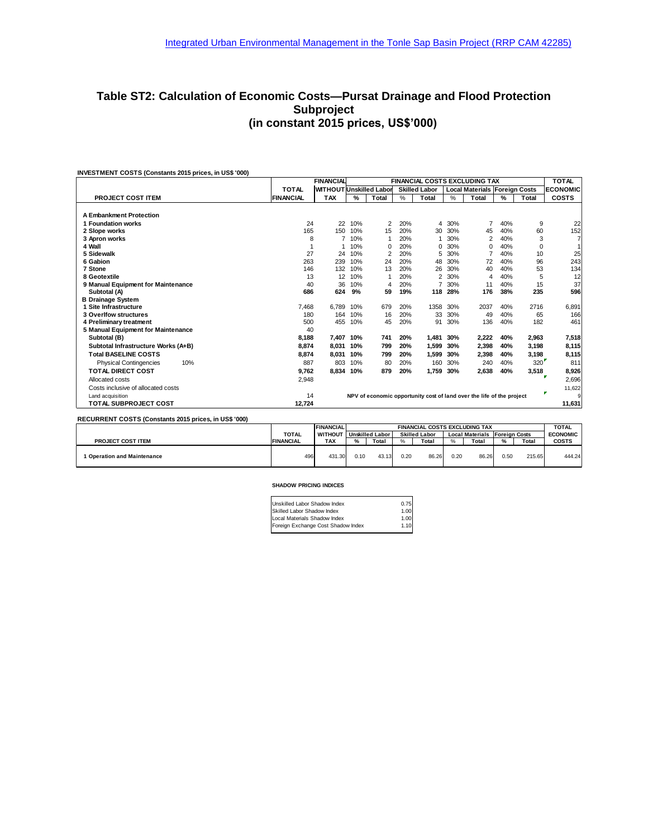### **Table ST2: Calculation of Economic Costs—Pursat Drainage and Flood Protection Subproject (in constant 2015 prices, US\$'000)**

|                                      |                  | <b>FINANCIAL</b><br><b>FINANCIAL COSTS EXCLUDING TAX</b> |               |          |      |                      |      |                                                                       |               | <b>TOTAL</b> |                 |
|--------------------------------------|------------------|----------------------------------------------------------|---------------|----------|------|----------------------|------|-----------------------------------------------------------------------|---------------|--------------|-----------------|
|                                      | <b>TOTAL</b>     | <b>WITHOUT Unskilled Labor</b>                           |               |          |      | <b>Skilled Labor</b> |      | <b>Local Materials Foreign Costs</b>                                  |               |              | <b>ECONOMIC</b> |
| <b>PROJECT COST ITEM</b>             | <b>FINANCIAL</b> | <b>TAX</b>                                               | $\frac{9}{6}$ | Total    | $\%$ | Total                | $\%$ | Total                                                                 | $\frac{9}{6}$ | Total        | <b>COSTS</b>    |
| <b>A Embankment Protection</b>       |                  |                                                          |               |          |      |                      |      |                                                                       |               |              |                 |
| 1 Foundation works                   | 24               | 22                                                       | 10%           | 2        | 20%  | 4                    | 30%  | 7                                                                     | 40%           | 9            | 22              |
| 2 Slope works                        | 165              | 150                                                      | 10%           | 15       | 20%  | 30                   | 30%  | 45                                                                    | 40%           | 60           | 152             |
| 3 Apron works                        | 8                | 7                                                        | 10%           |          | 20%  |                      | 30%  | $\overline{2}$                                                        | 40%           | 3            | $\overline{7}$  |
| 4 Wall                               |                  |                                                          | 10%           | $\Omega$ | 20%  | 0                    | 30%  | 0                                                                     | 40%           | 0            | 1               |
| 5 Sidewalk                           | 27               | 24                                                       | 10%           | 2        | 20%  | 5                    | 30%  | 7                                                                     | 40%           | 10           | 25              |
| 6 Gabion                             | 263              | 239                                                      | 10%           | 24       | 20%  | 48                   | 30%  | 72                                                                    | 40%           | 96           | 243             |
| 7 Stone                              | 146              | 132                                                      | 10%           | 13       | 20%  | 26                   | 30%  | 40                                                                    | 40%           | 53           | 134             |
| 8 Geotextile                         | 13               | 12                                                       | 10%           |          | 20%  | 2                    | 30%  | 4                                                                     | 40%           | 5            | 12              |
| 9 Manual Equipment for Maintenance   | 40               | 36                                                       | 10%           | 4        | 20%  |                      | 30%  | 11                                                                    | 40%           | 15           | 37              |
| Subtotal (A)                         | 686              | 624                                                      | 9%            | 59       | 19%  | 118                  | 28%  | 176                                                                   | 38%           | 235          | 596             |
| <b>B Drainage System</b>             |                  |                                                          |               |          |      |                      |      |                                                                       |               |              |                 |
| 1 Site Infrastructure                | 7.468            | 6.789                                                    | 10%           | 679      | 20%  | 1358                 | 30%  | 2037                                                                  | 40%           | 2716         | 6,891           |
| <b>3 Overlfow structures</b>         | 180              | 164                                                      | 10%           | 16       | 20%  | 33                   | 30%  | 49                                                                    | 40%           | 65           | 166             |
| 4 Preliminary treatment              | 500              | 455                                                      | 10%           | 45       | 20%  | 91                   | 30%  | 136                                                                   | 40%           | 182          | 461             |
| 5 Manual Equipment for Maintenance   | 40               |                                                          |               |          |      |                      |      |                                                                       |               |              |                 |
| Subtotal (B)                         | 8.188            | 7.407                                                    | 10%           | 741      | 20%  | 1.481                | 30%  | 2.222                                                                 | 40%           | 2.963        | 7,518           |
| Subtotal Infrastructure Works (A+B)  | 8.874            | 8.031                                                    | 10%           | 799      | 20%  | 1.599                | 30%  | 2,398                                                                 | 40%           | 3,198        | 8,115           |
| <b>Total BASELINE COSTS</b>          | 8.874            | 8,031                                                    | 10%           | 799      | 20%  | 1.599                | 30%  | 2,398                                                                 | 40%           | 3,198        | 8,115           |
| 10%<br><b>Physical Contingencies</b> | 887              | 803                                                      | 10%           | 80       | 20%  | 160                  | 30%  | 240                                                                   | 40%           | 320          | 811             |
| <b>TOTAL DIRECT COST</b>             | 9.762            | 8.834                                                    | 10%           | 879      | 20%  | 1.759                | 30%  | 2.638                                                                 | 40%           | 3,518        | 8,926           |
| Allocated costs                      | 2,948            |                                                          |               |          |      |                      |      |                                                                       |               |              | 2,696           |
| Costs inclusive of allocated costs   |                  |                                                          |               |          |      |                      |      |                                                                       |               |              | 11,622          |
| Land acquisition                     | 14               |                                                          |               |          |      |                      |      | NPV of economic opportunity cost of land over the life of the project |               |              | ×.<br>9         |
| <b>TOTAL SUBPROJECT COST</b>         | 12.724           |                                                          |               |          |      |                      |      |                                                                       |               |              | 11,631          |

| RECURRENT COSTS (Constants 2015 brices, in US\$ 000) |                  |                  |      |                        |      |                                      |      |                                      |      |        |                 |
|------------------------------------------------------|------------------|------------------|------|------------------------|------|--------------------------------------|------|--------------------------------------|------|--------|-----------------|
|                                                      |                  | <b>FINANCIAL</b> |      |                        |      | <b>FINANCIAL COSTS EXCLUDING TAX</b> |      |                                      |      |        | <b>TOTAL</b>    |
|                                                      | <b>TOTAL</b>     | <b>WITHOUT</b>   |      | <b>Unskilled Labor</b> |      | <b>Skilled Labor</b>                 |      | <b>Local Materials Foreign Costs</b> |      |        | <b>ECONOMIC</b> |
| <b>PROJECT COST ITEM</b>                             | <b>FINANCIAL</b> | <b>TAX</b>       | %    | Total                  | %    | Total                                | %    | Total                                | $\%$ | Total  | <b>COSTS</b>    |
| <b>Operation and Maintenance</b>                     | 496              | 431.30           | 0.10 | 43.13                  | 0.20 | 86.26                                | 0.20 | 86.26                                | 0.50 | 215.65 | 444.24          |

#### **SHADOW PRICING INDICES**

| Unskilled Labor Shadow Index       | 0.75 |
|------------------------------------|------|
| Skilled Labor Shadow Index         | 1.00 |
| Local Materials Shadow Index       | 1.00 |
| Foreign Exchange Cost Shadow Index | 1.10 |
|                                    |      |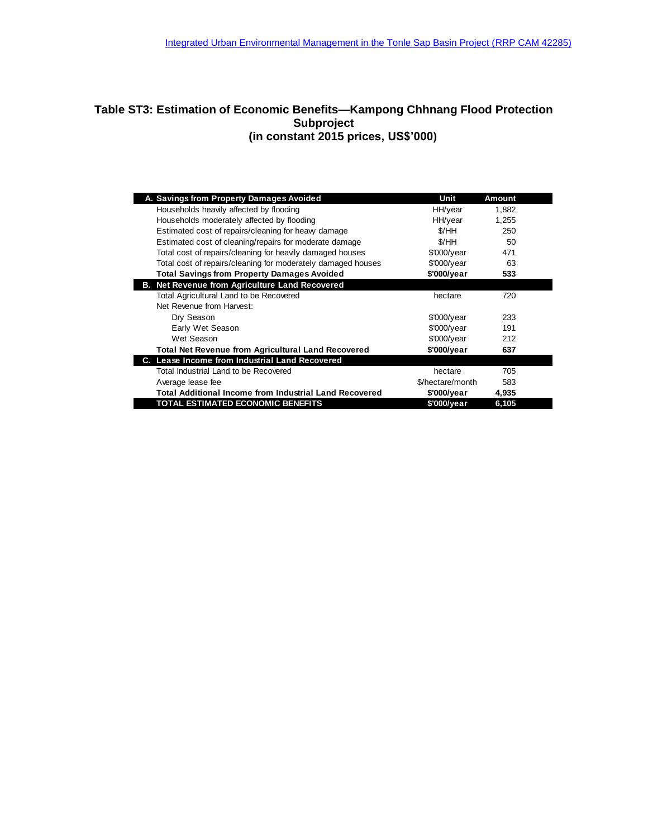### **Table ST3: Estimation of Economic Benefits—Kampong Chhnang Flood Protection Subproject (in constant 2015 prices, US\$'000)**

| A. Savings from Property Damages Avoided                      | Unit                | Amount |  |
|---------------------------------------------------------------|---------------------|--------|--|
| Households heavily affected by flooding                       | HH/year             | 1,882  |  |
| Households moderately affected by flooding                    | HH/year             | 1,255  |  |
| Estimated cost of repairs/cleaning for heavy damage           | \$/HH               | 250    |  |
| Estimated cost of cleaning/repairs for moderate damage        | \$/HH               | 50     |  |
| Total cost of repairs/cleaning for heavily damaged houses     | \$'000/year         | 471    |  |
| Total cost of repairs/cleaning for moderately damaged houses  | \$'000/year         | 63     |  |
| <b>Total Savings from Property Damages Avoided</b>            | \$'000/year         | 533    |  |
| <b>B. Net Revenue from Agriculture Land Recovered</b>         |                     |        |  |
| Total Agricultural Land to be Recovered                       | hectare             | 720    |  |
| Net Revenue from Harvest:                                     |                     |        |  |
| Dry Season                                                    | $$'000$ /year       | 233    |  |
| Early Wet Season                                              | $$'000$ /year       | 191    |  |
| Wet Season                                                    | $$'000$ /year       | 212    |  |
| <b>Total Net Revenue from Agricultural Land Recovered</b>     | \$'000/year         | 637    |  |
| C. Lease Income from Industrial Land Recovered                |                     |        |  |
| Total Industrial Land to be Recovered                         | hectare             | 705    |  |
| Average lease fee                                             | \$/hectare/month    | 583    |  |
| <b>Total Additional Income from Industrial Land Recovered</b> | $$'000/\text{year}$ | 4,935  |  |
| TOTAL ESTIMATED ECONOMIC BENEFITS                             | \$'000/year         | 6,105  |  |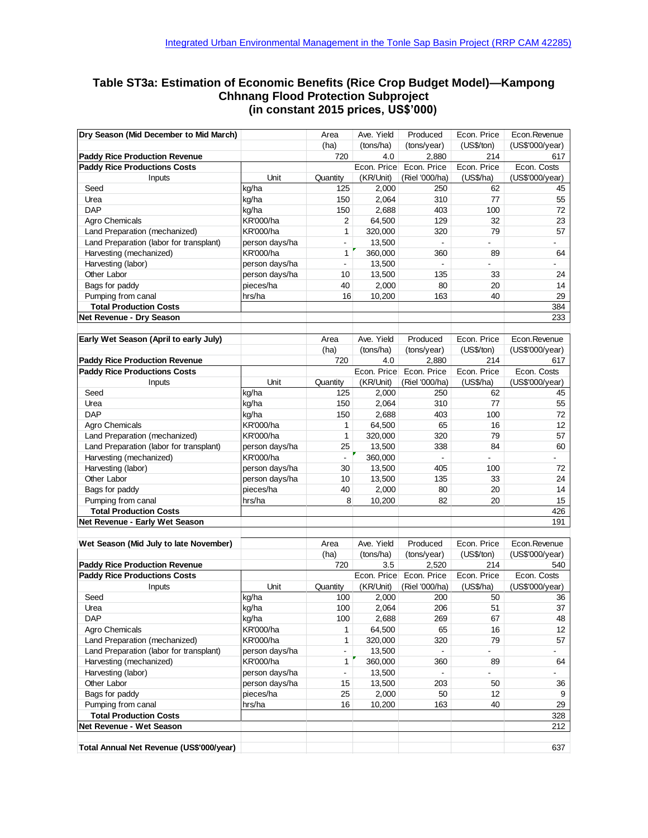### **Table ST3a: Estimation of Economic Benefits (Rice Crop Budget Model)—Kampong Chhnang Flood Protection Subproject (in constant 2015 prices, US\$'000)**

| Dry Season (Mid December to Mid March)   |                  | Area                     | Ave. Yield  | Produced              | Econ. Price    | Econ.Revenue          |
|------------------------------------------|------------------|--------------------------|-------------|-----------------------|----------------|-----------------------|
|                                          |                  | (ha)                     | (tons/ha)   | (tons/year)           | (US\$/ton)     | (US\$'000/year)       |
| <b>Paddy Rice Production Revenue</b>     |                  | 720                      | 4.0         | 2,880                 | 214            | 617                   |
| <b>Paddy Rice Productions Costs</b>      |                  |                          | Econ. Price | Econ. Price           | Econ. Price    | Econ. Costs           |
|                                          | Unit             |                          | (KR/Unit)   |                       | (US\$/ha)      |                       |
| Inputs<br>Seed                           | kg/ha            | Quantity<br>125          | 2,000       | (Riel '000/ha)<br>250 | 62             | (US\$'000/year)<br>45 |
| Urea                                     | kg/ha            |                          | 2,064       | 310                   | 77             | 55                    |
| <b>DAP</b>                               |                  | 150                      |             |                       |                |                       |
|                                          | kg/ha            | 150                      | 2,688       | 403                   | 100            | 72                    |
| Agro Chemicals                           | KR'000/ha        | 2                        | 64,500      | 129                   | 32             | 23                    |
| Land Preparation (mechanized)            | KR'000/ha        | $\mathbf{1}$             | 320,000     | 320                   | 79             | 57                    |
| Land Preparation (labor for transplant)  | person days/ha   | $\overline{\phantom{a}}$ | 13,500      | $\blacksquare$        |                |                       |
| Harvesting (mechanized)                  | KR'000/ha        | 1                        | 360,000     | 360                   | 89             | 64                    |
| Harvesting (labor)                       | person days/ha   | $\blacksquare$           | 13,500      |                       |                |                       |
| Other Labor                              | person days/ha   | 10                       | 13,500      | 135                   | 33             | 24                    |
| Bags for paddy                           | pieces/ha        | 40                       | 2,000       | 80                    | 20             | 14                    |
| Pumping from canal                       | hrs/ha           | 16                       | 10,200      | 163                   | 40             | 29                    |
| <b>Total Production Costs</b>            |                  |                          |             |                       |                | 384                   |
| Net Revenue - Dry Season                 |                  |                          |             |                       |                | 233                   |
| Early Wet Season (April to early July)   |                  | Area                     | Ave. Yield  | Produced              | Econ. Price    | Econ.Revenue          |
|                                          |                  | (ha)                     | (tons/ha)   | (tons/year)           | (US\$/ton)     | (US\$'000/year)       |
| <b>Paddy Rice Production Revenue</b>     |                  | 720                      | 4.0         | 2,880                 | 214            | 617                   |
| <b>Paddy Rice Productions Costs</b>      |                  |                          | Econ. Price | Econ. Price           | Econ. Price    | Econ. Costs           |
|                                          |                  |                          |             |                       |                |                       |
| Inputs                                   | Unit             | Quantity                 | (KR/Unit)   | (Riel '000/ha)        | (US\$/ha)      | (US\$'000/year)       |
| Seed                                     | kg/ha            | 125                      | 2,000       | 250                   | 62             | 45                    |
| Urea                                     | kg/ha            | 150                      | 2,064       | 310                   | 77             | 55                    |
| <b>DAP</b>                               | kg/ha            | 150                      | 2.688       | 403                   | 100            | 72                    |
| Agro Chemicals                           | <b>KR'000/ha</b> | 1                        | 64,500      | 65                    | 16             | 12                    |
| Land Preparation (mechanized)            | KR'000/ha        | 1                        | 320,000     | 320                   | 79             | 57                    |
| Land Preparation (labor for transplant)  | person days/ha   | 25                       | 13,500      | 338                   | 84             | 60                    |
| Harvesting (mechanized)                  | KR'000/ha        | $\blacksquare$           | 360,000     | $\blacksquare$        | $\blacksquare$ |                       |
| Harvesting (labor)                       | person days/ha   | 30                       | 13,500      | 405                   | 100            | 72                    |
| Other Labor                              | person days/ha   | 10                       | 13,500      | 135                   | 33             | 24                    |
| Bags for paddy                           | pieces/ha        | 40                       | 2,000       | 80                    | 20             | 14                    |
| Pumping from canal                       | hrs/ha           | 8                        | 10,200      | 82                    | 20             | 15                    |
| <b>Total Production Costs</b>            |                  |                          |             |                       |                | 426                   |
| Net Revenue - Early Wet Season           |                  |                          |             |                       |                | 191                   |
|                                          |                  |                          |             |                       |                |                       |
| Wet Season (Mid July to late November)   |                  | Area                     | Ave. Yield  | Produced              | Econ. Price    | Econ.Revenue          |
|                                          |                  | (ha)                     | (tons/ha)   | (tons/year)           | (US\$/ton)     | (US\$'000/year)       |
| <b>Paddy Rice Production Revenue</b>     |                  | 720                      | 3.5         | 2,520                 | 214            | 540                   |
| <b>Paddy Rice Productions Costs</b>      |                  |                          | Econ. Price | Econ. Price           | Econ. Price    | Econ. Costs           |
| Inputs                                   | Unit             | Quantity                 | (KR/Unit)   | (Riel '000/ha)        | (US\$/ha)      | (US\$'000/year)       |
| Seed                                     | kg/ha            | 100                      | 2,000       | 200                   | 50             | 36                    |
| Urea                                     | kg/ha            | 100                      | 2,064       | 206                   | 51             | 37                    |
| <b>DAP</b>                               | kg/ha            | 100                      | 2,688       | 269                   | 67             | 48                    |
| Agro Chemicals                           | <b>KR'000/ha</b> | 1                        | 64,500      | 65                    | 16             | 12                    |
| Land Preparation (mechanized)            | KR'000/ha        | 1                        | 320,000     | 320                   | 79             | 57                    |
| Land Preparation (labor for transplant)  | person days/ha   | $\blacksquare$           | 13,500      |                       | $\overline{a}$ |                       |
| Harvesting (mechanized)                  | KR'000/ha        | 1                        | 360,000     | 360                   | 89             | 64                    |
| Harvesting (labor)                       | person days/ha   | $\overline{\phantom{a}}$ | 13,500      |                       | $\overline{a}$ |                       |
| Other Labor                              | person days/ha   | 15                       | 13,500      | 203                   | 50             | 36                    |
| Bags for paddy                           | pieces/ha        | 25                       | 2,000       | 50                    | 12             | 9                     |
| Pumping from canal                       | hrs/ha           | 16                       | 10,200      | 163                   | 40             | 29                    |
| <b>Total Production Costs</b>            |                  |                          |             |                       |                | 328                   |
| Net Revenue - Wet Season                 |                  |                          |             |                       |                | 212                   |
|                                          |                  |                          |             |                       |                |                       |
| Total Annual Net Revenue (US\$'000/year) |                  |                          |             |                       |                | 637                   |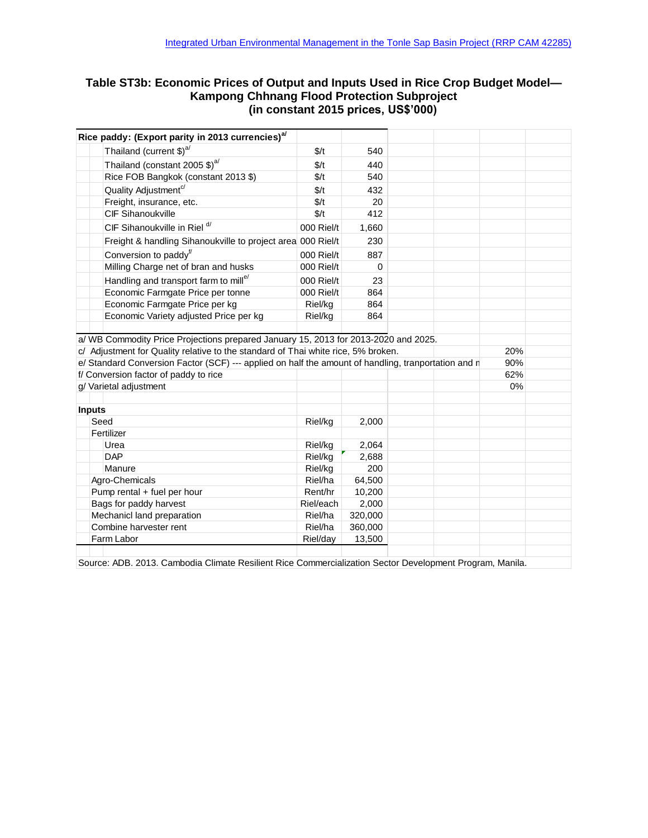# **Table ST3b: Economic Prices of Output and Inputs Used in Rice Crop Budget Model— Kampong Chhnang Flood Protection Subproject (in constant 2015 prices, US\$'000)**<br>(in constant 2015 prices, US\$'000)<br>Rice paddy: (Export parity in 2013 currencies)<sup>a/</sup>

| Rice paddy: (Export parity in 2013 currencies) <sup>a/</sup>                                                                                                             |                    |                  |     |
|--------------------------------------------------------------------------------------------------------------------------------------------------------------------------|--------------------|------------------|-----|
| Thailand (current $$)^{a/}$                                                                                                                                              | \$/t               | 540              |     |
| Thailand (constant 2005 \$) <sup>a/</sup>                                                                                                                                | \$/t               | 440              |     |
| Rice FOB Bangkok (constant 2013 \$)                                                                                                                                      | \$/t               | 540              |     |
| Quality Adjustment <sup>c/</sup>                                                                                                                                         | \$/t               | 432              |     |
| Freight, insurance, etc.                                                                                                                                                 | \$/t               | 20               |     |
| <b>CIF Sihanoukville</b>                                                                                                                                                 | \$/t               | 412              |     |
| CIF Sihanoukville in Riel d/                                                                                                                                             | 000 Riel/t         | 1,660            |     |
| Freight & handling Sihanoukville to project area 000 Riel/t                                                                                                              |                    | 230              |     |
| Conversion to paddy <sup>f/</sup>                                                                                                                                        | 000 Riel/t         | 887              |     |
| Milling Charge net of bran and husks                                                                                                                                     | 000 Riel/t         | $\Omega$         |     |
| Handling and transport farm to mill <sup>e/</sup>                                                                                                                        | 000 Riel/t         | 23               |     |
| Economic Farmgate Price per tonne                                                                                                                                        | 000 Riel/t         | 864              |     |
| Economic Farmgate Price per kg                                                                                                                                           | Riel/kg            | 864              |     |
| Economic Variety adjusted Price per kg                                                                                                                                   | Riel/kg            | 864              |     |
| a/ WB Commodity Price Projections prepared January 15, 2013 for 2013-2020 and 2025.<br>c/ Adjustment for Quality relative to the standard of Thai white rice, 5% broken. |                    |                  | 20% |
| e/ Standard Conversion Factor (SCF) --- applied on half the amount of handling, tranportation and r                                                                      |                    |                  | 90% |
| f/ Conversion factor of paddy to rice                                                                                                                                    |                    |                  | 62% |
| g/ Varietal adjustment                                                                                                                                                   |                    |                  | 0%  |
|                                                                                                                                                                          |                    |                  |     |
| <b>Inputs</b>                                                                                                                                                            |                    |                  |     |
| Seed                                                                                                                                                                     | Riel/kg            | 2,000            |     |
| Fertilizer                                                                                                                                                               |                    |                  |     |
| Urea                                                                                                                                                                     | Riel/kg            | 2,064            |     |
| <b>DAP</b>                                                                                                                                                               | Riel/kg            | 2,688            |     |
| Manure                                                                                                                                                                   | Riel/kg            | 200              |     |
| Agro-Chemicals                                                                                                                                                           | Riel/ha<br>Rent/hr | 64,500           |     |
| Pump rental + fuel per hour                                                                                                                                              | Riel/each          | 10,200           |     |
| Bags for paddy harvest                                                                                                                                                   | Riel/ha            | 2,000<br>320,000 |     |
| Mechanicl land preparation<br>Combine harvester rent                                                                                                                     | Riel/ha            | 360,000          |     |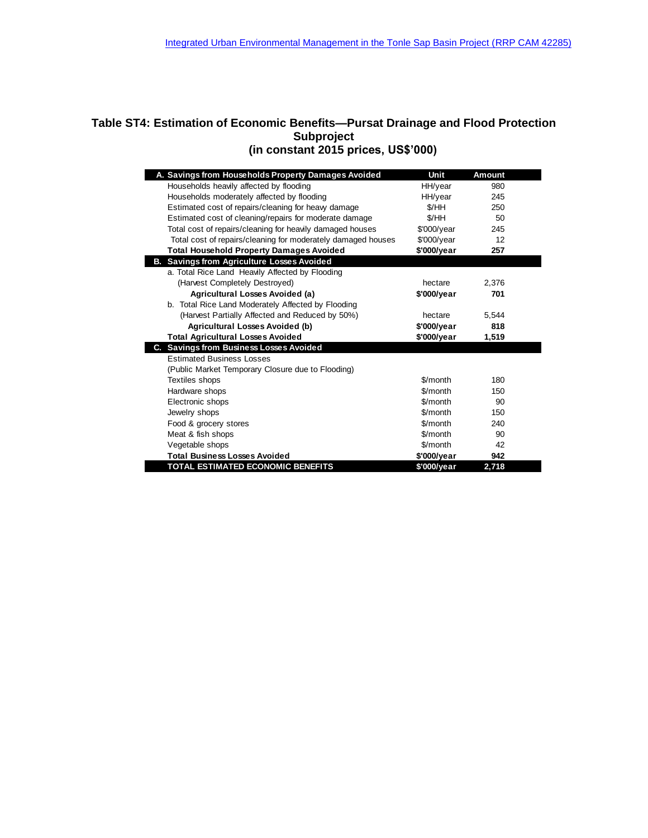### **Table ST4: Estimation of Economic Benefits—Pursat Drainage and Flood Protection Subproject (in constant 2015 prices, US\$'000)**

| A. Savings from Households Property Damages Avoided          | Unit          | <b>Amount</b> |  |
|--------------------------------------------------------------|---------------|---------------|--|
| Households heavily affected by flooding                      | HH/year       | 980           |  |
| Households moderately affected by flooding                   | HH/year       | 245           |  |
| Estimated cost of repairs/cleaning for heavy damage          | \$/HH         | 250           |  |
| Estimated cost of cleaning/repairs for moderate damage       | \$/HH         | 50            |  |
| Total cost of repairs/cleaning for heavily damaged houses    | $$'000$ /year | 245           |  |
| Total cost of repairs/cleaning for moderately damaged houses | \$'000/year   | 12            |  |
| <b>Total Household Property Damages Avoided</b>              | \$'000/year   | 257           |  |
| <b>B. Savings from Agriculture Losses Avoided</b>            |               |               |  |
| a. Total Rice Land Heavily Affected by Flooding              |               |               |  |
| (Harvest Completely Destroyed)                               | hectare       | 2,376         |  |
| Agricultural Losses Avoided (a)                              | \$'000/year   | 701           |  |
| b. Total Rice Land Moderately Affected by Flooding           |               |               |  |
| (Harvest Partially Affected and Reduced by 50%)              | hectare       | 5,544         |  |
| Agricultural Losses Avoided (b)                              | \$'000/year   | 818           |  |
| <b>Total Agricultural Losses Avoided</b>                     | \$'000/year   | 1,519         |  |
| C. Savings from Business Losses Avoided                      |               |               |  |
| <b>Estimated Business Losses</b>                             |               |               |  |
| (Public Market Temporary Closure due to Flooding)            |               |               |  |
| Textiles shops                                               | \$/month      | 180           |  |
| Hardware shops                                               | \$/month      | 150           |  |
| Electronic shops                                             | \$/month      | 90            |  |
| Jewelry shops                                                | \$/month      | 150           |  |
| Food & grocery stores                                        | \$/month      | 240           |  |
| Meat & fish shops                                            | \$/month      | 90            |  |
| Vegetable shops                                              | \$/month      | 42            |  |
| <b>Total Business Losses Avoided</b>                         | \$'000/year   | 942           |  |
| TOTAL ESTIMATED ECONOMIC BENEFITS                            | \$'000/year   | 2.718         |  |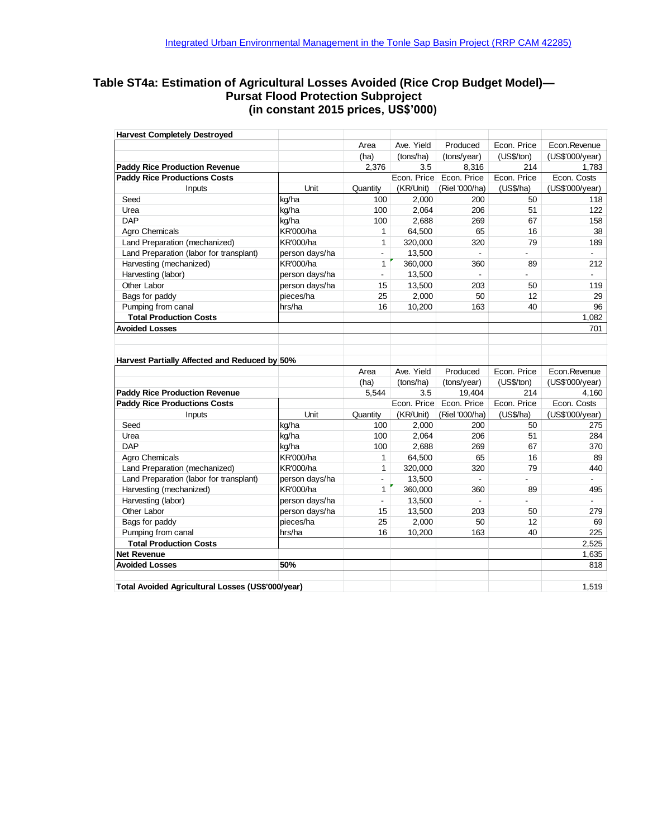### **Table ST4a: Estimation of Agricultural Losses Avoided (Rice Crop Budget Model)— Pursat Flood Protection Subproject (in constant 2015 prices, US\$'000)**

| <b>Harvest Completely Destroyed</b>               |                  |                |             |                |                |                 |
|---------------------------------------------------|------------------|----------------|-------------|----------------|----------------|-----------------|
|                                                   |                  | Area           | Ave. Yield  | Produced       | Econ. Price    | Econ.Revenue    |
|                                                   |                  | (ha)           | (tons/ha)   | (tons/year)    | (US\$/ton)     | (US\$'000/year) |
| <b>Paddy Rice Production Revenue</b>              |                  | 2,376          | 3.5         | 8,316          | 214            | 1,783           |
| <b>Paddy Rice Productions Costs</b>               |                  |                | Econ. Price | Econ. Price    | Econ. Price    | Econ. Costs     |
| Inputs                                            | Unit             | Quantity       | (KR/Unit)   | (Riel '000/ha) | (US\$/ha)      | (US\$'000/year) |
| Seed                                              | kg/ha            | 100            | 2,000       | 200            | 50             | 118             |
| Urea                                              | kg/ha            | 100            | 2,064       | 206            | 51             | 122             |
| <b>DAP</b>                                        | kg/ha            | 100            | 2,688       | 269            | 67             | 158             |
| Agro Chemicals                                    | <b>KR'000/ha</b> | 1              | 64,500      | 65             | 16             | 38              |
| Land Preparation (mechanized)                     | <b>KR'000/ha</b> | 1              | 320,000     | 320            | 79             | 189             |
| Land Preparation (labor for transplant)           | person days/ha   | $\blacksquare$ | 13,500      | ÷,             | $\overline{a}$ |                 |
| Harvesting (mechanized)                           | <b>KR'000/ha</b> | $\mathbf{1}$   | 360,000     | 360            | 89             | 212             |
| Harvesting (labor)                                | person days/ha   | $\blacksquare$ | 13,500      | $\blacksquare$ | L.             |                 |
| Other Labor                                       | person days/ha   | 15             | 13,500      | 203            | 50             | 119             |
| Bags for paddy                                    | pieces/ha        | 25             | 2,000       | 50             | 12             | 29              |
| Pumping from canal                                | hrs/ha           | 16             | 10,200      | 163            | 40             | 96              |
| <b>Total Production Costs</b>                     |                  |                |             |                |                | 1,082           |
| <b>Avoided Losses</b>                             |                  |                |             |                |                | 701             |
| Harvest Partially Affected and Reduced by 50%     |                  | Area           | Ave. Yield  | Produced       | Econ. Price    | Econ.Revenue    |
|                                                   |                  | (ha)           | (tons/ha)   | (tons/year)    | (US\$/ton)     | (US\$'000/year) |
| <b>Paddy Rice Production Revenue</b>              |                  | 5,544          | 3.5         | 19,404         | 214            | 4,160           |
| <b>Paddy Rice Productions Costs</b>               |                  |                | Econ. Price | Econ. Price    | Econ. Price    | Econ. Costs     |
| Inputs                                            | Unit             | Quantity       | (KR/Unit)   | (Riel '000/ha) | (US\$/ha)      | (US\$'000/year) |
| Seed                                              | kg/ha            | 100            | 2,000       | 200            | 50             | 275             |
| Urea                                              | kg/ha            | 100            | 2,064       | 206            | 51             | 284             |
| <b>DAP</b>                                        | kg/ha            | 100            | 2,688       | 269            | 67             | 370             |
| Agro Chemicals                                    | <b>KR'000/ha</b> | 1              | 64,500      | 65             | 16             | 89              |
| Land Preparation (mechanized)                     | <b>KR'000/ha</b> | 1              | 320,000     | 320            | 79             | 440             |
| Land Preparation (labor for transplant)           | person days/ha   | $\blacksquare$ | 13,500      | ÷,             |                |                 |
| Harvesting (mechanized)                           | <b>KR'000/ha</b> | 1              | 360,000     | 360            | 89             | 495             |
| Harvesting (labor)                                | person days/ha   | $\blacksquare$ | 13,500      | $\overline{a}$ |                |                 |
| Other Labor                                       | person days/ha   | 15             | 13,500      | 203            | 50             | 279             |
| Bags for paddy                                    | pieces/ha        | 25             | 2,000       | 50             | 12             | 69              |
| Pumping from canal                                | hrs/ha           | 16             | 10,200      | 163            | 40             | 225             |
| <b>Total Production Costs</b>                     |                  |                |             |                |                | 2.525           |
| <b>Net Revenue</b>                                |                  |                |             |                |                | 1,635           |
| <b>Avoided Losses</b>                             | 50%              |                |             |                |                | 818             |
|                                                   |                  |                |             |                |                |                 |
| Total Avoided Agricultural Losses (US\$'000/year) |                  |                |             |                |                | 1,519           |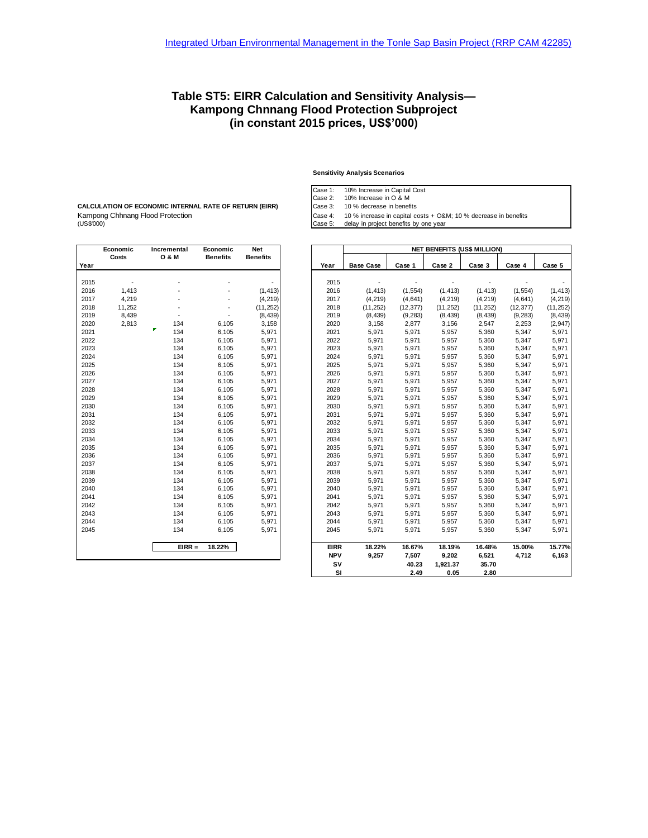### **Table ST5: EIRR Calculation and Sensitivity Analysis— Kampong Chnnang Flood Protection Subproject (in constant 2015 prices, US\$'000)**

#### **Sensitivity Analysis Scenarios**

Case 1: 10% Increase in Capital Cost

Case 2: 10% Increase in O & M Case 3: 10 % decrease in benefits

Case 5: delay in project benefits by one year

Kampong Chhnang Flood Protection Case 4: 10 % increase in capital costs + O&M; 10 % decrease in benefits<br>(US\$'000) Case 5: delay in project benefits by one year **Economic Incremental Economic Net** 

г

**CALCULATION OF ECONOMIC INTERNAL RATE OF RETURN (EIRR)**

|      | Luunumu<br>Costs | 11161 <del>c</del> hichtai<br><b>O &amp; M</b> | Luunumu<br><b>Benefits</b> | IVGL<br><b>Benefits</b> |
|------|------------------|------------------------------------------------|----------------------------|-------------------------|
| Year |                  |                                                |                            |                         |
|      |                  |                                                |                            |                         |
| 2015 |                  |                                                |                            |                         |
| 2016 | 1,413            |                                                |                            | (1, 413)                |
| 2017 | 4,219            |                                                |                            | (4, 219)                |
| 2018 | 11,252           |                                                |                            | (11, 252)               |
| 2019 | 8,439            |                                                |                            | (8, 439)                |
| 2020 | 2,813            | 134                                            | 6,105                      | 3,158                   |
| 2021 |                  | 134                                            | 6,105                      | 5,971                   |
| 2022 |                  | 134                                            | 6,105                      | 5,971                   |
| 2023 |                  | 134                                            | 6,105                      | 5,971                   |
| 2024 |                  | 134                                            | 6,105                      | 5,971                   |
| 2025 |                  | 134                                            | 6,105                      | 5,971                   |
| 2026 |                  | 134                                            | 6,105                      | 5,971                   |
| 2027 |                  | 134                                            | 6,105                      | 5,971                   |
| 2028 |                  | 134                                            | 6,105                      | 5,971                   |
| 2029 |                  | 134                                            | 6,105                      | 5,971                   |
| 2030 |                  | 134                                            | 6,105                      | 5,971                   |
| 2031 |                  | 134                                            | 6,105                      | 5,971                   |
| 2032 |                  | 134                                            | 6,105                      | 5,971                   |
| 2033 |                  | 134                                            | 6,105                      | 5,971                   |
| 2034 |                  | 134                                            | 6,105                      | 5,971                   |
| 2035 |                  | 134                                            | 6,105                      | 5,971                   |
| 2036 |                  | 134                                            | 6,105                      | 5,971                   |
| 2037 |                  | 134                                            | 6,105                      | 5,971                   |
| 2038 |                  | 134                                            | 6,105                      | 5,971                   |
| 2039 |                  | 134                                            | 6,105                      | 5,971                   |
| 2040 |                  | 134                                            | 6,105                      | 5,971                   |
| 2041 |                  | 134                                            | 6,105                      | 5,971                   |
| 2042 |                  | 134                                            | 6,105                      | 5,971                   |
| 2043 |                  | 134                                            | 6,105                      | 5,971                   |
| 2044 |                  | 134                                            | 6,105                      | 5,971                   |
| 2045 |                  | 134                                            | 6,105                      | 5,971                   |
|      |                  | $EIRR =$                                       | 18.22%                     |                         |
|      |                  |                                                |                            |                         |

|      | Economic | Incremental      | Economic        | Net             |             | <b>NET BENEFITS (US\$ MILLION)</b> |           |           |           |           |           |  |
|------|----------|------------------|-----------------|-----------------|-------------|------------------------------------|-----------|-----------|-----------|-----------|-----------|--|
| Year | Costs    | <b>O &amp; M</b> | <b>Benefits</b> | <b>Benefits</b> | Year        | <b>Base Case</b>                   | Case 1    | Case 2    | Case 3    | Case 4    | Case 5    |  |
|      |          |                  |                 |                 |             |                                    |           |           |           |           |           |  |
| 2015 |          |                  |                 |                 | 2015        |                                    |           |           |           |           |           |  |
| 2016 | 1,413    |                  |                 | (1, 413)        | 2016        | (1, 413)                           | (1, 554)  | (1, 413)  | (1, 413)  | (1, 554)  | (1, 413)  |  |
| 2017 | 4,219    |                  |                 | (4, 219)        | 2017        | (4, 219)                           | (4,641)   | (4, 219)  | (4, 219)  | (4,641)   | (4, 219)  |  |
| 2018 | 11,252   |                  |                 | (11, 252)       | 2018        | (11, 252)                          | (12, 377) | (11, 252) | (11, 252) | (12, 377) | (11, 252) |  |
| 2019 | 8,439    | ٠                |                 | (8, 439)        | 2019        | (8, 439)                           | (9, 283)  | (8, 439)  | (8, 439)  | (9, 283)  | (8, 439)  |  |
| 2020 | 2,813    | 134              | 6,105           | 3,158           | 2020        | 3,158                              | 2,877     | 3,156     | 2,547     | 2,253     | (2, 947)  |  |
| 2021 |          | P.<br>134        | 6,105           | 5,971           | 2021        | 5,971                              | 5,971     | 5,957     | 5,360     | 5,347     | 5,971     |  |
| 2022 |          | 134              | 6,105           | 5,971           | 2022        | 5,971                              | 5,971     | 5,957     | 5,360     | 5,347     | 5,971     |  |
| 2023 |          | 134              | 6,105           | 5,971           | 2023        | 5,971                              | 5,971     | 5,957     | 5,360     | 5,347     | 5,971     |  |
| 2024 |          | 134              | 6,105           | 5,971           | 2024        | 5,971                              | 5,971     | 5,957     | 5,360     | 5,347     | 5,971     |  |
| 2025 |          | 134              | 6,105           | 5,971           | 2025        | 5,971                              | 5,971     | 5,957     | 5,360     | 5,347     | 5,971     |  |
| 2026 |          | 134              | 6,105           | 5,971           | 2026        | 5,971                              | 5,971     | 5,957     | 5,360     | 5,347     | 5,971     |  |
| 2027 |          | 134              | 6,105           | 5,971           | 2027        | 5,971                              | 5,971     | 5,957     | 5,360     | 5,347     | 5,971     |  |
| 2028 |          | 134              | 6,105           | 5,971           | 2028        | 5,971                              | 5,971     | 5,957     | 5,360     | 5,347     | 5,971     |  |
| 2029 |          | 134              | 6,105           | 5,971           | 2029        | 5,971                              | 5,971     | 5,957     | 5,360     | 5,347     | 5,971     |  |
| 2030 |          | 134              | 6,105           | 5,971           | 2030        | 5,971                              | 5,971     | 5,957     | 5,360     | 5,347     | 5,971     |  |
| 2031 |          | 134              | 6,105           | 5,971           | 2031        | 5,971                              | 5,971     | 5,957     | 5,360     | 5,347     | 5,971     |  |
| 2032 |          | 134              | 6,105           | 5,971           | 2032        | 5,971                              | 5,971     | 5,957     | 5,360     | 5,347     | 5,971     |  |
| 2033 |          | 134              | 6,105           | 5,971           | 2033        | 5,971                              | 5,971     | 5,957     | 5,360     | 5,347     | 5,971     |  |
| 2034 |          | 134              | 6,105           | 5,971           | 2034        | 5,971                              | 5,971     | 5,957     | 5,360     | 5,347     | 5,971     |  |
| 2035 |          | 134              | 6,105           | 5,971           | 2035        | 5,971                              | 5,971     | 5,957     | 5,360     | 5,347     | 5,971     |  |
| 2036 |          | 134              | 6,105           | 5,971           | 2036        | 5,971                              | 5,971     | 5,957     | 5,360     | 5,347     | 5,971     |  |
| 2037 |          | 134              | 6,105           | 5,971           | 2037        | 5,971                              | 5,971     | 5,957     | 5,360     | 5,347     | 5,971     |  |
| 2038 |          | 134              | 6,105           | 5,971           | 2038        | 5,971                              | 5,971     | 5,957     | 5,360     | 5,347     | 5,971     |  |
| 2039 |          | 134              | 6,105           | 5,971           | 2039        | 5,971                              | 5,971     | 5,957     | 5,360     | 5,347     | 5,971     |  |
| 2040 |          | 134              | 6,105           | 5,971           | 2040        | 5,971                              | 5,971     | 5,957     | 5,360     | 5,347     | 5,971     |  |
| 2041 |          | 134              | 6,105           | 5,971           | 2041        | 5,971                              | 5,971     | 5,957     | 5,360     | 5,347     | 5,971     |  |
| 2042 |          | 134              | 6,105           | 5,971           | 2042        | 5,971                              | 5,971     | 5,957     | 5,360     | 5,347     | 5,971     |  |
| 2043 |          | 134              | 6,105           | 5,971           | 2043        | 5,971                              | 5,971     | 5,957     | 5,360     | 5,347     | 5,971     |  |
| 2044 |          | 134              | 6,105           | 5,971           | 2044        | 5,971                              | 5,971     | 5,957     | 5,360     | 5,347     | 5,971     |  |
| 2045 |          | 134              | 6,105           | 5,971           | 2045        | 5,971                              | 5,971     | 5,957     | 5,360     | 5,347     | 5,971     |  |
|      |          | $EIRR =$         | 18.22%          |                 | <b>EIRR</b> | 18.22%                             | 16.67%    | 18.19%    | 16.48%    | 15.00%    | 15.77%    |  |
|      |          |                  |                 |                 | <b>NPV</b>  | 9,257                              | 7,507     | 9,202     | 6,521     | 4,712     | 6,163     |  |
|      |          |                  |                 |                 | SV          |                                    | 40.23     | 1,921.37  | 35.70     |           |           |  |
|      |          |                  |                 |                 | SI          |                                    | 2.49      | 0.05      | 2.80      |           |           |  |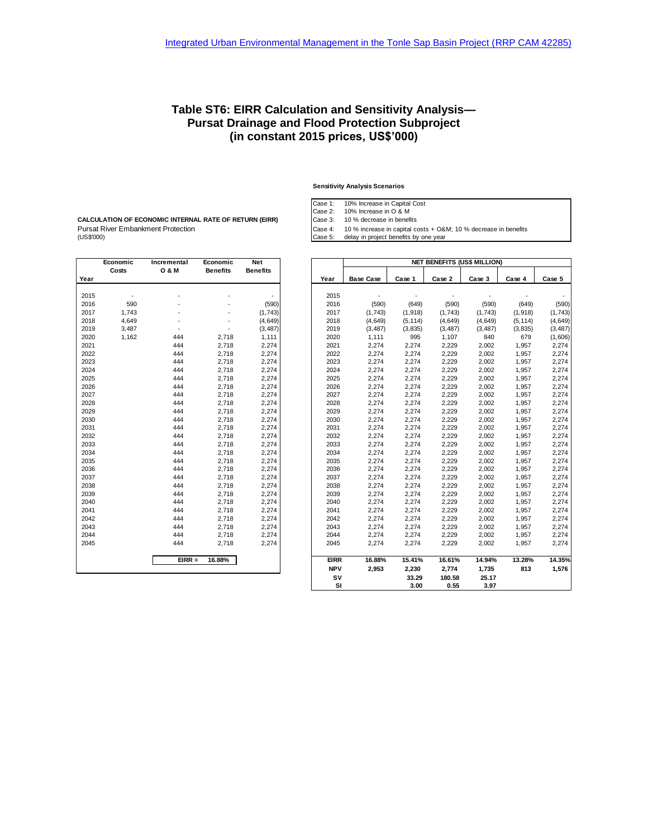### **Table ST6: EIRR Calculation and Sensitivity Analysis— Pursat Drainage and Flood Protection Subproject (in constant 2015 prices, US\$'000)**

#### **Sensitivity Analysis Scenarios**

Case 1: 10% Increase in Capital Cost

Case 2: 10% Increase in O & M

Case 3: 10 % decrease in benefits

Pursat River Embankment Protection and Case 4: 10 % increase in capital costs + O&M; 10 % decrease in benefits<br>(US\$'000) Case 5: delay in project benefits by one year **CALCULATION OF ECONOMIC INTERNAL RATE OF RETURN (EIRR)**

|      | Economic | Incremental      | Economic        | Net             |
|------|----------|------------------|-----------------|-----------------|
|      | Costs    | <b>O &amp; M</b> | <b>Benefits</b> | <b>Benefits</b> |
| Year |          |                  |                 |                 |
|      |          |                  |                 |                 |
| 2015 |          |                  |                 |                 |
| 2016 | 590      |                  |                 | (590)           |
| 2017 | 1,743    |                  |                 | (1, 743)        |
| 2018 | 4,649    |                  |                 | (4,649)         |
| 2019 | 3,487    |                  |                 | (3, 487)        |
| 2020 | 1,162    | 444              | 2,718           | 1,111           |
| 2021 |          | 444              | 2,718           | 2,274           |
| 2022 |          | 444              | 2,718           | 2,274           |
| 2023 |          | 444              | 2,718           | 2,274           |
| 2024 |          | 444              | 2,718           | 2,274           |
| 2025 |          | 444              | 2,718           | 2,274           |
| 2026 |          | 444              | 2,718           | 2,274           |
| 2027 |          | 444              | 2,718           | 2,274           |
| 2028 |          | 444              | 2,718           | 2,274           |
| 2029 |          | 444              | 2,718           | 2,274           |
| 2030 |          | 444              | 2,718           | 2,274           |
| 2031 |          | 444              | 2,718           | 2,274           |
| 2032 |          | 444              | 2,718           | 2,274           |
| 2033 |          | 444              | 2,718           | 2,274           |
| 2034 |          | 444              | 2,718           | 2,274           |
| 2035 |          | 444              | 2,718           | 2,274           |
| 2036 |          | 444              | 2,718           | 2,274           |
| 2037 |          | 444              | 2,718           | 2,274           |
| 2038 |          | 444              | 2,718           | 2,274           |
| 2039 |          | 444              | 2,718           | 2,274           |
| 2040 |          | 444              | 2,718           | 2,274           |
| 2041 |          | 444              | 2,718           | 2,274           |
| 2042 |          | 444              | 2,718           | 2,274           |
| 2043 |          | 444              | 2,718           | 2,274           |
| 2044 |          | 444              | 2,718           | 2,274           |
| 2045 |          | 444              | 2,718           | 2,274           |
|      |          | $EIRR =$         | 16.88%          |                 |
|      |          |                  |                 |                 |

|      | Economic | Incremental      | Economic        | <b>Net</b>      |             | <b>NET BENEFITS (US\$ MILLION)</b> |          |          |          |          |          |  |  |
|------|----------|------------------|-----------------|-----------------|-------------|------------------------------------|----------|----------|----------|----------|----------|--|--|
| Year | Costs    | <b>O &amp; M</b> | <b>Benefits</b> | <b>Benefits</b> | Year        | <b>Base Case</b>                   | Case 1   | Case 2   | Case 3   | Case 4   | Case 5   |  |  |
|      |          |                  |                 |                 |             |                                    |          |          |          |          |          |  |  |
| 2015 |          |                  |                 |                 | 2015        |                                    |          |          |          |          |          |  |  |
| 2016 | 590      |                  |                 | (590)           | 2016        | (590)                              | (649)    | (590)    | (590)    | (649)    | (590)    |  |  |
| 2017 | 1,743    |                  |                 | (1, 743)        | 2017        | (1,743)                            | (1,918)  | (1,743)  | (1,743)  | (1, 918) | (1,743)  |  |  |
| 2018 | 4,649    |                  |                 | (4, 649)        | 2018        | (4,649)                            | (5, 114) | (4,649)  | (4,649)  | (5, 114) | (4, 649) |  |  |
| 2019 | 3,487    |                  |                 | (3, 487)        | 2019        | (3, 487)                           | (3, 835) | (3, 487) | (3, 487) | (3,835)  | (3, 487) |  |  |
| 2020 | 1,162    | 444              | 2,718           | 1,111           | 2020        | 1,111                              | 995      | 1,107    | 840      | 679      | (1,606)  |  |  |
| 2021 |          | 444              | 2,718           | 2,274           | 2021        | 2,274                              | 2,274    | 2,229    | 2,002    | 1,957    | 2,274    |  |  |
| 2022 |          | 444              | 2,718           | 2,274           | 2022        | 2,274                              | 2,274    | 2,229    | 2,002    | 1,957    | 2,274    |  |  |
| 2023 |          | 444              | 2,718           | 2,274           | 2023        | 2,274                              | 2,274    | 2,229    | 2,002    | 1,957    | 2,274    |  |  |
| 2024 |          | 444              | 2,718           | 2,274           | 2024        | 2,274                              | 2,274    | 2,229    | 2,002    | 1,957    | 2,274    |  |  |
| 2025 |          | 444              | 2,718           | 2,274           | 2025        | 2,274                              | 2,274    | 2,229    | 2,002    | 1,957    | 2,274    |  |  |
| 2026 |          | 444              | 2,718           | 2,274           | 2026        | 2,274                              | 2,274    | 2,229    | 2,002    | 1,957    | 2,274    |  |  |
| 2027 |          | 444              | 2,718           | 2,274           | 2027        | 2,274                              | 2,274    | 2,229    | 2,002    | 1,957    | 2,274    |  |  |
| 2028 |          | 444              | 2,718           | 2,274           | 2028        | 2,274                              | 2,274    | 2,229    | 2,002    | 1,957    | 2,274    |  |  |
| 2029 |          | 444              | 2,718           | 2,274           | 2029        | 2,274                              | 2,274    | 2,229    | 2,002    | 1,957    | 2,274    |  |  |
| 2030 |          | 444              | 2,718           | 2,274           | 2030        | 2,274                              | 2,274    | 2,229    | 2,002    | 1,957    | 2,274    |  |  |
| 2031 |          | 444              | 2,718           | 2,274           | 2031        | 2,274                              | 2,274    | 2,229    | 2,002    | 1,957    | 2,274    |  |  |
| 2032 |          | 444              | 2,718           | 2,274           | 2032        | 2,274                              | 2,274    | 2,229    | 2,002    | 1,957    | 2,274    |  |  |
| 2033 |          | 444              | 2,718           | 2,274           | 2033        | 2,274                              | 2,274    | 2,229    | 2,002    | 1,957    | 2,274    |  |  |
| 2034 |          | 444              | 2,718           | 2,274           | 2034        | 2,274                              | 2,274    | 2,229    | 2,002    | 1,957    | 2,274    |  |  |
| 2035 |          | 444              | 2,718           | 2,274           | 2035        | 2,274                              | 2,274    | 2,229    | 2,002    | 1,957    | 2,274    |  |  |
| 2036 |          | 444              | 2,718           | 2,274           | 2036        | 2,274                              | 2,274    | 2,229    | 2,002    | 1,957    | 2,274    |  |  |
| 2037 |          | 444              | 2,718           | 2,274           | 2037        | 2,274                              | 2,274    | 2,229    | 2,002    | 1,957    | 2,274    |  |  |
| 2038 |          | 444              | 2,718           | 2,274           | 2038        | 2,274                              | 2,274    | 2,229    | 2,002    | 1,957    | 2,274    |  |  |
| 2039 |          | 444              | 2,718           | 2,274           | 2039        | 2,274                              | 2,274    | 2,229    | 2,002    | 1,957    | 2,274    |  |  |
| 2040 |          | 444              | 2,718           | 2,274           | 2040        | 2,274                              | 2,274    | 2,229    | 2,002    | 1,957    | 2,274    |  |  |
| 2041 |          | 444              | 2,718           | 2,274           | 2041        | 2,274                              | 2,274    | 2,229    | 2,002    | 1,957    | 2,274    |  |  |
| 2042 |          | 444              | 2,718           | 2,274           | 2042        | 2,274                              | 2,274    | 2,229    | 2,002    | 1,957    | 2,274    |  |  |
| 2043 |          | 444              | 2,718           | 2,274           | 2043        | 2,274                              | 2,274    | 2,229    | 2,002    | 1,957    | 2,274    |  |  |
| 2044 |          | 444              | 2,718           | 2,274           | 2044        | 2,274                              | 2,274    | 2,229    | 2,002    | 1,957    | 2,274    |  |  |
| 2045 |          | 444              | 2,718           | 2,274           | 2045        | 2,274                              | 2,274    | 2,229    | 2,002    | 1,957    | 2,274    |  |  |
|      |          |                  |                 |                 |             |                                    |          |          |          |          |          |  |  |
|      |          | $EIRR =$         | 16.88%          |                 | <b>EIRR</b> | 16.88%                             | 15.41%   | 16.61%   | 14.94%   | 13.28%   | 14.35%   |  |  |
|      |          |                  |                 |                 | <b>NPV</b>  | 2,953                              | 2,230    | 2,774    | 1,735    | 813      | 1,576    |  |  |
|      |          |                  |                 |                 | SV          |                                    | 33.29    | 180.58   | 25.17    |          |          |  |  |
|      |          |                  |                 |                 | SI          |                                    | 3.00     | 0.55     | 3.97     |          |          |  |  |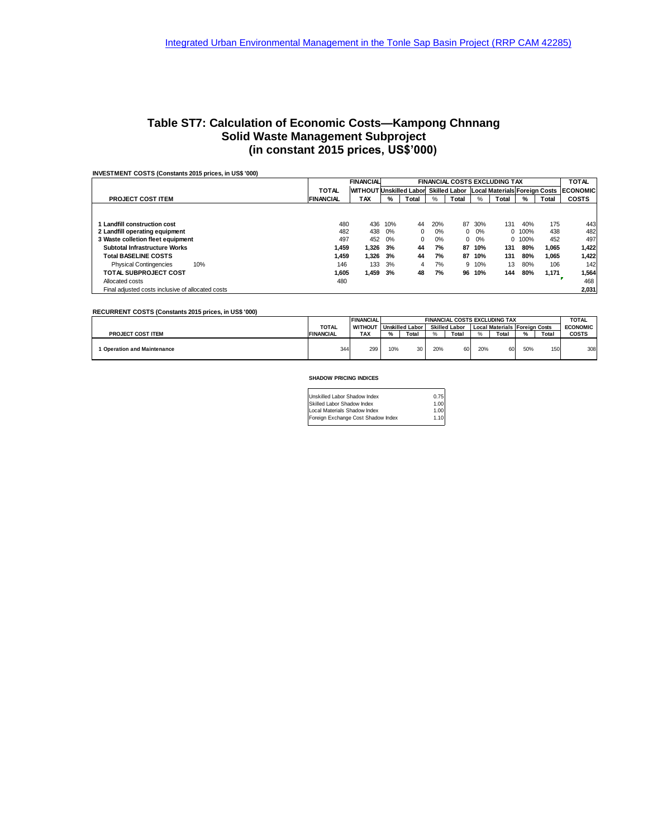### **Table ST7: Calculation of Economic Costs—Kampong Chnnang Solid Waste Management Subproject (in constant 2015 prices, US\$'000)**

| INVESTMENT COSTS (Constants 2015 prices, in US\$ '000) |                                                          |                                |     |          |     |          |              |                                             |        |       |                 |
|--------------------------------------------------------|----------------------------------------------------------|--------------------------------|-----|----------|-----|----------|--------------|---------------------------------------------|--------|-------|-----------------|
|                                                        | <b>FINANCIAL</b><br><b>FINANCIAL COSTS EXCLUDING TAX</b> |                                |     |          |     |          | <b>TOTAL</b> |                                             |        |       |                 |
|                                                        | <b>TOTAL</b>                                             | <b>WITHOUT Unskilled Labor</b> |     |          |     |          |              | Skilled Labor Local Materials Foreign Costs |        |       | <b>ECONOMIC</b> |
| <b>PROJECT COST ITEM</b>                               | <b>FINANCIAL</b>                                         | <b>TAX</b>                     | %   | Total    | %   | Total    | %            | Total                                       | %      | Total | <b>COSTS</b>    |
|                                                        |                                                          |                                |     |          |     |          |              |                                             |        |       |                 |
|                                                        |                                                          |                                |     |          |     |          |              |                                             |        |       |                 |
| Landfill construction cost                             | 480                                                      | 436                            | 10% | 44       | 20% | 87       | 30%          | 131                                         | 40%    | 175   | 443             |
| 2 Landfill operating equipment                         | 482                                                      | 438                            | 0%  | $\Omega$ | 0%  | $\Omega$ | 0%           |                                             | 0 100% | 438   | 482             |
| 3 Waste colletion fleet equipment                      | 497                                                      | 452                            | 0%  | $\Omega$ | 0%  | 0        | 0%           |                                             | 0.100% | 452   | 497             |
| <b>Subtotal Infrastructure Works</b>                   | 1.459                                                    | 1.326                          | 3%  | 44       | 7%  | 87       | 10%          | 131                                         | 80%    | 1.065 | 1,422           |
| <b>Total BASELINE COSTS</b>                            | 1.459                                                    | 1.326                          | 3%  | 44       | 7%  | 87       | 10%          | 131                                         | 80%    | 1.065 | 1.422           |
| 10%<br><b>Physical Contingencies</b>                   | 146                                                      | 133                            | 3%  | 4        | 7%  | 9        | 10%          | 13                                          | 80%    | 106   | 142             |
| <b>TOTAL SUBPROJECT COST</b>                           | 1.605                                                    | 1,459                          | 3%  | 48       | 7%  | 96       | 10%          | 144                                         | 80%    | 1,171 | 1,564           |
| Allocated costs                                        | 480                                                      |                                |     |          |     |          |              |                                             |        |       | 468             |
| Final adjusted costs inclusive of allocated costs      |                                                          |                                |     |          |     |          |              |                                             |        |       | 2,031           |

**RECURRENT COSTS (Constants 2015 prices, in US\$ '000)**

|                                  |                  | <b>FINANCIAL</b> | <b>FINANCIAL COSTS EXCLUDING TAX</b> |                        |     |                      |     |                                      |     |       | <b>TOTAL</b>    |
|----------------------------------|------------------|------------------|--------------------------------------|------------------------|-----|----------------------|-----|--------------------------------------|-----|-------|-----------------|
|                                  | <b>TOTAL</b>     | <b>WITHOUT</b>   |                                      | <b>Unskilled Labor</b> |     | <b>Skilled Labor</b> |     | <b>Local Materials Foreign Costs</b> |     |       | <b>ECONOMIC</b> |
| <b>PROJECT COST ITEM</b>         | <b>FINANCIAL</b> | TAX              | ∕″ه                                  | Total                  |     | Total                |     | Total                                | %   | Total | <b>COSTS</b>    |
| <b>Operation and Maintenance</b> | 344              | 299              | 10%                                  | 30                     | 20% | 60                   | 20% | 60                                   | 50% | 150   | 308             |
|                                  |                  |                  |                                      |                        |     |                      |     |                                      |     |       |                 |

#### **SHADOW PRICING INDICES**

| Unskilled Labor Shadow Index       | 0.75 |
|------------------------------------|------|
| Skilled Labor Shadow Index         | 1.00 |
| Local Materials Shadow Index       | 1.00 |
| Foreign Exchange Cost Shadow Index | 1.10 |
|                                    |      |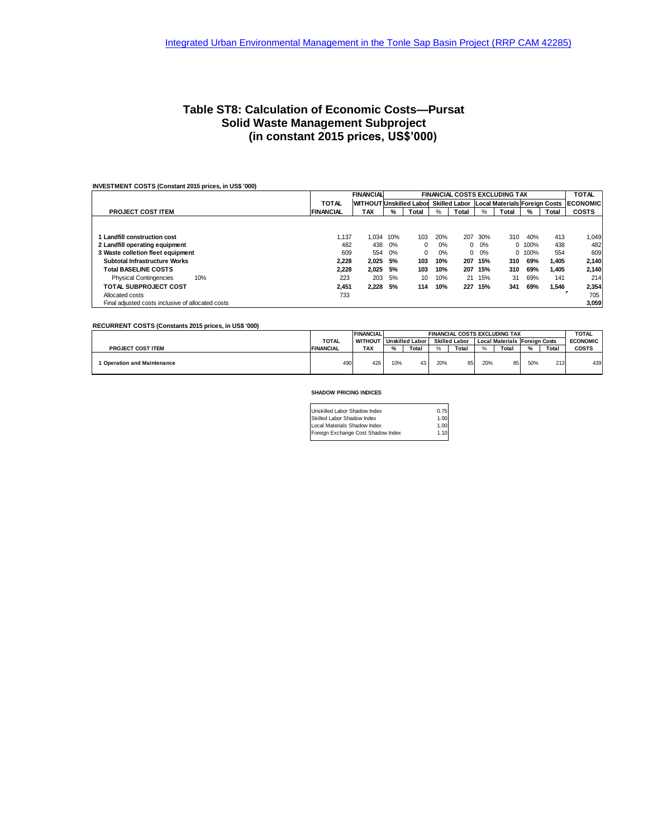### **Table ST8: Calculation of Economic Costs—Pursat Solid Waste Management Subproject (in constant 2015 prices, US\$'000)**

#### **INVESTMENT COSTS (Constant 2015 prices, in US\$ '000)**

|                                                   |                  | <b>FINANCIAL</b>               | <b>FINANCIAL COSTS EXCLUDING TAX</b> |          |      |       |     | <b>TOTAL</b>                                |        |       |                 |
|---------------------------------------------------|------------------|--------------------------------|--------------------------------------|----------|------|-------|-----|---------------------------------------------|--------|-------|-----------------|
|                                                   | <b>TOTAL</b>     | <b>WITHOUT Unskilled Labor</b> |                                      |          |      |       |     | Skilled Labor Local Materials Foreign Costs |        |       | <b>ECONOMIC</b> |
| <b>PROJECT COST ITEM</b>                          | <b>FINANCIAL</b> | TAX                            | %                                    | Total    | $\%$ | Total | %   | Total                                       | %      | Total | <b>COSTS</b>    |
|                                                   |                  |                                |                                      |          |      |       |     |                                             |        |       |                 |
|                                                   |                  |                                |                                      |          |      |       |     |                                             |        |       |                 |
| Landfill construction cost                        | 1.137            | 1.034                          | 10%                                  | 103      | 20%  | 207   | 30% | 310                                         | 40%    | 413   | 1.049           |
| 2 Landfill operating equipment                    | 482              | 438                            | $0\%$                                | 0        | 0%   | 0     | 0%  |                                             | 0.100% | 438   | 482             |
| 3 Waste colletion fleet equipment                 | 609              | 554                            | 0%                                   | $\Omega$ | 0%   | 0     | 0%  |                                             | 0.100% | 554   | 609             |
| Subtotal Infrastructure Works                     | 2.228            | 2.025                          | 5%                                   | 103      | 10%  | 207   | 15% | 310                                         | 69%    | 1.405 | 2.140           |
| <b>Total BASELINE COSTS</b>                       | 2.228            | 2.025                          | 5%                                   | 103      | 10%  | 207   | 15% | 310                                         | 69%    | 1.405 | 2.140           |
| 10%<br><b>Physical Contingencies</b>              | 223              | 203                            | 5%                                   | 10       | 10%  | 21    | 15% | 31                                          | 69%    | 141   | 214             |
| <b>TOTAL SUBPROJECT COST</b>                      | 2.451            | 2.228                          | 5%                                   | 114      | 10%  | 227   | 15% | 341                                         | 69%    | 1,546 | 2,354           |
| Allocated costs                                   | 733              |                                |                                      |          |      |       |     |                                             |        |       | 705             |
| Final adjusted costs inclusive of allocated costs |                  |                                |                                      |          |      |       |     |                                             |        |       | 3,059           |

#### **RECURRENT COSTS (Constants 2015 prices, in US\$ '000)**

|                                  |                  | <b>FINANCIAL</b> | <b>FINANCIAL COSTS EXCLUDING TAX</b> |                        |     |                      |      | <b>TOTAL</b>                         |     |       |                 |
|----------------------------------|------------------|------------------|--------------------------------------|------------------------|-----|----------------------|------|--------------------------------------|-----|-------|-----------------|
|                                  | <b>TOTAL</b>     | <b>WITHOUT</b>   |                                      | <b>Unskilled Labor</b> |     | <b>Skilled Labor</b> |      | <b>Local Materials Foreign Costs</b> |     |       | <b>ECONOMIC</b> |
| <b>PROJECT COST ITEM</b>         | <b>FINANCIAL</b> | TAX              | ℅                                    | Total                  |     | Total                | $\%$ | Total                                | %   | Total | COSTS           |
|                                  |                  |                  |                                      |                        |     |                      |      |                                      |     |       |                 |
| <b>Operation and Maintenance</b> | 490              | 426              | 10%                                  | 43                     | 20% | 85                   | 20%  | 85                                   | 50% | 213   | 439             |

#### **SHADOW PRICING INDICES**

| Unskilled Labor Shadow Index       | 0.75 |
|------------------------------------|------|
| Skilled Labor Shadow Index         | 1.00 |
| Local Materials Shadow Index       | 1.00 |
| Foreign Exchange Cost Shadow Index | 1.10 |
|                                    |      |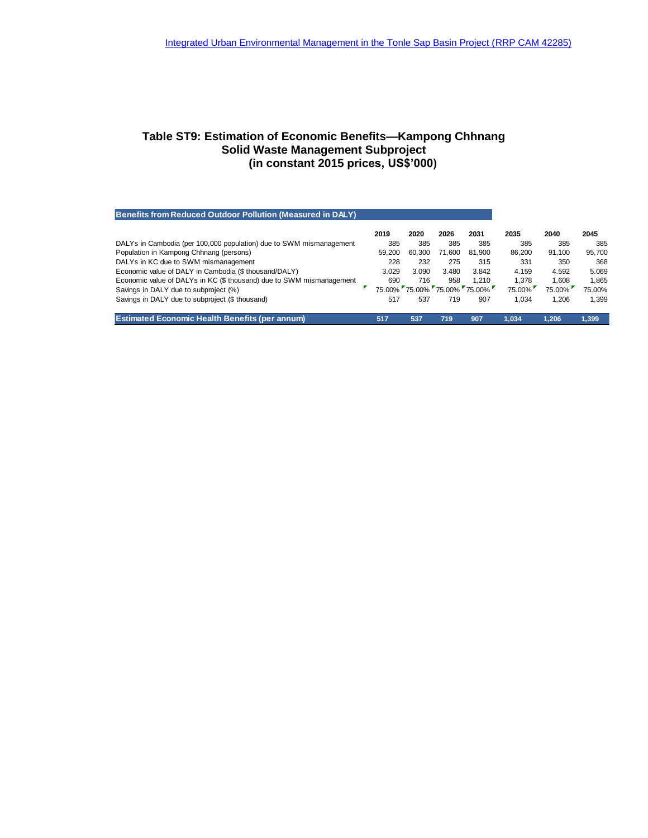### **Table ST9: Estimation of Economic Benefits—Kampong Chhnang Solid Waste Management Subproject (in constant 2015 prices, US\$'000)**

| Benefits from Reduced Outdoor Pollution (Measured in DALY)           |        |        |        |                             |        |        |        |
|----------------------------------------------------------------------|--------|--------|--------|-----------------------------|--------|--------|--------|
|                                                                      | 2019   | 2020   | 2026   | 2031                        | 2035   | 2040   | 2045   |
| DALYs in Cambodia (per 100,000 population) due to SWM mismanagement  | 385    | 385    | 385    | 385                         | 385    | 385    | 385    |
| Population in Kampong Chhnang (persons)                              | 59.200 | 60.300 | 71.600 | 81.900                      | 86.200 | 91.100 | 95.700 |
| DALYs in KC due to SWM mismanagement                                 | 228    | 232    | 275    | 315                         | 331    | 350    | 368    |
| Economic value of DALY in Cambodia (\$ thousand/DALY)                | 3.029  | 3.090  | 3.480  | 3.842                       | 4.159  | 4.592  | 5.069  |
| Economic value of DALYs in KC (\$ thousand) due to SWM mismanagement | 690    | 716    | 958    | 1.210                       | 1.378  | 1.608  | 1.865  |
| Savings in DALY due to subproject (%)                                |        |        |        | 75.00% 75.00% 75.00% 75.00% | 75.00% | 75.00% | 75.00% |
| Savings in DALY due to subproject (\$ thousand)                      | 517    | 537    | 719    | 907                         | 1.034  | 1.206  | 1.399  |
| <b>Estimated Economic Health Benefits (per annum)</b>                | 517    | 537    | 719    | 907                         | 1.034  | 1.206  | 1.399  |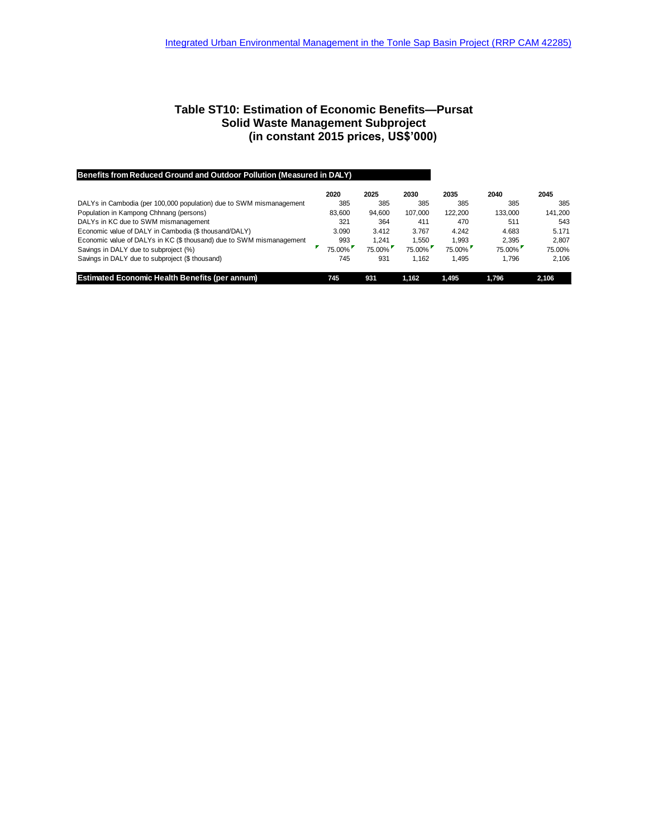### **Table ST10: Estimation of Economic Benefits—Pursat Solid Waste Management Subproject (in constant 2015 prices, US\$'000)**

| Benefits from Reduced Ground and Outdoor Pollution (Measured in DALY) |        |        |         |         |         |         |
|-----------------------------------------------------------------------|--------|--------|---------|---------|---------|---------|
|                                                                       | 2020   | 2025   | 2030    | 2035    | 2040    | 2045    |
| DALYs in Cambodia (per 100,000 population) due to SWM mismanagement   | 385    | 385    | 385     | 385     | 385     | 385     |
| Population in Kampong Chhnang (persons)                               | 83,600 | 94.600 | 107.000 | 122.200 | 133.000 | 141.200 |
| DALYs in KC due to SWM mismanagement                                  | 321    | 364    | 411     | 470     | 511     | 543     |
| Economic value of DALY in Cambodia (\$ thousand/DALY)                 | 3.090  | 3.412  | 3.767   | 4.242   | 4.683   | 5.171   |
| Economic value of DALYs in KC (\$ thousand) due to SWM mismanagement  | 993    | 1.241  | 1.550   | 1.993   | 2.395   | 2.807   |
| Savings in DALY due to subproject (%)                                 | 75.00% | 75.00% | 75.00%  | 75.00%  | 75.00%  | 75.00%  |
| Savings in DALY due to subproject (\$ thousand)                       | 745    | 931    | 1.162   | 1.495   | 1.796   | 2.106   |
| <b>Estimated Economic Health Benefits (per annum)</b>                 | 745    | 931    | 1.162   | 1.495   | 1.796   | 2.106   |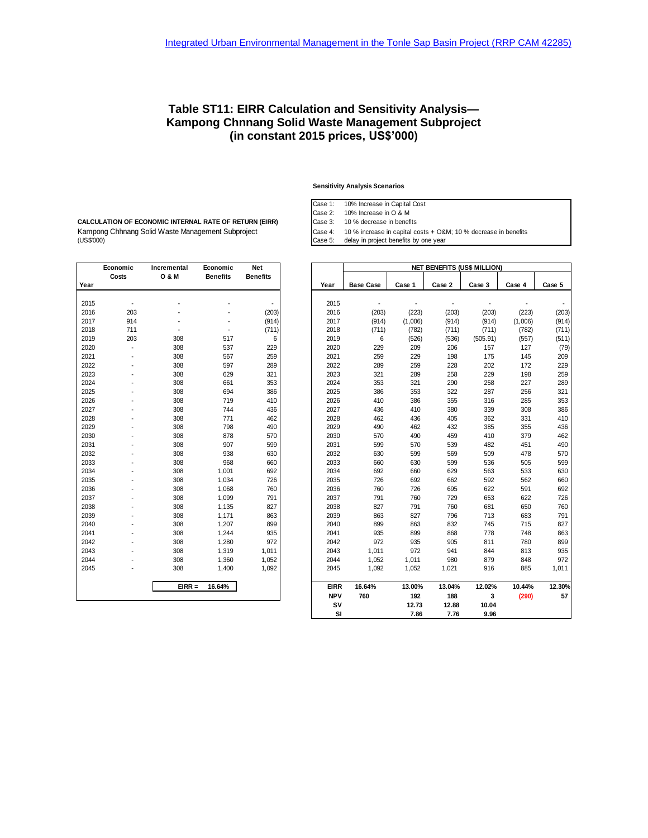### **Table ST11: EIRR Calculation and Sensitivity Analysis— Kampong Chnnang Solid Waste Management Subproject (in constant 2015 prices, US\$'000)**

**Sensitivity Analysis Scenarios**

Case 1: 10% Increase in Capital Cost

Case 2: 10% Increase in O & M

Case 3: 10 % decrease in benefits

Case 5: delay in project benefits by one year

Kampong Chhnang Solid Waste Management Subproject Case 4: 10 % increase in capital costs + O&M; 10 % decrease in benefits<br>(US\$'000) Case 5: delay in project benefits by one year **CALCULATION OF ECONOMIC INTERNAL RATE OF RETURN (EIRR)**

|      | Economic | Incremental      | Economic        | <b>Net</b>      |
|------|----------|------------------|-----------------|-----------------|
|      | Costs    | <b>O &amp; M</b> | <b>Benefits</b> | <b>Benefits</b> |
| Year |          |                  |                 |                 |
|      |          |                  |                 |                 |
| 2015 |          |                  |                 |                 |
| 2016 | 203      |                  |                 | (203)           |
| 2017 | 914      |                  |                 | (914)           |
| 2018 | 711      |                  |                 | (711)           |
| 2019 | 203      | 308              | 517             | 6               |
| 2020 |          | 308              | 537             | 229             |
| 2021 |          | 308              | 567             | 259             |
| 2022 |          | 308              | 597             | 289             |
| 2023 |          | 308              | 629             | 321             |
| 2024 |          | 308              | 661             | 353             |
| 2025 |          | 308              | 694             | 386             |
| 2026 |          | 308              | 719             | 410             |
| 2027 |          | 308              | 744             | 436             |
| 2028 |          | 308              | 771             | 462             |
| 2029 |          | 308              | 798             | 490             |
| 2030 |          | 308              | 878             | 570             |
| 2031 |          | 308              | 907             | 599             |
| 2032 |          | 308              | 938             | 630             |
| 2033 |          | 308              | 968             | 660             |
| 2034 |          | 308              | 1,001           | 692             |
| 2035 |          | 308              | 1,034           | 726             |
| 2036 |          | 308              | 1,068           | 760             |
| 2037 |          | 308              | 1,099           | 791             |
| 2038 |          | 308              | 1,135           | 827             |
| 2039 |          | 308              | 1,171           | 863             |
| 2040 |          | 308              | 1,207           | 899             |
| 2041 |          | 308              | 1,244           | 935             |
| 2042 |          | 308              | 1,280           | 972             |
| 2043 |          | 308              | 1,319           | 1,011           |
| 2044 |          | 308              | 1,360           | 1,052           |
| 2045 |          | 308              | 1,400           | 1,092           |
|      |          | $EIRR =$         | 16.64%          |                 |
|      |          |                  |                 |                 |

|      | Economic       | Incremental      | Economic        | <b>Net</b>      |             |                  |         |                | <b>NET BENEFITS (US\$ MILLION)</b> |         |        |
|------|----------------|------------------|-----------------|-----------------|-------------|------------------|---------|----------------|------------------------------------|---------|--------|
|      | Costs          | <b>O &amp; M</b> | <b>Benefits</b> | <b>Benefits</b> |             |                  |         |                |                                    |         |        |
| Year |                |                  |                 |                 | Year        | <b>Base Case</b> | Case 1  | Case 2         | Case 3                             | Case 4  | Case 5 |
|      |                |                  |                 |                 |             |                  |         |                |                                    |         |        |
| 2015 |                |                  |                 | $\overline{a}$  | 2015        | ÷,               |         | $\overline{a}$ | $\blacksquare$                     |         |        |
| 2016 | 203            |                  |                 | (203)           | 2016        | (203)            | (223)   | (203)          | (203)                              | (223)   | (203)  |
| 2017 | 914            |                  |                 | (914)           | 2017        | (914)            | (1,006) | (914)          | (914)                              | (1,006) | (914)  |
| 2018 | 711            | ٠                |                 | (711)           | 2018        | (711)            | (782)   | (711)          | (711)                              | (782)   | (711)  |
| 2019 | 203            | 308              | 517             | 6               | 2019        | 6                | (526)   | (536)          | (505.91)                           | (557)   | (511)  |
| 2020 | $\overline{a}$ | 308              | 537             | 229             | 2020        | 229              | 209     | 206            | 157                                | 127     | (79)   |
| 2021 |                | 308              | 567             | 259             | 2021        | 259              | 229     | 198            | 175                                | 145     | 209    |
| 2022 |                | 308              | 597             | 289             | 2022        | 289              | 259     | 228            | 202                                | 172     | 229    |
| 2023 |                | 308              | 629             | 321             | 2023        | 321              | 289     | 258            | 229                                | 198     | 259    |
| 2024 |                | 308              | 661             | 353             | 2024        | 353              | 321     | 290            | 258                                | 227     | 289    |
| 2025 |                | 308              | 694             | 386             | 2025        | 386              | 353     | 322            | 287                                | 256     | 321    |
| 2026 |                | 308              | 719             | 410             | 2026        | 410              | 386     | 355            | 316                                | 285     | 353    |
| 2027 |                | 308              | 744             | 436             | 2027        | 436              | 410     | 380            | 339                                | 308     | 386    |
| 2028 |                | 308              | 771             | 462             | 2028        | 462              | 436     | 405            | 362                                | 331     | 410    |
| 2029 |                | 308              | 798             | 490             | 2029        | 490              | 462     | 432            | 385                                | 355     | 436    |
| 2030 |                | 308              | 878             | 570             | 2030        | 570              | 490     | 459            | 410                                | 379     | 462    |
| 2031 |                | 308              | 907             | 599             | 2031        | 599              | 570     | 539            | 482                                | 451     | 490    |
| 2032 |                | 308              | 938             | 630             | 2032        | 630              | 599     | 569            | 509                                | 478     | 570    |
| 2033 |                | 308              | 968             | 660             | 2033        | 660              | 630     | 599            | 536                                | 505     | 599    |
| 2034 |                | 308              | 1,001           | 692             | 2034        | 692              | 660     | 629            | 563                                | 533     | 630    |
| 2035 |                | 308              | 1,034           | 726             | 2035        | 726              | 692     | 662            | 592                                | 562     | 660    |
| 2036 |                | 308              | 1,068           | 760             | 2036        | 760              | 726     | 695            | 622                                | 591     | 692    |
| 2037 |                | 308              | 1,099           | 791             | 2037        | 791              | 760     | 729            | 653                                | 622     | 726    |
| 2038 |                | 308              | 1,135           | 827             | 2038        | 827              | 791     | 760            | 681                                | 650     | 760    |
| 2039 |                | 308              | 1,171           | 863             | 2039        | 863              | 827     | 796            | 713                                | 683     | 791    |
| 2040 |                | 308              | 1,207           | 899             | 2040        | 899              | 863     | 832            | 745                                | 715     | 827    |
| 2041 |                | 308              | 1,244           | 935             | 2041        | 935              | 899     | 868            | 778                                | 748     | 863    |
| 2042 |                | 308              | 1,280           | 972             | 2042        | 972              | 935     | 905            | 811                                | 780     | 899    |
| 2043 |                | 308              | 1,319           | 1,011           | 2043        | 1,011            | 972     | 941            | 844                                | 813     | 935    |
| 2044 |                | 308              | 1,360           | 1,052           | 2044        | 1,052            | 1,011   | 980            | 879                                | 848     | 972    |
| 2045 |                | 308              | 1,400           | 1,092           | 2045        | 1,092            | 1,052   | 1,021          | 916                                | 885     | 1,011  |
|      |                | $EIRR =$         | 16.64%          |                 | <b>EIRR</b> | 16.64%           | 13.00%  | 13.04%         | 12.02%                             | 10.44%  | 12.30% |
|      |                |                  |                 |                 | <b>NPV</b>  | 760              | 192     | 188            | 3                                  | (290)   | 57     |
|      |                |                  |                 |                 | <b>SV</b>   |                  | 12.73   | 12.88          | 10.04                              |         |        |
|      |                |                  |                 |                 | SI          |                  | 7.86    | 7.76           | 9.96                               |         |        |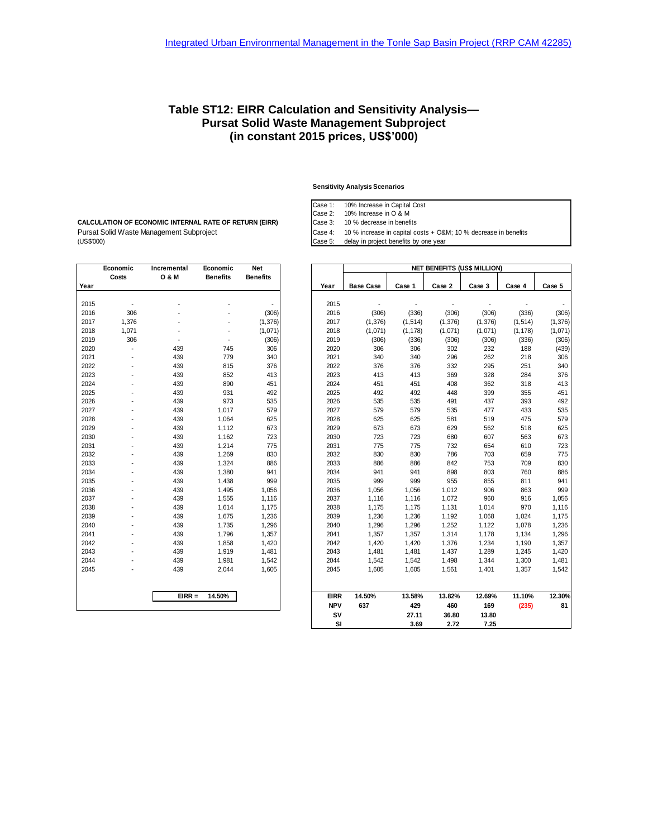### **Table ST12: EIRR Calculation and Sensitivity Analysis— Pursat Solid Waste Management Subproject (in constant 2015 prices, US\$'000)**

#### **Sensitivity Analysis Scenarios**

Case 1: 10% Increase in Capital Cost

Case 3: 10 % decrease in benefits

Case 5: delay in project benefits by one year

Pursat Solid Waste Management Subproject Case 4: 10 % increase in capital costs + O&M; 10 % decrease in benefits (US\$'000)<br>(Case 5: delay in project benefits by one year **CALCULATION OF ECONOMIC INTERNAL RATE OF RETURN (EIRR)**

| <b>O &amp; M</b><br><b>Benefits</b><br><b>Benefits</b><br>Costs<br>Year<br>2015<br>2016<br>306<br>2017<br>1,376<br>2018<br>1,071<br>2019<br>306<br>2020<br>439<br>745<br>2021<br>439<br>779<br>2022<br>439<br>815<br>2023<br>439<br>852<br>439<br>890<br>451<br>2024<br>2025<br>439<br>931<br>2026<br>439<br>973<br>439<br>2027<br>1,017<br>439<br>2028<br>1,064<br>439<br>2029<br>1,112<br>2030<br>439<br>1,162<br>2031<br>439<br>1,214<br>2032<br>439<br>1,269<br>439<br>2033<br>1,324<br>439<br>2034<br>1,380<br>941<br>439<br>2035<br>1,438<br>439<br>2036<br>1,495<br>439<br>2037<br>1,555<br>439<br>2038<br>1,614<br>439<br>2039<br>1,675<br>2040<br>439<br>1,735<br>2041<br>439<br>1,796<br>2042<br>439<br>1,858<br>2043<br>439<br>1,919<br>1,481<br>2044<br>439<br>1,981<br>2045<br>439<br>2,044<br>$EIRR =$<br>14.50% | Economic | Incremental | Economic | Net      |
|--------------------------------------------------------------------------------------------------------------------------------------------------------------------------------------------------------------------------------------------------------------------------------------------------------------------------------------------------------------------------------------------------------------------------------------------------------------------------------------------------------------------------------------------------------------------------------------------------------------------------------------------------------------------------------------------------------------------------------------------------------------------------------------------------------------------------------|----------|-------------|----------|----------|
|                                                                                                                                                                                                                                                                                                                                                                                                                                                                                                                                                                                                                                                                                                                                                                                                                                |          |             |          |          |
|                                                                                                                                                                                                                                                                                                                                                                                                                                                                                                                                                                                                                                                                                                                                                                                                                                |          |             |          |          |
|                                                                                                                                                                                                                                                                                                                                                                                                                                                                                                                                                                                                                                                                                                                                                                                                                                |          |             |          |          |
|                                                                                                                                                                                                                                                                                                                                                                                                                                                                                                                                                                                                                                                                                                                                                                                                                                |          |             |          |          |
|                                                                                                                                                                                                                                                                                                                                                                                                                                                                                                                                                                                                                                                                                                                                                                                                                                |          |             |          | (306)    |
|                                                                                                                                                                                                                                                                                                                                                                                                                                                                                                                                                                                                                                                                                                                                                                                                                                |          |             |          | (1, 376) |
|                                                                                                                                                                                                                                                                                                                                                                                                                                                                                                                                                                                                                                                                                                                                                                                                                                |          |             |          | (1,071)  |
|                                                                                                                                                                                                                                                                                                                                                                                                                                                                                                                                                                                                                                                                                                                                                                                                                                |          |             |          | (306)    |
|                                                                                                                                                                                                                                                                                                                                                                                                                                                                                                                                                                                                                                                                                                                                                                                                                                |          |             |          | 306      |
|                                                                                                                                                                                                                                                                                                                                                                                                                                                                                                                                                                                                                                                                                                                                                                                                                                |          |             |          | 340      |
|                                                                                                                                                                                                                                                                                                                                                                                                                                                                                                                                                                                                                                                                                                                                                                                                                                |          |             |          | 376      |
|                                                                                                                                                                                                                                                                                                                                                                                                                                                                                                                                                                                                                                                                                                                                                                                                                                |          |             |          | 413      |
|                                                                                                                                                                                                                                                                                                                                                                                                                                                                                                                                                                                                                                                                                                                                                                                                                                |          |             |          |          |
|                                                                                                                                                                                                                                                                                                                                                                                                                                                                                                                                                                                                                                                                                                                                                                                                                                |          |             |          | 492      |
|                                                                                                                                                                                                                                                                                                                                                                                                                                                                                                                                                                                                                                                                                                                                                                                                                                |          |             |          | 535      |
|                                                                                                                                                                                                                                                                                                                                                                                                                                                                                                                                                                                                                                                                                                                                                                                                                                |          |             |          | 579      |
|                                                                                                                                                                                                                                                                                                                                                                                                                                                                                                                                                                                                                                                                                                                                                                                                                                |          |             |          | 625      |
|                                                                                                                                                                                                                                                                                                                                                                                                                                                                                                                                                                                                                                                                                                                                                                                                                                |          |             |          | 673      |
|                                                                                                                                                                                                                                                                                                                                                                                                                                                                                                                                                                                                                                                                                                                                                                                                                                |          |             |          | 723      |
|                                                                                                                                                                                                                                                                                                                                                                                                                                                                                                                                                                                                                                                                                                                                                                                                                                |          |             |          | 775      |
|                                                                                                                                                                                                                                                                                                                                                                                                                                                                                                                                                                                                                                                                                                                                                                                                                                |          |             |          | 830      |
|                                                                                                                                                                                                                                                                                                                                                                                                                                                                                                                                                                                                                                                                                                                                                                                                                                |          |             |          | 886      |
|                                                                                                                                                                                                                                                                                                                                                                                                                                                                                                                                                                                                                                                                                                                                                                                                                                |          |             |          |          |
|                                                                                                                                                                                                                                                                                                                                                                                                                                                                                                                                                                                                                                                                                                                                                                                                                                |          |             |          | 999      |
|                                                                                                                                                                                                                                                                                                                                                                                                                                                                                                                                                                                                                                                                                                                                                                                                                                |          |             |          | 1,056    |
|                                                                                                                                                                                                                                                                                                                                                                                                                                                                                                                                                                                                                                                                                                                                                                                                                                |          |             |          | 1,116    |
|                                                                                                                                                                                                                                                                                                                                                                                                                                                                                                                                                                                                                                                                                                                                                                                                                                |          |             |          | 1,175    |
|                                                                                                                                                                                                                                                                                                                                                                                                                                                                                                                                                                                                                                                                                                                                                                                                                                |          |             |          | 1,236    |
|                                                                                                                                                                                                                                                                                                                                                                                                                                                                                                                                                                                                                                                                                                                                                                                                                                |          |             |          | 1,296    |
|                                                                                                                                                                                                                                                                                                                                                                                                                                                                                                                                                                                                                                                                                                                                                                                                                                |          |             |          | 1,357    |
|                                                                                                                                                                                                                                                                                                                                                                                                                                                                                                                                                                                                                                                                                                                                                                                                                                |          |             |          | 1,420    |
|                                                                                                                                                                                                                                                                                                                                                                                                                                                                                                                                                                                                                                                                                                                                                                                                                                |          |             |          |          |
|                                                                                                                                                                                                                                                                                                                                                                                                                                                                                                                                                                                                                                                                                                                                                                                                                                |          |             |          | 1,542    |
|                                                                                                                                                                                                                                                                                                                                                                                                                                                                                                                                                                                                                                                                                                                                                                                                                                |          |             |          | 1,605    |
|                                                                                                                                                                                                                                                                                                                                                                                                                                                                                                                                                                                                                                                                                                                                                                                                                                |          |             |          |          |
|                                                                                                                                                                                                                                                                                                                                                                                                                                                                                                                                                                                                                                                                                                                                                                                                                                |          |             |          |          |

|      | Economic | Incremental      | Economic        | <b>Net</b>      |             |                  |          |          | <b>NET BENEFITS (US\$ MILLION)</b> |          |          |
|------|----------|------------------|-----------------|-----------------|-------------|------------------|----------|----------|------------------------------------|----------|----------|
| Year | Costs    | <b>O &amp; M</b> | <b>Benefits</b> | <b>Benefits</b> | Year        | <b>Base Case</b> | Case 1   | Case 2   | Case 3                             | Case 4   | Case 5   |
|      |          |                  |                 |                 |             |                  |          |          |                                    |          |          |
| 2015 |          |                  |                 |                 | 2015        | $\overline{a}$   |          |          |                                    |          |          |
| 2016 | 306      |                  |                 | (306)           | 2016        | (306)            | (336)    | (306)    | (306)                              | (336)    | (306)    |
| 2017 | 1,376    |                  |                 | (1, 376)        | 2017        | (1, 376)         | (1, 514) | (1, 376) | (1, 376)                           | (1, 514) | (1, 376) |
| 2018 | 1,071    |                  |                 | (1,071)         | 2018        | (1,071)          | (1, 178) | (1,071)  | (1,071)                            | (1, 178) | (1,071)  |
| 2019 | 306      |                  |                 | (306)           | 2019        | (306)            | (336)    | (306)    | (306)                              | (336)    | (306)    |
| 2020 | ä,       | 439              | 745             | 306             | 2020        | 306              | 306      | 302      | 232                                | 188      | (439)    |
| 2021 |          | 439              | 779             | 340             | 2021        | 340              | 340      | 296      | 262                                | 218      | 306      |
| 2022 |          | 439              | 815             | 376             | 2022        | 376              | 376      | 332      | 295                                | 251      | 340      |
| 2023 |          | 439              | 852             | 413             | 2023        | 413              | 413      | 369      | 328                                | 284      | 376      |
| 2024 |          | 439              | 890             | 451             | 2024        | 451              | 451      | 408      | 362                                | 318      | 413      |
| 2025 |          | 439              | 931             | 492             | 2025        | 492              | 492      | 448      | 399                                | 355      | 451      |
| 2026 |          | 439              | 973             | 535             | 2026        | 535              | 535      | 491      | 437                                | 393      | 492      |
| 2027 |          | 439              | 1,017           | 579             | 2027        | 579              | 579      | 535      | 477                                | 433      | 535      |
| 2028 |          | 439              | 1,064           | 625             | 2028        | 625              | 625      | 581      | 519                                | 475      | 579      |
| 2029 |          | 439              | 1,112           | 673             | 2029        | 673              | 673      | 629      | 562                                | 518      | 625      |
| 2030 |          | 439              | 1,162           | 723             | 2030        | 723              | 723      | 680      | 607                                | 563      | 673      |
| 2031 |          | 439              | 1,214           | 775             | 2031        | 775              | 775      | 732      | 654                                | 610      | 723      |
| 2032 |          | 439              | 1,269           | 830             | 2032        | 830              | 830      | 786      | 703                                | 659      | 775      |
| 2033 |          | 439              | 1,324           | 886             | 2033        | 886              | 886      | 842      | 753                                | 709      | 830      |
| 2034 |          | 439              | 1,380           | 941             | 2034        | 941              | 941      | 898      | 803                                | 760      | 886      |
| 2035 |          | 439              | 1,438           | 999             | 2035        | 999              | 999      | 955      | 855                                | 811      | 941      |
| 2036 |          | 439              | 1,495           | 1,056           | 2036        | 1,056            | 1,056    | 1,012    | 906                                | 863      | 999      |
| 2037 |          | 439              | 1,555           | 1,116           | 2037        | 1,116            | 1,116    | 1,072    | 960                                | 916      | 1,056    |
| 2038 |          | 439              | 1,614           | 1,175           | 2038        | 1,175            | 1,175    | 1,131    | 1,014                              | 970      | 1,116    |
| 2039 |          | 439              | 1,675           | 1,236           | 2039        | 1,236            | 1,236    | 1,192    | 1,068                              | 1,024    | 1,175    |
| 2040 |          | 439              | 1,735           | 1,296           | 2040        | 1,296            | 1,296    | 1,252    | 1,122                              | 1,078    | 1,236    |
| 2041 |          | 439              | 1,796           | 1,357           | 2041        | 1,357            | 1,357    | 1,314    | 1,178                              | 1,134    | 1,296    |
| 2042 |          | 439              | 1,858           | 1,420           | 2042        | 1,420            | 1,420    | 1,376    | 1,234                              | 1,190    | 1,357    |
| 2043 |          | 439              | 1,919           | 1,481           | 2043        | 1,481            | 1,481    | 1,437    | 1,289                              | 1,245    | 1,420    |
| 2044 |          | 439              | 1,981           | 1,542           | 2044        | 1,542            | 1,542    | 1,498    | 1,344                              | 1,300    | 1,481    |
| 2045 |          | 439              | 2,044           | 1,605           | 2045        | 1,605            | 1,605    | 1,561    | 1,401                              | 1,357    | 1,542    |
|      |          | $EIRR =$         | 14.50%          |                 | <b>EIRR</b> | 14.50%           | 13.58%   | 13.82%   | 12.69%                             | 11.10%   | 12.30%   |
|      |          |                  |                 |                 | <b>NPV</b>  | 637              | 429      | 460      | 169                                | (235)    | 81       |
|      |          |                  |                 |                 | SV          |                  | 27.11    | 36.80    | 13.80                              |          |          |
|      |          |                  |                 |                 | SI          |                  | 3.69     | 2.72     | 7.25                               |          |          |

# Case 2: 10% Increase in O & M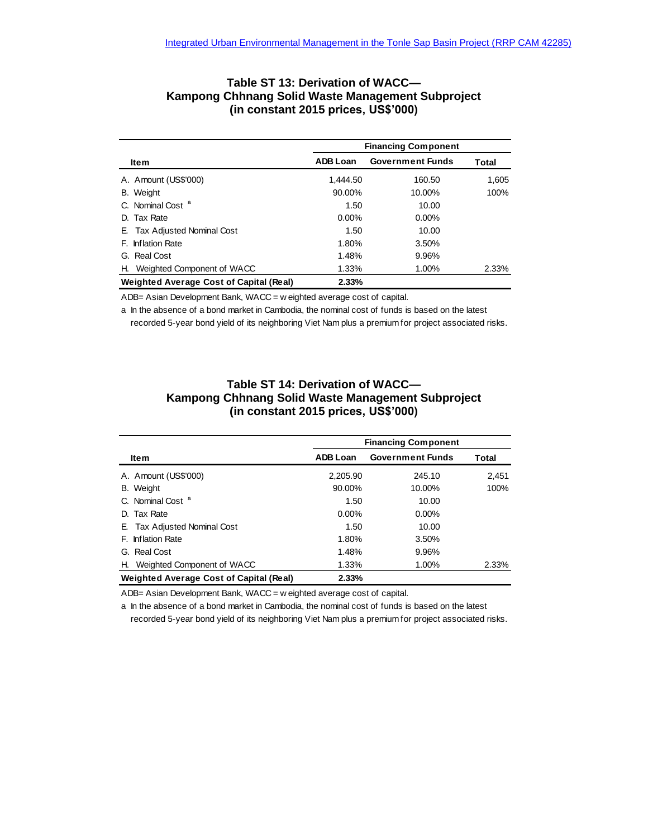### **Table ST 13: Derivation of WACC— Kampong Chhnang Solid Waste Management Subproject (in constant 2015 prices, US\$'000)**

|                                                |                 | <b>Financing Component</b> |       |
|------------------------------------------------|-----------------|----------------------------|-------|
| ltem                                           | <b>ADB Loan</b> | <b>Government Funds</b>    | Total |
| A. Amount (US\$'000)                           | 1.444.50        | 160.50                     | 1,605 |
| B. Weight                                      | 90.00%          | 10.00%                     | 100%  |
| C. Nominal Cost <sup>a</sup>                   | 1.50            | 10.00                      |       |
| D. Tax Rate                                    | $0.00\%$        | $0.00\%$                   |       |
| E. Tax Adjusted Nominal Cost                   | 1.50            | 10.00                      |       |
| F. Inflation Rate                              | 1.80%           | 3.50%                      |       |
| G. Real Cost                                   | 1.48%           | 9.96%                      |       |
| H. Weighted Component of WACC                  | 1.33%           | 1.00%                      | 2.33% |
| <b>Weighted Average Cost of Capital (Real)</b> | 2.33%           |                            |       |

ADB= Asian Development Bank, WACC = w eighted average cost of capital.

a In the absence of a bond market in Cambodia, the nominal cost of funds is based on the latest recorded 5-year bond yield of its neighboring Viet Nam plus a premium for project associated risks.

### **Table ST 14: Derivation of WACC— Kampong Chhnang Solid Waste Management Subproject (in constant 2015 prices, US\$'000)**

|                                                |                 | <b>Financing Component</b> |       |
|------------------------------------------------|-----------------|----------------------------|-------|
| ltem                                           | <b>ADB Loan</b> | <b>Government Funds</b>    | Total |
| A. Amount (US\$'000)                           | 2.205.90        | 245.10                     | 2,451 |
| B. Weight                                      | 90.00%          | 10.00%                     | 100%  |
| C. Nominal Cost <sup>a</sup>                   | 1.50            | 10.00                      |       |
| D. Tax Rate                                    | $0.00\%$        | $0.00\%$                   |       |
| E. Tax Adjusted Nominal Cost                   | 1.50            | 10.00                      |       |
| F. Inflation Rate                              | 1.80%           | 3.50%                      |       |
| G. Real Cost                                   | 1.48%           | 9.96%                      |       |
| H. Weighted Component of WACC                  | 1.33%           | 1.00%                      | 2.33% |
| <b>Weighted Average Cost of Capital (Real)</b> | 2.33%           |                            |       |

ADB= Asian Development Bank, WACC = w eighted average cost of capital.

a In the absence of a bond market in Cambodia, the nominal cost of funds is based on the latest recorded 5-year bond yield of its neighboring Viet Nam plus a premium for project associated risks.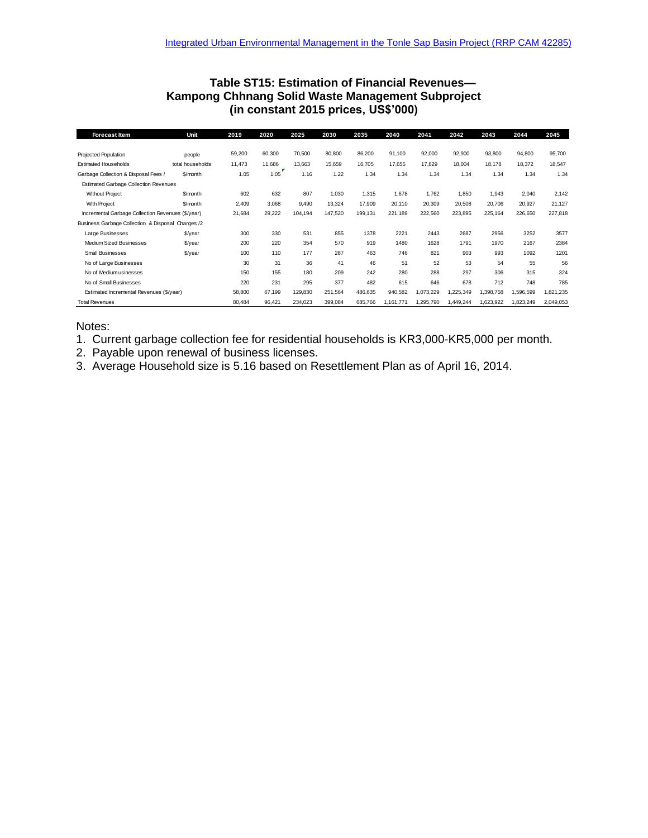### **Table ST15: Estimation of Financial Revenues— Kampong Chhnang Solid Waste Management Subproject (in constant 2015 prices, US\$'000)**

| <b>Forecast Item</b>                              | Unit             | 2019   | 2020   | 2025    | 2030    | 2035    | 2040      | 2041      | 2042      | 2043      | 2044      | 2045      |
|---------------------------------------------------|------------------|--------|--------|---------|---------|---------|-----------|-----------|-----------|-----------|-----------|-----------|
|                                                   |                  |        |        |         |         |         |           |           |           |           |           |           |
| Projected Population                              | people           | 59,200 | 60,300 | 70,500  | 80,800  | 86,200  | 91,100    | 92,000    | 92,900    | 93,800    | 94,800    | 95,700    |
| <b>Estimated Households</b>                       | total households | 11,473 | 11,686 | 13,663  | 15,659  | 16,705  | 17,655    | 17,829    | 18,004    | 18,178    | 18,372    | 18,547    |
| Garbage Collection & Disposal Fees /              | \$/month         | 1.05   | 1.05   | 1.16    | 1.22    | 1.34    | 1.34      | 1.34      | 1.34      | 1.34      | 1.34      | 1.34      |
| <b>Estimated Garbage Collection Revenues</b>      |                  |        |        |         |         |         |           |           |           |           |           |           |
| <b>Without Project</b>                            | \$/month         | 602    | 632    | 807     | 1.030   | 1,315   | 1,678     | 1.762     | 1.850     | 1,943     | 2,040     | 2,142     |
| With Project                                      | \$/month         | 2,409  | 3.068  | 9.490   | 13,324  | 17,909  | 20.110    | 20,309    | 20,508    | 20,706    | 20,927    | 21,127    |
| Incremental Garbage Collection Revenues (\$/year) |                  | 21,684 | 29,222 | 104,194 | 147,520 | 199.131 | 221,189   | 222,560   | 223,895   | 225,164   | 226,650   | 227,818   |
| Business Garbage Collection & Disposal Charges /2 |                  |        |        |         |         |         |           |           |           |           |           |           |
| Large Businesses                                  | \$/year          | 300    | 330    | 531     | 855     | 1378    | 2221      | 2443      | 2687      | 2956      | 3252      | 3577      |
| Medium Sized Businesses                           | \$/year          | 200    | 220    | 354     | 570     | 919     | 1480      | 1628      | 1791      | 1970      | 2167      | 2384      |
| <b>Small Businesses</b>                           | \$/year          | 100    | 110    | 177     | 287     | 463     | 746       | 821       | 903       | 993       | 1092      | 1201      |
| No of Large Businesses                            |                  | 30     | 31     | 36      | 41      | 46      | 51        | 52        | 53        | 54        | 55        | 56        |
| No of Medium usinesses                            |                  | 150    | 155    | 180     | 209     | 242     | 280       | 288       | 297       | 306       | 315       | 324       |
| No of Small Businesses                            |                  | 220    | 231    | 295     | 377     | 482     | 615       | 646       | 678       | 712       | 748       | 785       |
| Estimated Incremental Revenues (\$/year)          |                  | 58,800 | 67,199 | 129,830 | 251,564 | 486,635 | 940,582   | 1,073,229 | 1,225,349 | 1,398,758 | 1,596,599 | 1,821,235 |
| <b>Total Revenues</b>                             |                  | 80,484 | 96,421 | 234,023 | 399,084 | 685,766 | 1,161,771 | ,295,790  | 1,449,244 | 1,623,922 | 1,823,249 | 2,049,053 |

### Notes:

- 1. Current garbage collection fee for residential households is KR3,000-KR5,000 per month.
- 2. Payable upon renewal of business licenses.
- 3. Average Household size is 5.16 based on Resettlement Plan as of April 16, 2014.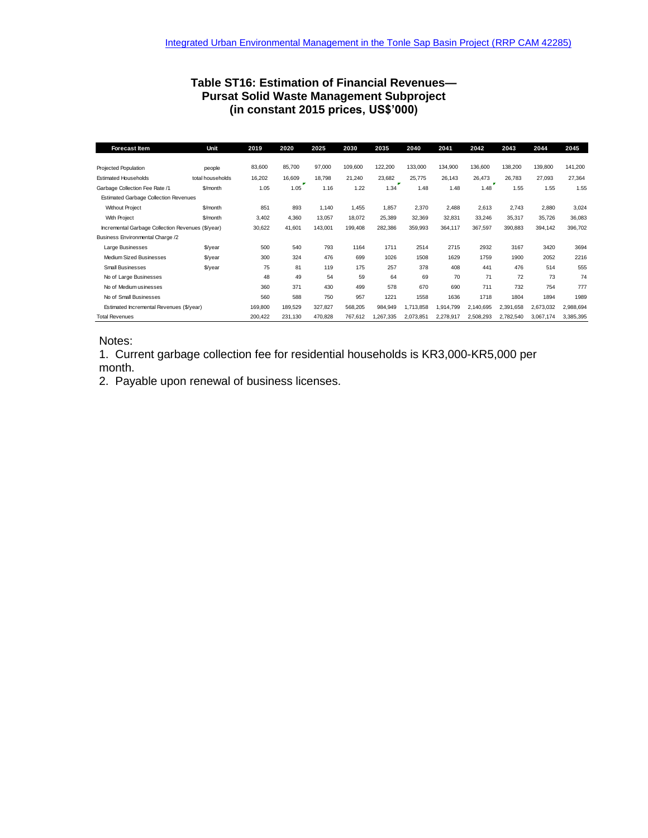# **Table ST16: Estimation of Financial Revenues— Pursat Solid Waste Management Subproject (in constant 2015 prices, US\$'000)**

| <b>Forecast Item</b>                              | Unit             | 2019    | 2020    | 2025    | 2030    | 2035     | 2040      | 2041      | 2042      | 2043      | 2044      | 2045      |
|---------------------------------------------------|------------------|---------|---------|---------|---------|----------|-----------|-----------|-----------|-----------|-----------|-----------|
|                                                   |                  |         |         |         |         |          |           |           |           |           |           |           |
| Projected Population                              | people           | 83,600  | 85,700  | 97,000  | 109,600 | 122,200  | 133,000   | 134,900   | 136,600   | 138,200   | 139,800   | 141,200   |
| <b>Estimated Households</b>                       | total households | 16,202  | 16,609  | 18.798  | 21,240  | 23,682   | 25,775    | 26,143    | 26,473    | 26.783    | 27,093    | 27,364    |
| Garbage Collection Fee Rate /1                    | \$/month         | 1.05    | 1.05    | 1.16    | 1.22    | 1.34     | 1.48      | 1.48      | 1.48      | 1.55      | 1.55      | 1.55      |
| <b>Estimated Garbage Collection Revenues</b>      |                  |         |         |         |         |          |           |           |           |           |           |           |
| <b>Without Project</b>                            | \$/month         | 851     | 893     | 1.140   | 1.455   | 1,857    | 2,370     | 2.488     | 2,613     | 2,743     | 2,880     | 3,024     |
| With Project                                      | \$/month         | 3,402   | 4,360   | 13,057  | 18,072  | 25,389   | 32,369    | 32,831    | 33,246    | 35,317    | 35,726    | 36,083    |
| Incremental Garbage Collection Revenues (\$/year) |                  | 30,622  | 41,601  | 143,001 | 199,408 | 282,386  | 359,993   | 364,117   | 367,597   | 390,883   | 394,142   | 396,702   |
| Business Environmental Charge /2                  |                  |         |         |         |         |          |           |           |           |           |           |           |
| Large Businesses                                  | \$/year          | 500     | 540     | 793     | 1164    | 1711     | 2514      | 2715      | 2932      | 3167      | 3420      | 3694      |
| Medium Sized Businesses                           | \$/year          | 300     | 324     | 476     | 699     | 1026     | 1508      | 1629      | 1759      | 1900      | 2052      | 2216      |
| <b>Small Businesses</b>                           | $$$ /year        | 75      | 81      | 119     | 175     | 257      | 378       | 408       | 441       | 476       | 514       | 555       |
| No of Large Businesses                            |                  | 48      | 49      | 54      | 59      | 64       | 69        | 70        | 71        | 72        | 73        | 74        |
| No of Medium usinesses                            |                  | 360     | 371     | 430     | 499     | 578      | 670       | 690       | 711       | 732       | 754       | 777       |
| No of Small Businesses                            |                  | 560     | 588     | 750     | 957     | 1221     | 1558      | 1636      | 1718      | 1804      | 1894      | 1989      |
| Estimated Incremental Revenues (\$/year)          |                  | 169,800 | 189,529 | 327,827 | 568,205 | 984,949  | 1,713,858 | 1,914,799 | 2,140,695 | 2,391,658 | 2,673,032 | 2,988,694 |
| <b>Total Revenues</b>                             |                  | 200,422 | 231,130 | 470,828 | 767,612 | ,267,335 | 2,073,851 | 2,278,917 | 2,508,293 | 2,782,540 | 3,067,174 | 3,385,395 |

### Notes:

1. Current garbage collection fee for residential households is KR3,000-KR5,000 per month.

2. Payable upon renewal of business licenses.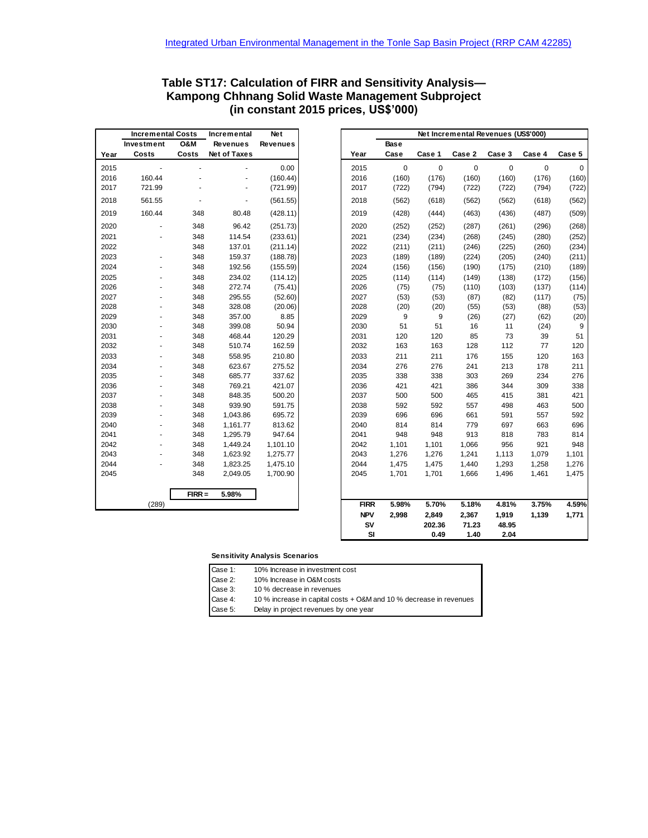| Table ST17: Calculation of FIRR and Sensitivity Analysis- |
|-----------------------------------------------------------|
| Kampong Chhnang Solid Waste Management Subproject         |
| (in constant 2015 prices, US\$'000)                       |

|      | <b>Incremental Costs</b> |                | Incremental              | <b>Net</b><br>Net Incremental Revenues (US\$'000)<br><b>Revenues</b><br><b>Base</b> |             |           |             |             |        |             |        |
|------|--------------------------|----------------|--------------------------|-------------------------------------------------------------------------------------|-------------|-----------|-------------|-------------|--------|-------------|--------|
|      | Investment               | <b>O&amp;M</b> | <b>Revenues</b>          |                                                                                     |             |           |             |             |        |             |        |
| Year | Costs                    | Costs          | Net of Taxes             |                                                                                     | Year        | Case      | Case 1      | Case 2      | Case 3 | Case 4      | Case 5 |
| 2015 |                          |                |                          | 0.00                                                                                | 2015        | $\pmb{0}$ | $\mathbf 0$ | $\mathsf 0$ | 0      | $\mathbf 0$ | 0      |
| 2016 | 160.44                   |                |                          | (160.44)                                                                            | 2016        | (160)     | (176)       | (160)       | (160)  | (176)       | (160)  |
| 2017 | 721.99                   |                | ÷,                       | (721.99)                                                                            | 2017        | (722)     | (794)       | (722)       | (722)  | (794)       | (722)  |
| 2018 | 561.55                   |                | $\overline{\phantom{a}}$ | (561.55)                                                                            | 2018        | (562)     | (618)       | (562)       | (562)  | (618)       | (562)  |
| 2019 | 160.44                   | 348            | 80.48                    | (428.11)                                                                            | 2019        | (428)     | (444)       | (463)       | (436)  | (487)       | (509)  |
| 2020 |                          | 348            | 96.42                    | (251.73)                                                                            | 2020        | (252)     | (252)       | (287)       | (261)  | (296)       | (268)  |
| 2021 | ä,                       | 348            | 114.54                   | (233.61)                                                                            | 2021        | (234)     | (234)       | (268)       | (245)  | (280)       | (252)  |
| 2022 |                          | 348            | 137.01                   | (211.14)                                                                            | 2022        | (211)     | (211)       | (246)       | (225)  | (260)       | (234)  |
| 2023 | ÷,                       | 348            | 159.37                   | (188.78)                                                                            | 2023        | (189)     | (189)       | (224)       | (205)  | (240)       | (211)  |
| 2024 |                          | 348            | 192.56                   | (155.59)                                                                            | 2024        | (156)     | (156)       | (190)       | (175)  | (210)       | (189)  |
| 2025 |                          | 348            | 234.02                   | (114.12)                                                                            | 2025        | (114)     | (114)       | (149)       | (138)  | (172)       | (156)  |
| 2026 |                          | 348            | 272.74                   | (75.41)                                                                             | 2026        | (75)      | (75)        | (110)       | (103)  | (137)       | (114)  |
| 2027 |                          | 348            | 295.55                   | (52.60)                                                                             | 2027        | (53)      | (53)        | (87)        | (82)   | (117)       | (75)   |
| 2028 |                          | 348            | 328.08                   | (20.06)                                                                             | 2028        | (20)      | (20)        | (55)        | (53)   | (88)        | (53)   |
| 2029 |                          | 348            | 357.00                   | 8.85                                                                                | 2029        | 9         | 9           | (26)        | (27)   | (62)        | (20)   |
| 2030 |                          | 348            | 399.08                   | 50.94                                                                               | 2030        | 51        | 51          | 16          | 11     | (24)        | 9      |
| 2031 | ä,                       | 348            | 468.44                   | 120.29                                                                              | 2031        | 120       | 120         | 85          | 73     | 39          | 51     |
|      |                          | 348            | 510.74                   | 162.59                                                                              | 2032        | 163       | 163         | 128         | 112    | 77          | 120    |
| 2033 | ä,                       | 348            | 558.95                   | 210.80                                                                              | 2033        | 211       | 211         | 176         | 155    | 120         | 163    |
| 2034 |                          | 348            | 623.67                   | 275.52                                                                              | 2034        | 276       | 276         | 241         | 213    | 178         | 211    |
| 2035 |                          | 348            | 685.77                   | 337.62                                                                              | 2035        | 338       | 338         | 303         | 269    | 234         | 276    |
| 2036 | ä,                       | 348            | 769.21                   | 421.07                                                                              | 2036        | 421       | 421         | 386         | 344    | 309         | 338    |
| 2037 |                          | 348            | 848.35                   | 500.20                                                                              | 2037        | 500       | 500         | 465         | 415    | 381         | 421    |
| 2038 |                          | 348            | 939.90                   | 591.75                                                                              | 2038        | 592       | 592         | 557         | 498    | 463         | 500    |
| 2039 |                          | 348            | 1,043.86                 | 695.72                                                                              | 2039        | 696       | 696         | 661         | 591    | 557         | 592    |
| 2040 |                          | 348            | 1,161.77                 | 813.62                                                                              | 2040        | 814       | 814         | 779         | 697    | 663         | 696    |
| 2041 | ä,                       | 348            | 1,295.79                 | 947.64                                                                              | 2041        | 948       | 948         | 913         | 818    | 783         | 814    |
| 2042 |                          | 348            | 1,449.24                 | 1,101.10                                                                            | 2042        | 1,101     | 1,101       | 1,066       | 956    | 921         | 948    |
| 2043 |                          | 348            | 1,623.92                 | 1,275.77                                                                            | 2043        | 1,276     | 1,276       | 1,241       | 1,113  | 1,079       | 1,101  |
| 2044 |                          | 348            | 1,823.25                 | 1,475.10                                                                            | 2044        | 1,475     | 1,475       | 1,440       | 1,293  | 1,258       | 1,276  |
| 2045 |                          | 348            | 2,049.05                 | 1,700.90                                                                            | 2045        | 1,701     | 1,701       | 1,666       | 1,496  | 1,461       | 1,475  |
|      |                          | $FIRR =$       | 5.98%                    |                                                                                     |             |           |             |             |        |             |        |
|      | (289)                    |                |                          |                                                                                     | <b>FIRR</b> | 5.98%     | 5.70%       | 5.18%       | 4.81%  | 3.75%       | 4.59%  |
|      |                          |                |                          |                                                                                     | <b>NPV</b>  | 2,998     | 2,849       | 2,367       | 1,919  | 1,139       | 1,771  |
|      |                          |                |                          |                                                                                     | SV          |           | 202.36      | 71.23       | 48.95  |             |        |
|      |                          |                |                          |                                                                                     | SI          |           | 0.49        | 1.40        | 2.04   |             |        |

#### **Sensitivity Analysis Scenarios**

| Case 1: | 10% Increase in investment cost                                    |
|---------|--------------------------------------------------------------------|
| Case 2: | 10% Increase in O&M costs                                          |
| Case 3: | 10 % decrease in revenues                                          |
| Case 4: | 10 % increase in capital costs + O&M and 10 % decrease in revenues |
| Case 5: | Delay in project revenues by one year                              |

**SI 0.49 1.40 2.04**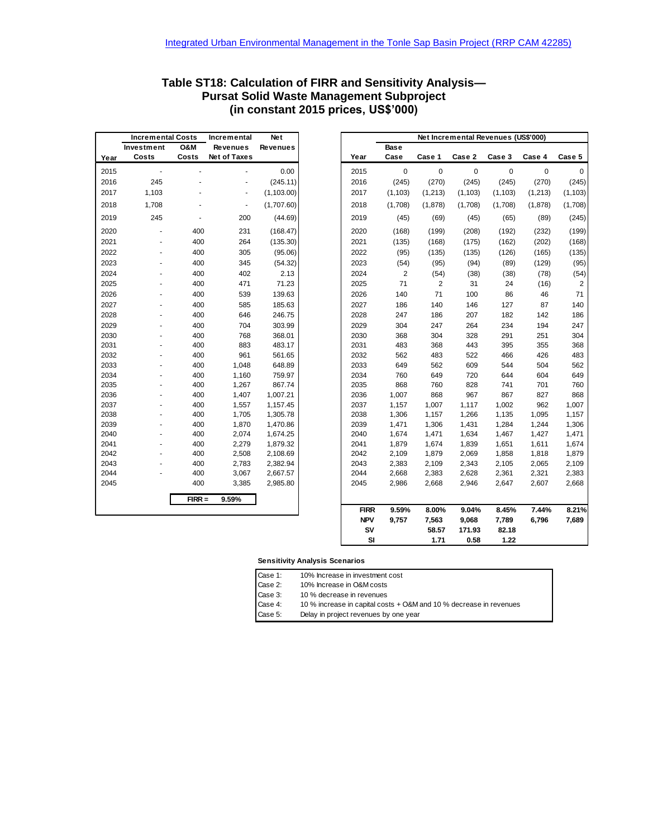|      | <b>Incremental Costs</b> |                | Incremental     | <b>Net</b>      |      |                |
|------|--------------------------|----------------|-----------------|-----------------|------|----------------|
|      | Investment               | <b>O&amp;M</b> | <b>Revenues</b> | <b>Revenues</b> |      | <b>Base</b>    |
| Year | Costs                    | Costs          | Net of Taxes    |                 | Year | Case           |
| 2015 |                          |                |                 | 0.00            | 2015 |                |
| 2016 | 245                      |                |                 | (245.11)        | 2016 | (24)           |
| 2017 | 1,103                    |                |                 | (1, 103.00)     | 2017 | (1, 10)        |
| 2018 | 1,708                    |                |                 | (1,707.60)      | 2018 | (1,70)         |
| 2019 | 245                      |                | 200             | (44.69)         | 2019 | (4)            |
| 2020 |                          | 400            | 231             | (168.47)        | 2020 | (16)           |
| 2021 |                          | 400            | 264             | (135.30)        | 2021 | (13)           |
| 2022 |                          | 400            | 305             | (95.06)         | 2022 | (9)            |
| 2023 |                          | 400            | 345             | (54.32)         | 2023 | (5)            |
| 2024 |                          | 400            | 402             | 2.13            | 2024 |                |
| 2025 |                          | 400            | 471             | 71.23           | 2025 | $\overline{7}$ |
| 2026 |                          | 400            | 539             | 139.63          | 2026 | 14             |
| 2027 |                          | 400            | 585             | 185.63          | 2027 | 18             |
| 2028 |                          | 400            | 646             | 246.75          | 2028 | 24             |
| 2029 |                          | 400            | 704             | 303.99          | 2029 | 30             |
| 2030 |                          | 400            | 768             | 368.01          | 2030 | 36             |
| 2031 |                          | 400            | 883             | 483.17          | 2031 | 48             |
| 2032 |                          | 400            | 961             | 561.65          | 2032 | 56             |
| 2033 |                          | 400            | 1,048           | 648.89          | 2033 | 64             |
| 2034 |                          | 400            | 1,160           | 759.97          | 2034 | 76             |
| 2035 |                          | 400            | 1,267           | 867.74          | 2035 | 86             |
| 2036 |                          | 400            | 1,407           | 1,007.21        | 2036 | 1,00           |
| 2037 |                          | 400            | 1,557           | 1,157.45        | 2037 | 1,15           |
| 2038 |                          | 400            | 1,705           | 1,305.78        | 2038 | 1,30           |
| 2039 |                          | 400            | 1,870           | 1,470.86        | 2039 | 1,47           |
| 2040 |                          | 400            | 2,074           | 1,674.25        | 2040 | 1,67           |
| 2041 |                          | 400            | 2,279           | 1,879.32        | 2041 | 1,87           |
| 2042 |                          | 400            | 2,508           | 2,108.69        | 2042 | 2,10           |
| 2043 |                          | 400            | 2,783           | 2,382.94        | 2043 | 2,38           |
| 2044 |                          | 400            | 3,067           | 2,667.57        | 2044 | 2,66           |
| 2045 |                          | 400            | 3,385           | 2,985.80        | 2045 | 2,98           |
|      |                          | $FIRR =$       | 9.59%           |                 |      |                |
|      |                          |                |                 |                 | EIDD | <b>Q 50</b>    |

### **Table ST18: Calculation of FIRR and Sensitivity Analysis— Pursat Solid Waste Management Subproject (in constant 2015 prices, US\$'000)**

|      | <b>Incremental Costs</b> |                | <b>Net</b><br>Incremental |                 |             |                |                | Net Incremental Revenues (US\$'000) |             |         |                |  |
|------|--------------------------|----------------|---------------------------|-----------------|-------------|----------------|----------------|-------------------------------------|-------------|---------|----------------|--|
|      | Investment               | <b>O&amp;M</b> | <b>Revenues</b>           | <b>Revenues</b> |             | Base           |                |                                     |             |         |                |  |
| Year | Costs                    | Costs          | <b>Net of Taxes</b>       |                 | Year        | Case           | Case 1         | Case 2                              | Case 3      | Case 4  | Case 5         |  |
| 2015 | $\blacksquare$           |                | ÷,                        | 0.00            | 2015        | $\mathbf 0$    | 0              | $\mathbf 0$                         | $\mathbf 0$ | 0       | 0              |  |
| 2016 | 245                      |                | $\overline{a}$            | (245.11)        | 2016        | (245)          | (270)          | (245)                               | (245)       | (270)   | (245)          |  |
| 2017 | 1,103                    |                | $\overline{\phantom{a}}$  | (1, 103.00)     | 2017        | (1, 103)       | (1,213)        | (1, 103)                            | (1, 103)    | (1,213) | (1, 103)       |  |
| 2018 | 1,708                    |                | $\overline{\phantom{a}}$  | (1,707.60)      | 2018        | (1,708)        | (1,878)        | (1,708)                             | (1,708)     | (1,878) | (1,708)        |  |
| 2019 | 245                      | $\blacksquare$ | 200                       | (44.69)         | 2019        | (45)           | (69)           | (45)                                | (65)        | (89)    | (245)          |  |
| 2020 |                          | 400            | 231                       | (168.47)        | 2020        | (168)          | (199)          | (208)                               | (192)       | (232)   | (199)          |  |
| 2021 |                          | 400            | 264                       | (135.30)        | 2021        | (135)          | (168)          | (175)                               | (162)       | (202)   | (168)          |  |
| 2022 |                          | 400            | 305                       | (95.06)         | 2022        | (95)           | (135)          | (135)                               | (126)       | (165)   | (135)          |  |
| 2023 |                          | 400            | 345                       | (54.32)         | 2023        | (54)           | (95)           | (94)                                | (89)        | (129)   | (95)           |  |
| 2024 | ٠                        | 400            | 402                       | 2.13            | 2024        | $\overline{2}$ | (54)           | (38)                                | (38)        | (78)    | (54)           |  |
| 2025 | ٠                        | 400            | 471                       | 71.23           | 2025        | 71             | $\overline{2}$ | 31                                  | 24          | (16)    | $\overline{2}$ |  |
| 2026 |                          | 400            | 539                       | 139.63          | 2026        | 140            | 71             | 100                                 | 86          | 46      | 71             |  |
| 2027 |                          | 400            | 585                       | 185.63          | 2027        | 186            | 140            | 146                                 | 127         | 87      | 140            |  |
| 2028 |                          | 400            | 646                       | 246.75          | 2028        | 247            | 186            | 207                                 | 182         | 142     | 186            |  |
| 2029 |                          | 400            | 704                       | 303.99          | 2029        | 304            | 247            | 264                                 | 234         | 194     | 247            |  |
| 2030 |                          | 400            | 768                       | 368.01          | 2030        | 368            | 304            | 328                                 | 291         | 251     | 304            |  |
| 2031 |                          | 400            | 883                       | 483.17          | 2031        | 483            | 368            | 443                                 | 395         | 355     | 368            |  |
| 2032 |                          | 400            | 961                       | 561.65          | 2032        | 562            | 483            | 522                                 | 466         | 426     | 483            |  |
| 2033 |                          | 400            | 1,048                     | 648.89          | 2033        | 649            | 562            | 609                                 | 544         | 504     | 562            |  |
| 2034 |                          | 400            | 1,160                     | 759.97          | 2034        | 760            | 649            | 720                                 | 644         | 604     | 649            |  |
| 2035 |                          | 400            | 1,267                     | 867.74          | 2035        | 868            | 760            | 828                                 | 741         | 701     | 760            |  |
| 2036 |                          | 400            | 1,407                     | 1,007.21        | 2036        | 1,007          | 868            | 967                                 | 867         | 827     | 868            |  |
| 2037 |                          | 400            | 1,557                     | 1,157.45        | 2037        | 1,157          | 1,007          | 1,117                               | 1,002       | 962     | 1,007          |  |
| 2038 |                          | 400            | 1,705                     | 1,305.78        | 2038        | 1,306          | 1,157          | 1,266                               | 1,135       | 1,095   | 1,157          |  |
| 2039 |                          | 400            | 1,870                     | 1,470.86        | 2039        | 1,471          | 1,306          | 1,431                               | 1,284       | 1,244   | 1,306          |  |
| 2040 |                          | 400            | 2,074                     | 1,674.25        | 2040        | 1,674          | 1,471          | 1,634                               | 1,467       | 1,427   | 1,471          |  |
| 2041 |                          | 400            | 2,279                     | 1,879.32        | 2041        | 1,879          | 1,674          | 1,839                               | 1,651       | 1,611   | 1,674          |  |
| 2042 |                          | 400            | 2,508                     | 2,108.69        | 2042        | 2,109          | 1,879          | 2,069                               | 1,858       | 1,818   | 1,879          |  |
| 2043 |                          | 400            | 2,783                     | 2,382.94        | 2043        | 2,383          | 2,109          | 2,343                               | 2,105       | 2,065   | 2,109          |  |
| 2044 |                          | 400            | 3,067                     | 2,667.57        | 2044        | 2,668          | 2,383          | 2,628                               | 2,361       | 2,321   | 2,383          |  |
| 2045 |                          | 400            | 3,385                     | 2,985.80        | 2045        | 2,986          | 2,668          | 2,946                               | 2,647       | 2,607   | 2,668          |  |
|      |                          | $FIRR =$       | 9.59%                     |                 |             |                |                |                                     |             |         |                |  |
|      |                          |                |                           |                 | <b>FIRR</b> | 9.59%          | 8.00%          | 9.04%                               | 8.45%       | 7.44%   | 8.21%          |  |
|      |                          |                |                           |                 | <b>NPV</b>  | 9.757          | 7,563          | 9,068                               | 7,789       | 6,796   | 7,689          |  |
|      |                          |                |                           |                 | SV          |                | 58.57          | 171.93                              | 82.18       |         |                |  |
|      |                          |                |                           |                 | SI          |                | 1.71           | 0.58                                | 1.22        |         |                |  |

#### **Sensitivity Analysis Scenarios**

| Case 1: |  | 10% Increase in investment cost |  |
|---------|--|---------------------------------|--|
|         |  |                                 |  |

Case 2: 10% Increase in O&M costs

Case 3: 10 % decrease in revenues<br>Case 4: 10 % increase in capital cos 10 % increase in capital costs + O&M and 10 % decrease in revenues

Case 5: Delay in project revenues by one year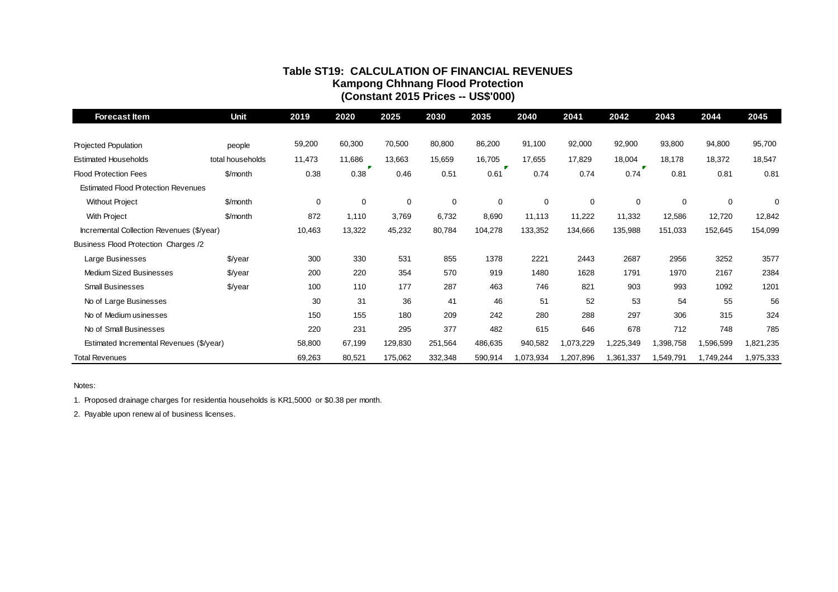### **Table ST19: CALCULATION OF FINANCIAL REVENUES Kampong Chhnang Flood Protection (Constant 2015 Prices -- US\$'000)**

| <b>Forecast Item</b>                                                                    | <b>Unit</b>      | 2019   | 2020        | 2025    | 2030    | 2035      | 2040      | 2041        | 2042        | 2043      | 2044      | 2045      |
|-----------------------------------------------------------------------------------------|------------------|--------|-------------|---------|---------|-----------|-----------|-------------|-------------|-----------|-----------|-----------|
| <b>Projected Population</b>                                                             | people           | 59,200 | 60,300      | 70,500  | 80,800  | 86,200    | 91,100    | 92,000      | 92,900      | 93,800    | 94,800    | 95,700    |
| <b>Estimated Households</b>                                                             | total households | 11,473 | 11,686      | 13,663  | 15,659  | 16,705    | 17,655    | 17,829      | 18,004      | 18,178    | 18,372    | 18,547    |
| <b>Flood Protection Fees</b>                                                            | \$/month         | 0.38   | 0.38        | 0.46    | 0.51    | 0.61      | 0.74      | 0.74        | 0.74        | 0.81      | 0.81      | 0.81      |
| <b>Estimated Flood Protection Revenues</b>                                              |                  |        |             |         |         |           |           |             |             |           |           |           |
| <b>Without Project</b>                                                                  | \$/month         | 0      | $\mathbf 0$ | 0       | 0       | $\pmb{0}$ | 0         | $\mathbf 0$ | $\mathbf 0$ | 0         | 0         | $\Omega$  |
| <b>With Project</b>                                                                     | \$/month         | 872    | 1,110       | 3,769   | 6,732   | 8,690     | 11,113    | 11,222      | 11,332      | 12,586    | 12,720    | 12,842    |
| Incremental Collection Revenues (\$/year)                                               |                  | 10,463 | 13,322      | 45,232  | 80,784  | 104,278   | 133,352   | 134,666     | 135,988     | 151,033   | 152,645   | 154,099   |
| Business Flood Protection Charges /2                                                    |                  |        |             |         |         |           |           |             |             |           |           |           |
| Large Businesses                                                                        | $\sqrt{$}$ /year | 300    | 330         | 531     | 855     | 1378      | 2221      | 2443        | 2687        | 2956      | 3252      | 3577      |
| <b>Medium Sized Businesses</b>                                                          | $\sqrt{$}$ /year | 200    | 220         | 354     | 570     | 919       | 1480      | 1628        | 1791        | 1970      | 2167      | 2384      |
| <b>Small Businesses</b>                                                                 | \$/year          | 100    | 110         | 177     | 287     | 463       | 746       | 821         | 903         | 993       | 1092      | 1201      |
| No of Large Businesses                                                                  |                  | 30     | 31          | 36      | 41      | 46        | 51        | 52          | 53          | 54        | 55        | 56        |
| No of Medium usinesses                                                                  |                  | 150    | 155         | 180     | 209     | 242       | 280       | 288         | 297         | 306       | 315       | 324       |
| No of Small Businesses                                                                  |                  | 220    | 231         | 295     | 377     | 482       | 615       | 646         | 678         | 712       | 748       | 785       |
| Estimated Incremental Revenues (\$/year)                                                |                  | 58,800 | 67,199      | 129,830 | 251,564 | 486,635   | 940,582   | 1,073,229   | 1,225,349   | 1,398,758 | 1,596,599 | 1,821,235 |
| <b>Total Revenues</b>                                                                   |                  | 69,263 | 80,521      | 175,062 | 332,348 | 590,914   | 1,073,934 | 1,207,896   | 1,361,337   | 1,549,791 | 1,749,244 | 1,975,333 |
| Notes:                                                                                  |                  |        |             |         |         |           |           |             |             |           |           |           |
| 1. Proposed drainage charges for residentia households is KR1,5000 or \$0.38 per month. |                  |        |             |         |         |           |           |             |             |           |           |           |
| 2. Payable upon renew al of business licenses.                                          |                  |        |             |         |         |           |           |             |             |           |           |           |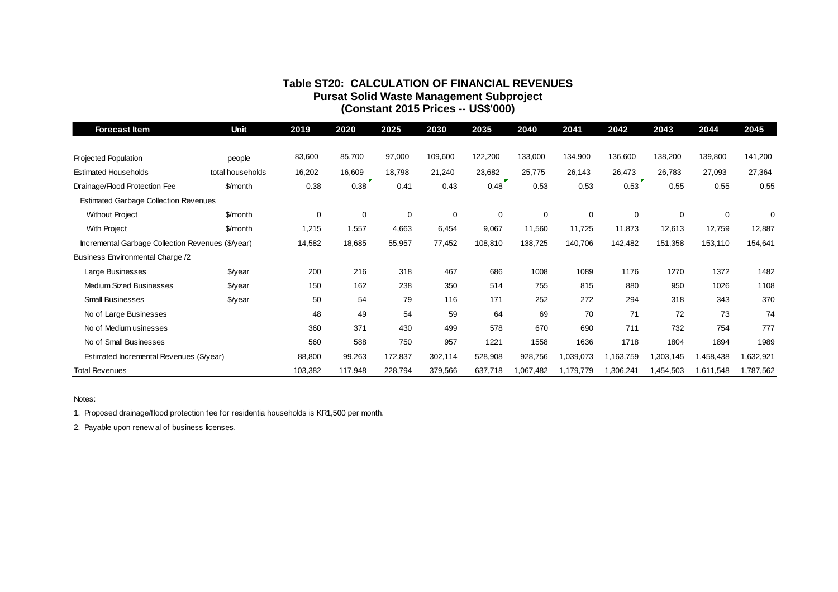### **Table ST20: CALCULATION OF FINANCIAL REVENUES Pursat Solid Waste Management Subproject (Constant 2015 Prices -- US\$'000)**

| Forecast Item                                                                             | Unit             | 2019        | 2020    | 2025    | 2030        | 2035        | 2040        | 2041      | 2042        | 2043        | 2044      | 2045      |
|-------------------------------------------------------------------------------------------|------------------|-------------|---------|---------|-------------|-------------|-------------|-----------|-------------|-------------|-----------|-----------|
|                                                                                           |                  |             |         |         |             |             |             |           |             |             |           |           |
| <b>Projected Population</b>                                                               | people           | 83,600      | 85,700  | 97,000  | 109,600     | 122,200     | 133,000     | 134,900   | 136,600     | 138,200     | 139,800   | 141,200   |
| <b>Estimated Households</b>                                                               | total households | 16,202      | 16,609  | 18,798  | 21,240      | 23,682      | 25,775      | 26,143    | 26,473      | 26,783      | 27,093    | 27,364    |
| Drainage/Flood Protection Fee                                                             | \$/month         | 0.38        | 0.38    | 0.41    | 0.43        | 0.48        | 0.53        | 0.53      | 0.53        | 0.55        | 0.55      | 0.55      |
| <b>Estimated Garbage Collection Revenues</b>                                              |                  |             |         |         |             |             |             |           |             |             |           |           |
| <b>Without Project</b>                                                                    | \$/month         | $\mathbf 0$ | 0       | 0       | $\mathbf 0$ | $\mathbf 0$ | $\mathbf 0$ | 0         | $\mathbf 0$ | $\mathbf 0$ | 0         | 0         |
| <b>With Project</b>                                                                       | \$/month         | 1,215       | 1,557   | 4,663   | 6,454       | 9,067       | 11,560      | 11,725    | 11,873      | 12,613      | 12,759    | 12,887    |
| Incremental Garbage Collection Revenues (\$/year)                                         |                  | 14,582      | 18,685  | 55,957  | 77,452      | 108,810     | 138,725     | 140,706   | 142,482     | 151,358     | 153,110   | 154,641   |
| Business Environmental Charge /2                                                          |                  |             |         |         |             |             |             |           |             |             |           |           |
| Large Businesses                                                                          | $\sqrt{$}$ /year | 200         | 216     | 318     | 467         | 686         | 1008        | 1089      | 1176        | 1270        | 1372      | 1482      |
| Medium Sized Businesses                                                                   | $\sqrt{$}$ /year | 150         | 162     | 238     | 350         | 514         | 755         | 815       | 880         | 950         | 1026      | 1108      |
| <b>Small Businesses</b>                                                                   | \$/year          | 50          | 54      | 79      | 116         | 171         | 252         | 272       | 294         | 318         | 343       | 370       |
| No of Large Businesses                                                                    |                  | 48          | 49      | 54      | 59          | 64          | 69          | 70        | 71          | 72          | 73        | 74        |
| No of Medium usinesses                                                                    |                  | 360         | 371     | 430     | 499         | 578         | 670         | 690       | 711         | 732         | 754       | 777       |
| No of Small Businesses                                                                    |                  | 560         | 588     | 750     | 957         | 1221        | 1558        | 1636      | 1718        | 1804        | 1894      | 1989      |
| Estimated Incremental Revenues (\$/year)                                                  |                  | 88,800      | 99,263  | 172,837 | 302,114     | 528,908     | 928,756     | 1,039,073 | 1,163,759   | 1,303,145   | 1,458,438 | 1,632,921 |
| <b>Total Revenues</b>                                                                     |                  | 103,382     | 117,948 | 228,794 | 379,566     | 637,718     | 1,067,482   | 1,179,779 | 1,306,241   | 1,454,503   | 1,611,548 | 1,787,562 |
|                                                                                           |                  |             |         |         |             |             |             |           |             |             |           |           |
| Notes:                                                                                    |                  |             |         |         |             |             |             |           |             |             |           |           |
| 1. Proposed drainage/flood protection fee for residentia households is KR1,500 per month. |                  |             |         |         |             |             |             |           |             |             |           |           |
| 2. Payable upon renew al of business licenses.                                            |                  |             |         |         |             |             |             |           |             |             |           |           |
|                                                                                           |                  |             |         |         |             |             |             |           |             |             |           |           |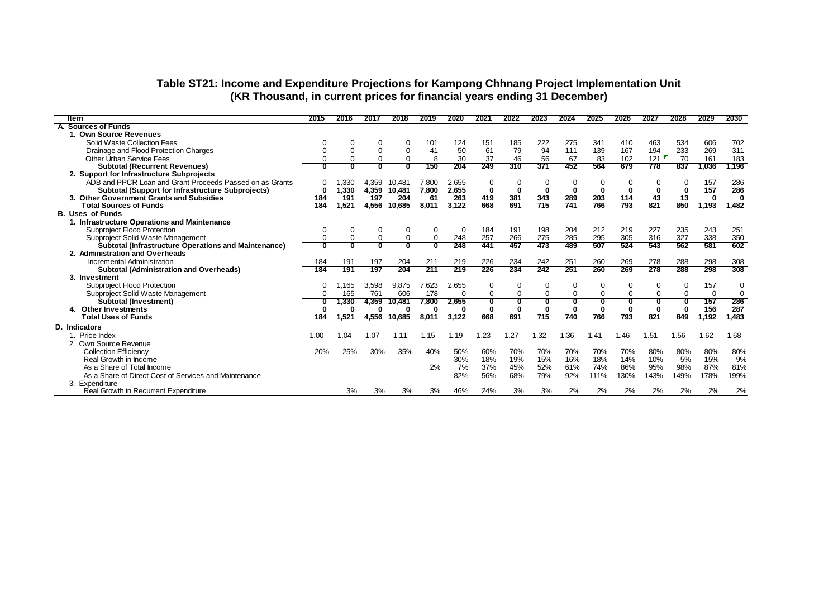### **Table ST21: Income and Expenditure Projections for Kampong Chhnang Project Implementation Unit (KR Thousand, in current prices for financial years ending 31 December)**

| ltem                                                        | 2015     | 2016     | 201      | 2018     | 2019         | 2020  | 2021         | 2022     | 2023     | 2024                    | 2025         | 2026     | 2027     | 2028     | 2029     | 2030        |
|-------------------------------------------------------------|----------|----------|----------|----------|--------------|-------|--------------|----------|----------|-------------------------|--------------|----------|----------|----------|----------|-------------|
| A Sources of Funds                                          |          |          |          |          |              |       |              |          |          |                         |              |          |          |          |          |             |
| 1. Own Source Revenues                                      |          |          |          |          |              |       |              |          |          |                         |              |          |          |          |          |             |
| Solid Waste Collection Fees                                 |          | 0        |          | 0        | 101          | 124   | 151          | 185      | 222      | 275                     | 341          | 410      | 463      | 534      | 606      | 702         |
| Drainage and Flood Protection Charges                       |          | $\Omega$ | $\Omega$ | $\Omega$ | 41           | 50    | 61           | 79       | 94       | 111                     | 139          | 167      | 194      | 233      | 269      | 311         |
| Other Urban Service Fees                                    |          |          | 0        | $\Omega$ | 8            | 30    | 37           | 46       | 56       | 67                      | 83           | 102      | 121      | 70       | 161      | 183         |
| <b>Subtotal (Recurrent Revenues)</b>                        |          |          | U        | ŋ        | 150          | 204   | 249          | 310      | 371      | 452                     | 564          | 679      | 778      | 837      | 1,036    | 1,196       |
| 2. Support for Infrastructure Subprojects                   |          |          |          |          |              |       |              |          |          |                         |              |          |          |          |          |             |
| ADB and PPCR Loan and Grant Proceeds Passed on as Grants    |          | ,330     | 4,359    | 10,481   | 7,800        | 2,655 | 0            | 0        | 0        | 0                       | 0            | 0        |          |          | 157      | 286         |
| <b>Subtotal (Support for Infrastructure Subprojects)</b>    | $\Omega$ | 1,330    | 4,359    | 10,481   | 7,800        | 2,655 | 0            | 0        | 0        | $\overline{\mathbf{0}}$ | $\mathbf{0}$ | O        | 0        | 0        | 157      | 286         |
| 3. Other Government Grants and Subsidies                    | 184      | 191      | 197      | 204      | -61          | 263   | 419          | 381      | 343      | 289                     | 203          | 114      | 43       | 13       | 0        | $\bf{0}$    |
| <b>Total Sources of Funds</b>                               | 184      | 1.521    | 4,556    | 10.685   | 8,011        | 3,122 | 668          | 691      | 715      | 741                     | 766          | 793      | 821      | 850      | 1,193    | 1,482       |
| <b>B. Uses of Funds</b>                                     |          |          |          |          |              |       |              |          |          |                         |              |          |          |          |          |             |
| 1. Infrastructure Operations and Maintenance                |          |          |          |          |              |       |              |          |          |                         |              |          |          |          |          |             |
| <b>Subproject Flood Protection</b>                          | 0        | 0        | 0        | 0        | 0            | 0     | 184          | 191      | 198      | 204                     | 212          | 219      | 227      | 235      | 243      | 251         |
| Subproject Solid Waste Management                           |          |          |          | $\Omega$ | 0            | 248   | 257          | 266      | 275      | 285                     | 295          | 305      | 316      | 327      | 338      | 350         |
| <b>Subtotal (Infrastructure Operations and Maintenance)</b> |          |          |          |          |              | 248   | 441          | 457      | 473      | 489                     | 507          | 524      | 543      | 562      | 581      | 602         |
| 2. Administration and Overheads                             |          |          |          |          |              |       |              |          |          |                         |              |          |          |          |          |             |
| Incremental Administration                                  | 184      | 191      | 197      | 204      | 211          | 219   | 226          | 234      | 242      | 251                     | 260          | 269      | 278      | 288      | 298      | 308         |
| <b>Subtotal (Administration and Overheads)</b>              | 184      | 191      | 197      | 204      | 211          | 219   | 226          | 234      | 242      | 251                     | 260          | 269      | 278      | 288      | 298      | 308         |
| 3. Investment                                               |          |          |          |          |              |       |              |          |          |                         |              |          |          |          |          |             |
| Subproject Flood Protection                                 |          | .165     | 3,598    | 9,875    | 7,623        | 2,655 | 0            | 0        | $\Omega$ | 0                       | $\Omega$     | $\Omega$ | 0        | $\Omega$ | 157      | 0           |
| Subproject Solid Waste Management                           |          | 165      | 761      | 606      | 178          | 0     | 0            | $\Omega$ | $\Omega$ | $\Omega$                | $\Omega$     | $\Omega$ | $\Omega$ | $\Omega$ | $\Omega$ | $\mathbf 0$ |
| Subtotal (Investment)                                       |          | 1,330    | 4,359    | 10,481   | 7,800        | 2,655 | n            |          |          |                         |              |          |          |          | 157      | 286         |
| <b>Other Investments</b>                                    |          | O        | 0        | 0        | $\mathbf{0}$ | 0     | $\mathbf{0}$ | $\bf{0}$ | O        | $\bf{0}$                | O            | $\Omega$ | ŋ        | O        | 156      | 287         |
| <b>Total Uses of Funds</b>                                  | 184      | 1.521    | 4.556    | 10.685   | 8,011        | 3,122 | 668          | 691      | 715      | 740                     | 766          | 793      | 821      | 849      | 1,192    | 1,483       |
| <b>D.</b> Indicators                                        |          |          |          |          |              |       |              |          |          |                         |              |          |          |          |          |             |
| 1. Price Index                                              | 1.00     | 1.04     | 1.07     | 1.11     | 1.15         | 1.19  | 1.23         | 1.27     | 1.32     | 1.36                    | 1.41         | 1.46     | 1.51     | 1.56     | 1.62     | 1.68        |
| 2. Own Source Revenue                                       |          |          |          |          |              |       |              |          |          |                         |              |          |          |          |          |             |
| <b>Collection Efficiency</b>                                | 20%      | 25%      | 30%      | 35%      | 40%          | 50%   | 60%          | 70%      | 70%      | 70%                     | 70%          | 70%      | 80%      | 80%      | 80%      | 80%         |
| Real Growth in Income                                       |          |          |          |          |              | 30%   | 18%          | 19%      | 15%      | 16%                     | 18%          | 14%      | 10%      | 5%       | 15%      | 9%          |
| As a Share of Total Income                                  |          |          |          |          | 2%           | 7%    | 37%          | 45%      | 52%      | 61%                     | 74%          | 86%      | 95%      | 98%      | 87%      | 81%         |
| As a Share of Direct Cost of Services and Maintenance       |          |          |          |          |              | 82%   | 56%          | 68%      | 79%      | 92%                     | 111%         | 130%     | 143%     | 149%     | 178%     | 199%        |
| 3. Expenditure                                              |          |          |          |          |              |       |              |          |          |                         |              |          |          |          |          |             |
| Real Growth in Recurrent Expenditure                        |          | 3%       | 3%       | 3%       | 3%           | 46%   | 24%          | 3%       | 3%       | 2%                      | 2%           | 2%       | 2%       | 2%       | 2%       | 2%          |